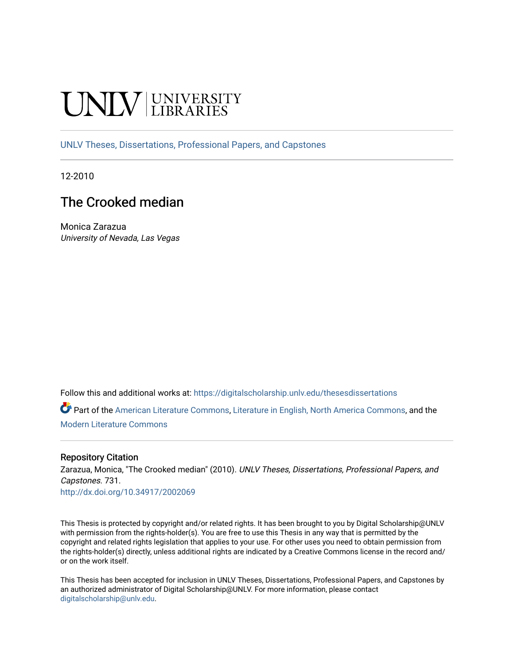# **INIVERSITY**

[UNLV Theses, Dissertations, Professional Papers, and Capstones](https://digitalscholarship.unlv.edu/thesesdissertations)

12-2010

# The Crooked median

Monica Zarazua University of Nevada, Las Vegas

Follow this and additional works at: [https://digitalscholarship.unlv.edu/thesesdissertations](https://digitalscholarship.unlv.edu/thesesdissertations?utm_source=digitalscholarship.unlv.edu%2Fthesesdissertations%2F731&utm_medium=PDF&utm_campaign=PDFCoverPages)

Part of the [American Literature Commons](http://network.bepress.com/hgg/discipline/441?utm_source=digitalscholarship.unlv.edu%2Fthesesdissertations%2F731&utm_medium=PDF&utm_campaign=PDFCoverPages), [Literature in English, North America Commons](http://network.bepress.com/hgg/discipline/458?utm_source=digitalscholarship.unlv.edu%2Fthesesdissertations%2F731&utm_medium=PDF&utm_campaign=PDFCoverPages), and the [Modern Literature Commons](http://network.bepress.com/hgg/discipline/1050?utm_source=digitalscholarship.unlv.edu%2Fthesesdissertations%2F731&utm_medium=PDF&utm_campaign=PDFCoverPages) 

## Repository Citation

Zarazua, Monica, "The Crooked median" (2010). UNLV Theses, Dissertations, Professional Papers, and Capstones. 731.

<http://dx.doi.org/10.34917/2002069>

This Thesis is protected by copyright and/or related rights. It has been brought to you by Digital Scholarship@UNLV with permission from the rights-holder(s). You are free to use this Thesis in any way that is permitted by the copyright and related rights legislation that applies to your use. For other uses you need to obtain permission from the rights-holder(s) directly, unless additional rights are indicated by a Creative Commons license in the record and/ or on the work itself.

This Thesis has been accepted for inclusion in UNLV Theses, Dissertations, Professional Papers, and Capstones by an authorized administrator of Digital Scholarship@UNLV. For more information, please contact [digitalscholarship@unlv.edu](mailto:digitalscholarship@unlv.edu).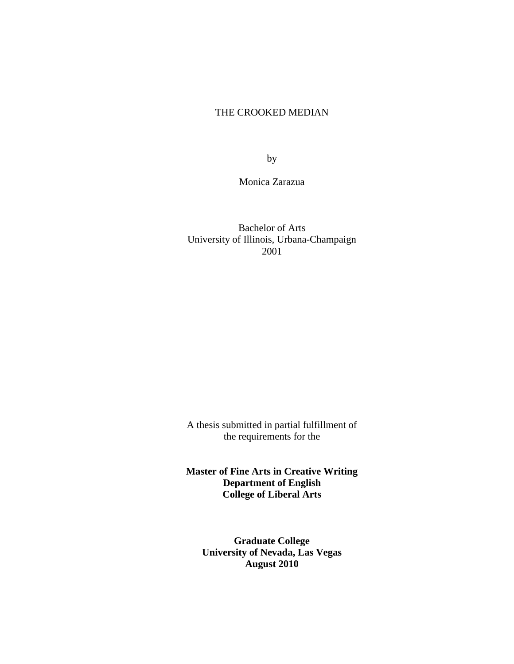# THE CROOKED MEDIAN

by

Monica Zarazua

Bachelor of Arts University of Illinois, Urbana-Champaign 2001

A thesis submitted in partial fulfillment of the requirements for the

**Master of Fine Arts in Creative Writing Department of English College of Liberal Arts**

**Graduate College University of Nevada, Las Vegas August 2010**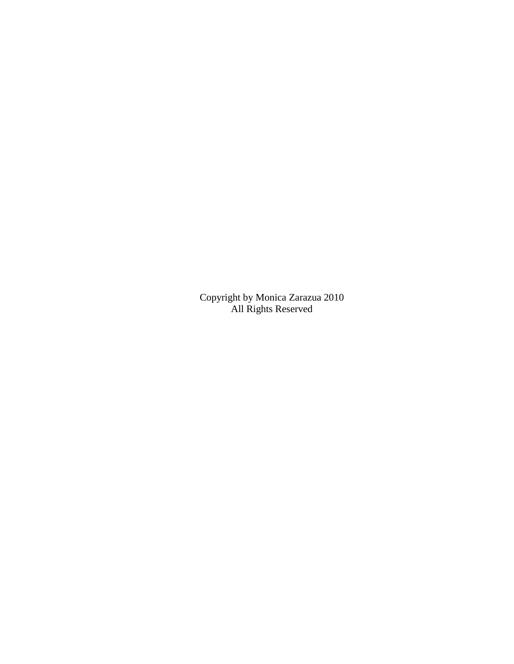Copyright by Monica Zarazua 2010 All Rights Reserved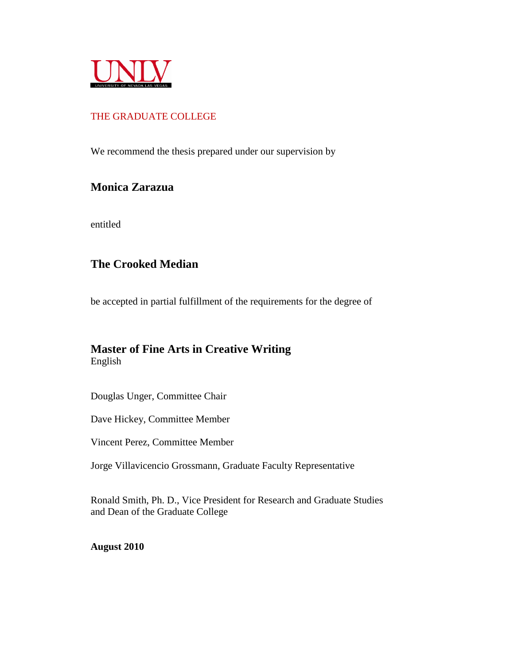

# THE GRADUATE COLLEGE

We recommend the thesis prepared under our supervision by

# **Monica Zarazua**

entitled

# **The Crooked Median**

be accepted in partial fulfillment of the requirements for the degree of

# **Master of Fine Arts in Creative Writing** English

Douglas Unger, Committee Chair

Dave Hickey, Committee Member

Vincent Perez, Committee Member

Jorge Villavicencio Grossmann, Graduate Faculty Representative

Ronald Smith, Ph. D., Vice President for Research and Graduate Studies and Dean of the Graduate College

**August 2010**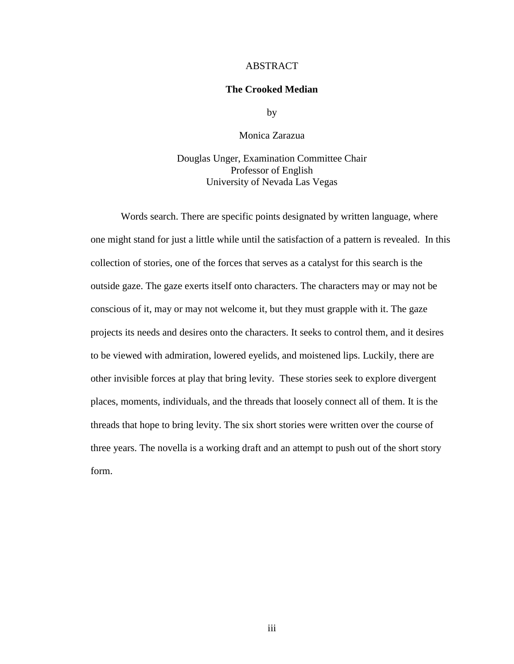## ABSTRACT

## **The Crooked Median**

by

Monica Zarazua

Douglas Unger, Examination Committee Chair Professor of English University of Nevada Las Vegas

Words search. There are specific points designated by written language, where one might stand for just a little while until the satisfaction of a pattern is revealed. In this collection of stories, one of the forces that serves as a catalyst for this search is the outside gaze. The gaze exerts itself onto characters. The characters may or may not be conscious of it, may or may not welcome it, but they must grapple with it. The gaze projects its needs and desires onto the characters. It seeks to control them, and it desires to be viewed with admiration, lowered eyelids, and moistened lips. Luckily, there are other invisible forces at play that bring levity. These stories seek to explore divergent places, moments, individuals, and the threads that loosely connect all of them. It is the threads that hope to bring levity. The six short stories were written over the course of three years. The novella is a working draft and an attempt to push out of the short story form.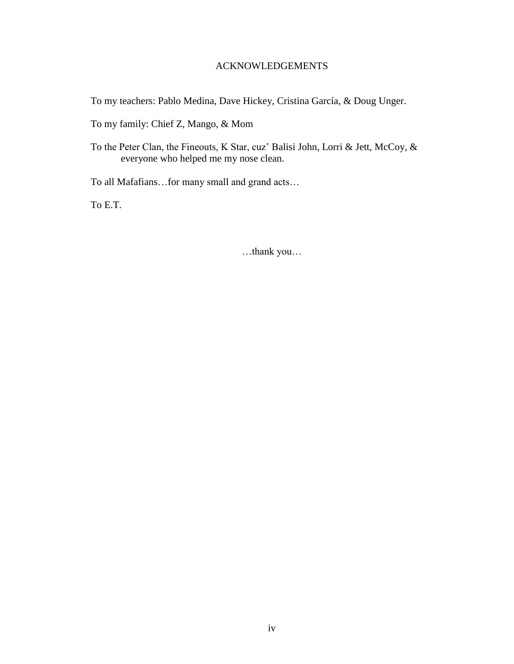# ACKNOWLEDGEMENTS

To my teachers: Pablo Medina, Dave Hickey, Cristina García, & Doug Unger.

To my family: Chief Z, Mango, & Mom

To the Peter Clan, the Fineouts, K Star, cuz" Balisi John, Lorri & Jett, McCoy, & everyone who helped me my nose clean.

To all Mafafians…for many small and grand acts…

To E.T.

…thank you…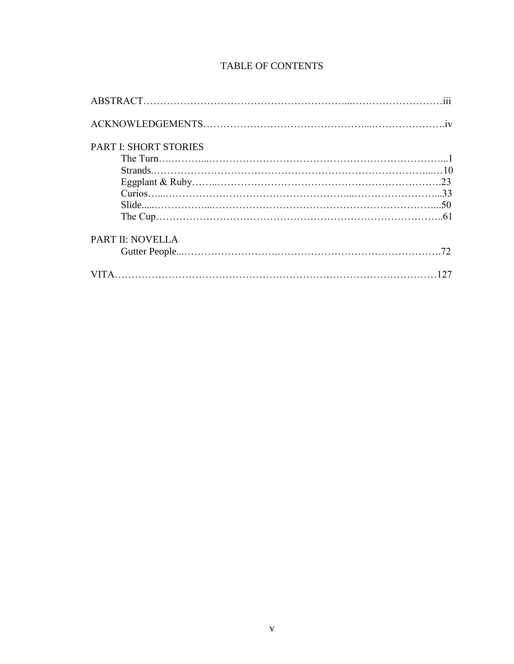# TABLE OF CONTENTS

| <b>PART I: SHORT STORIES</b> |  |
|------------------------------|--|
|                              |  |
|                              |  |
|                              |  |
|                              |  |
|                              |  |
|                              |  |
| <b>PART II: NOVELLA</b>      |  |
|                              |  |
|                              |  |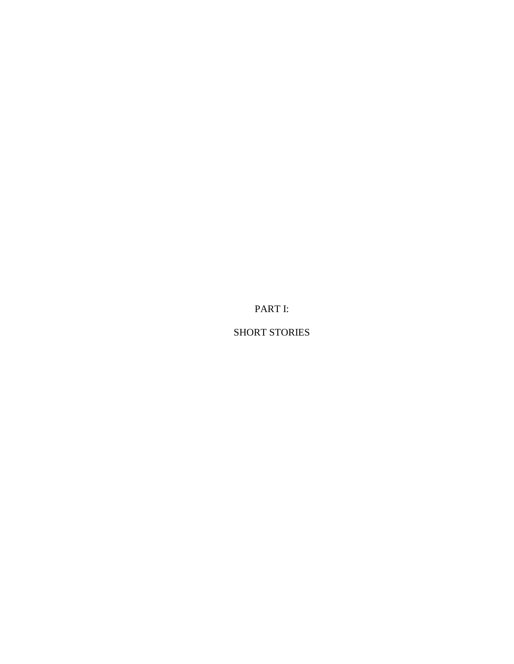PART I:

SHORT STORIES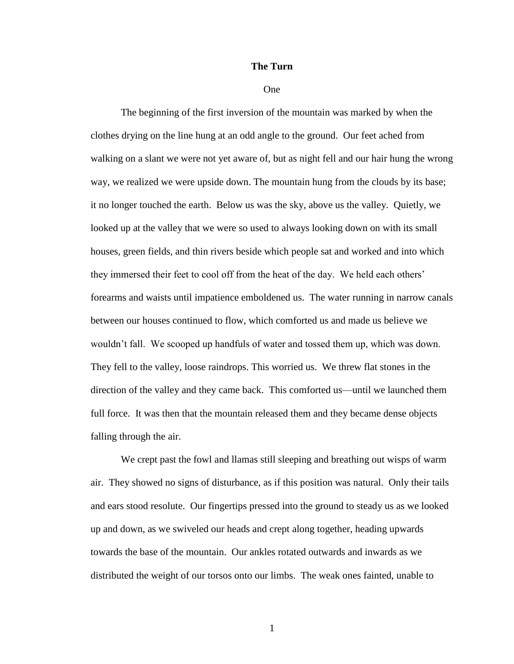#### **The Turn**

#### One

The beginning of the first inversion of the mountain was marked by when the clothes drying on the line hung at an odd angle to the ground. Our feet ached from walking on a slant we were not yet aware of, but as night fell and our hair hung the wrong way, we realized we were upside down. The mountain hung from the clouds by its base; it no longer touched the earth. Below us was the sky, above us the valley. Quietly, we looked up at the valley that we were so used to always looking down on with its small houses, green fields, and thin rivers beside which people sat and worked and into which they immersed their feet to cool off from the heat of the day. We held each others" forearms and waists until impatience emboldened us. The water running in narrow canals between our houses continued to flow, which comforted us and made us believe we wouldn"t fall. We scooped up handfuls of water and tossed them up, which was down. They fell to the valley, loose raindrops. This worried us. We threw flat stones in the direction of the valley and they came back. This comforted us—until we launched them full force. It was then that the mountain released them and they became dense objects falling through the air.

We crept past the fowl and llamas still sleeping and breathing out wisps of warm air. They showed no signs of disturbance, as if this position was natural. Only their tails and ears stood resolute. Our fingertips pressed into the ground to steady us as we looked up and down, as we swiveled our heads and crept along together, heading upwards towards the base of the mountain. Our ankles rotated outwards and inwards as we distributed the weight of our torsos onto our limbs. The weak ones fainted, unable to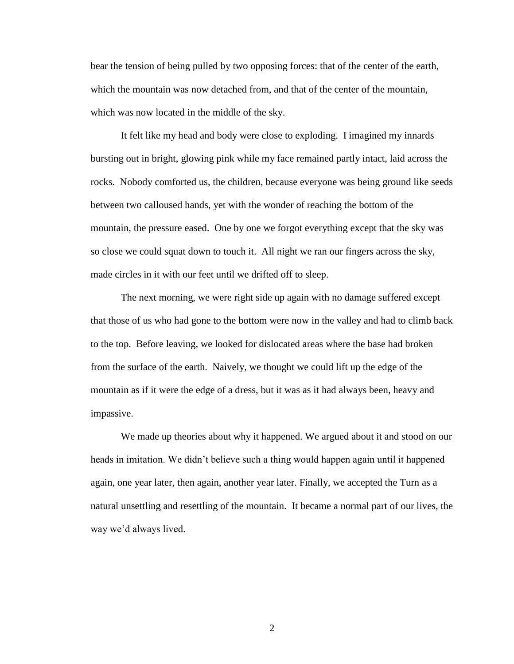bear the tension of being pulled by two opposing forces: that of the center of the earth, which the mountain was now detached from, and that of the center of the mountain, which was now located in the middle of the sky.

It felt like my head and body were close to exploding. I imagined my innards bursting out in bright, glowing pink while my face remained partly intact, laid across the rocks. Nobody comforted us, the children, because everyone was being ground like seeds between two calloused hands, yet with the wonder of reaching the bottom of the mountain, the pressure eased. One by one we forgot everything except that the sky was so close we could squat down to touch it. All night we ran our fingers across the sky, made circles in it with our feet until we drifted off to sleep.

The next morning, we were right side up again with no damage suffered except that those of us who had gone to the bottom were now in the valley and had to climb back to the top. Before leaving, we looked for dislocated areas where the base had broken from the surface of the earth. Naively, we thought we could lift up the edge of the mountain as if it were the edge of a dress, but it was as it had always been, heavy and impassive.

We made up theories about why it happened. We argued about it and stood on our heads in imitation. We didn"t believe such a thing would happen again until it happened again, one year later, then again, another year later. Finally, we accepted the Turn as a natural unsettling and resettling of the mountain. It became a normal part of our lives, the way we"d always lived.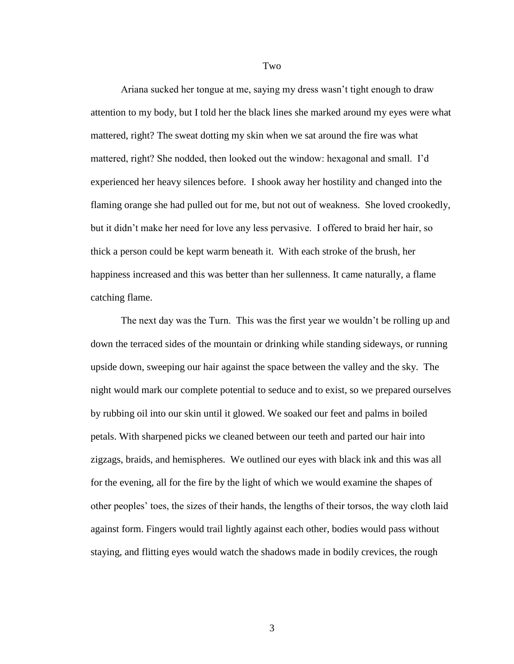Ariana sucked her tongue at me, saying my dress wasn"t tight enough to draw attention to my body, but I told her the black lines she marked around my eyes were what mattered, right? The sweat dotting my skin when we sat around the fire was what mattered, right? She nodded, then looked out the window: hexagonal and small. I"d experienced her heavy silences before. I shook away her hostility and changed into the flaming orange she had pulled out for me, but not out of weakness. She loved crookedly, but it didn"t make her need for love any less pervasive. I offered to braid her hair, so thick a person could be kept warm beneath it. With each stroke of the brush, her happiness increased and this was better than her sullenness. It came naturally, a flame catching flame.

The next day was the Turn. This was the first year we wouldn"t be rolling up and down the terraced sides of the mountain or drinking while standing sideways, or running upside down, sweeping our hair against the space between the valley and the sky. The night would mark our complete potential to seduce and to exist, so we prepared ourselves by rubbing oil into our skin until it glowed. We soaked our feet and palms in boiled petals. With sharpened picks we cleaned between our teeth and parted our hair into zigzags, braids, and hemispheres. We outlined our eyes with black ink and this was all for the evening, all for the fire by the light of which we would examine the shapes of other peoples" toes, the sizes of their hands, the lengths of their torsos, the way cloth laid against form. Fingers would trail lightly against each other, bodies would pass without staying, and flitting eyes would watch the shadows made in bodily crevices, the rough

Two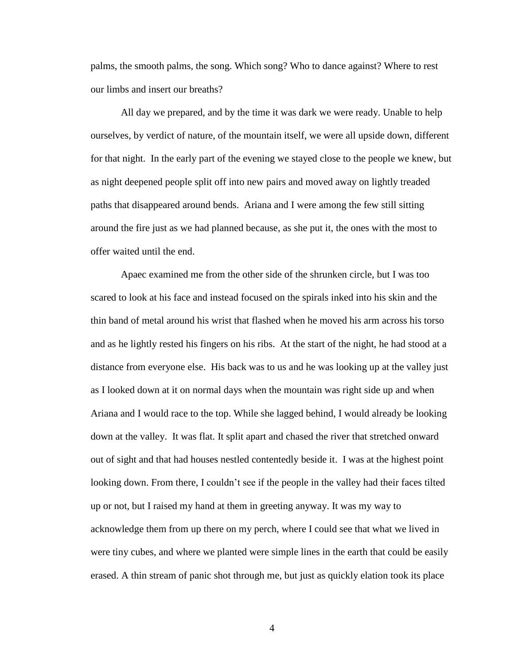palms, the smooth palms, the song. Which song? Who to dance against? Where to rest our limbs and insert our breaths?

All day we prepared, and by the time it was dark we were ready. Unable to help ourselves, by verdict of nature, of the mountain itself, we were all upside down, different for that night. In the early part of the evening we stayed close to the people we knew, but as night deepened people split off into new pairs and moved away on lightly treaded paths that disappeared around bends. Ariana and I were among the few still sitting around the fire just as we had planned because, as she put it, the ones with the most to offer waited until the end.

Apaec examined me from the other side of the shrunken circle, but I was too scared to look at his face and instead focused on the spirals inked into his skin and the thin band of metal around his wrist that flashed when he moved his arm across his torso and as he lightly rested his fingers on his ribs. At the start of the night, he had stood at a distance from everyone else. His back was to us and he was looking up at the valley just as I looked down at it on normal days when the mountain was right side up and when Ariana and I would race to the top. While she lagged behind, I would already be looking down at the valley. It was flat. It split apart and chased the river that stretched onward out of sight and that had houses nestled contentedly beside it. I was at the highest point looking down. From there, I couldn't see if the people in the valley had their faces tilted up or not, but I raised my hand at them in greeting anyway. It was my way to acknowledge them from up there on my perch, where I could see that what we lived in were tiny cubes, and where we planted were simple lines in the earth that could be easily erased. A thin stream of panic shot through me, but just as quickly elation took its place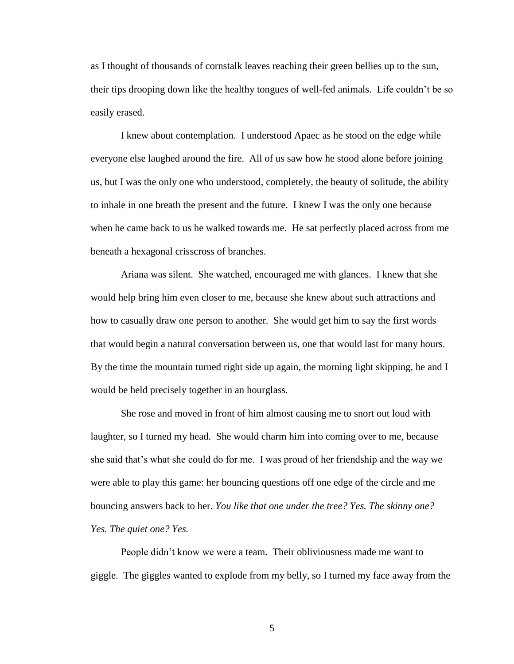as I thought of thousands of cornstalk leaves reaching their green bellies up to the sun, their tips drooping down like the healthy tongues of well-fed animals. Life couldn"t be so easily erased.

I knew about contemplation. I understood Apaec as he stood on the edge while everyone else laughed around the fire. All of us saw how he stood alone before joining us, but I was the only one who understood, completely, the beauty of solitude, the ability to inhale in one breath the present and the future. I knew I was the only one because when he came back to us he walked towards me. He sat perfectly placed across from me beneath a hexagonal crisscross of branches.

Ariana was silent. She watched, encouraged me with glances. I knew that she would help bring him even closer to me, because she knew about such attractions and how to casually draw one person to another. She would get him to say the first words that would begin a natural conversation between us, one that would last for many hours. By the time the mountain turned right side up again, the morning light skipping, he and I would be held precisely together in an hourglass.

She rose and moved in front of him almost causing me to snort out loud with laughter, so I turned my head. She would charm him into coming over to me, because she said that"s what she could do for me. I was proud of her friendship and the way we were able to play this game: her bouncing questions off one edge of the circle and me bouncing answers back to her. *You like that one under the tree? Yes. The skinny one? Yes. The quiet one? Yes.*

People didn"t know we were a team. Their obliviousness made me want to giggle. The giggles wanted to explode from my belly, so I turned my face away from the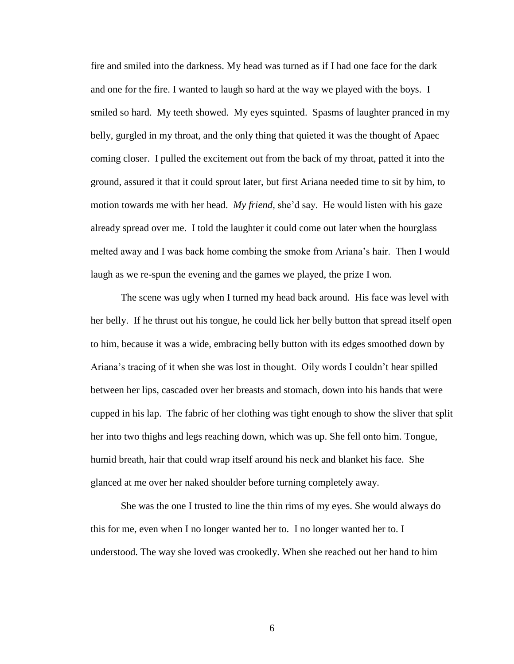fire and smiled into the darkness. My head was turned as if I had one face for the dark and one for the fire. I wanted to laugh so hard at the way we played with the boys. I smiled so hard. My teeth showed. My eyes squinted. Spasms of laughter pranced in my belly, gurgled in my throat, and the only thing that quieted it was the thought of Apaec coming closer. I pulled the excitement out from the back of my throat, patted it into the ground, assured it that it could sprout later, but first Ariana needed time to sit by him, to motion towards me with her head. *My friend*, she'd say. He would listen with his gaze already spread over me. I told the laughter it could come out later when the hourglass melted away and I was back home combing the smoke from Ariana"s hair. Then I would laugh as we re-spun the evening and the games we played, the prize I won.

The scene was ugly when I turned my head back around. His face was level with her belly. If he thrust out his tongue, he could lick her belly button that spread itself open to him, because it was a wide, embracing belly button with its edges smoothed down by Ariana"s tracing of it when she was lost in thought. Oily words I couldn"t hear spilled between her lips, cascaded over her breasts and stomach, down into his hands that were cupped in his lap. The fabric of her clothing was tight enough to show the sliver that split her into two thighs and legs reaching down, which was up. She fell onto him. Tongue, humid breath, hair that could wrap itself around his neck and blanket his face. She glanced at me over her naked shoulder before turning completely away.

She was the one I trusted to line the thin rims of my eyes. She would always do this for me, even when I no longer wanted her to. I no longer wanted her to. I understood. The way she loved was crookedly. When she reached out her hand to him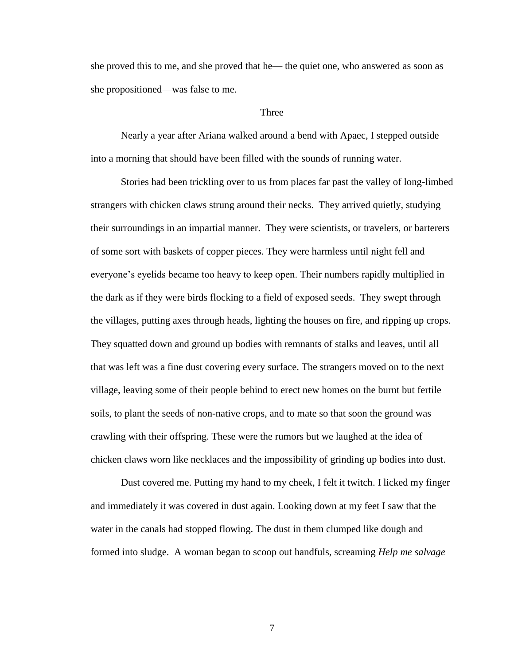she proved this to me, and she proved that he— the quiet one, who answered as soon as she propositioned—was false to me.

### Three

Nearly a year after Ariana walked around a bend with Apaec, I stepped outside into a morning that should have been filled with the sounds of running water.

Stories had been trickling over to us from places far past the valley of long-limbed strangers with chicken claws strung around their necks. They arrived quietly, studying their surroundings in an impartial manner. They were scientists, or travelers, or barterers of some sort with baskets of copper pieces. They were harmless until night fell and everyone"s eyelids became too heavy to keep open. Their numbers rapidly multiplied in the dark as if they were birds flocking to a field of exposed seeds. They swept through the villages, putting axes through heads, lighting the houses on fire, and ripping up crops. They squatted down and ground up bodies with remnants of stalks and leaves, until all that was left was a fine dust covering every surface. The strangers moved on to the next village, leaving some of their people behind to erect new homes on the burnt but fertile soils, to plant the seeds of non-native crops, and to mate so that soon the ground was crawling with their offspring. These were the rumors but we laughed at the idea of chicken claws worn like necklaces and the impossibility of grinding up bodies into dust.

Dust covered me. Putting my hand to my cheek, I felt it twitch. I licked my finger and immediately it was covered in dust again. Looking down at my feet I saw that the water in the canals had stopped flowing. The dust in them clumped like dough and formed into sludge. A woman began to scoop out handfuls, screaming *Help me salvage*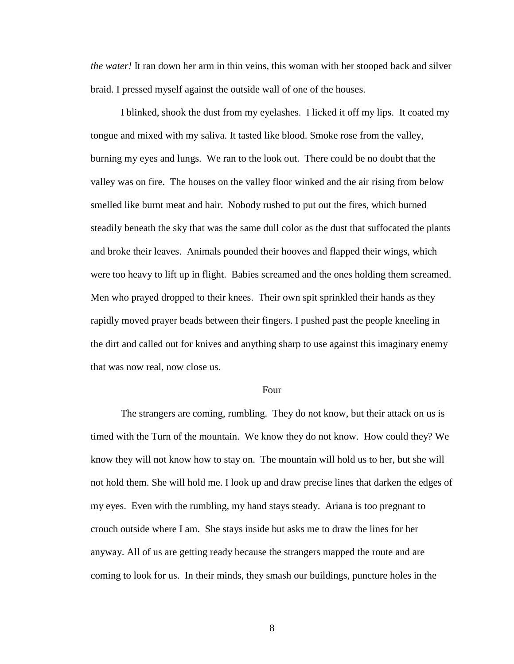*the water!* It ran down her arm in thin veins, this woman with her stooped back and silver braid. I pressed myself against the outside wall of one of the houses.

I blinked, shook the dust from my eyelashes. I licked it off my lips. It coated my tongue and mixed with my saliva. It tasted like blood. Smoke rose from the valley, burning my eyes and lungs. We ran to the look out. There could be no doubt that the valley was on fire. The houses on the valley floor winked and the air rising from below smelled like burnt meat and hair. Nobody rushed to put out the fires, which burned steadily beneath the sky that was the same dull color as the dust that suffocated the plants and broke their leaves. Animals pounded their hooves and flapped their wings, which were too heavy to lift up in flight. Babies screamed and the ones holding them screamed. Men who prayed dropped to their knees. Their own spit sprinkled their hands as they rapidly moved prayer beads between their fingers. I pushed past the people kneeling in the dirt and called out for knives and anything sharp to use against this imaginary enemy that was now real, now close us.

#### Four

The strangers are coming, rumbling. They do not know, but their attack on us is timed with the Turn of the mountain. We know they do not know. How could they? We know they will not know how to stay on. The mountain will hold us to her, but she will not hold them. She will hold me. I look up and draw precise lines that darken the edges of my eyes. Even with the rumbling, my hand stays steady. Ariana is too pregnant to crouch outside where I am. She stays inside but asks me to draw the lines for her anyway. All of us are getting ready because the strangers mapped the route and are coming to look for us. In their minds, they smash our buildings, puncture holes in the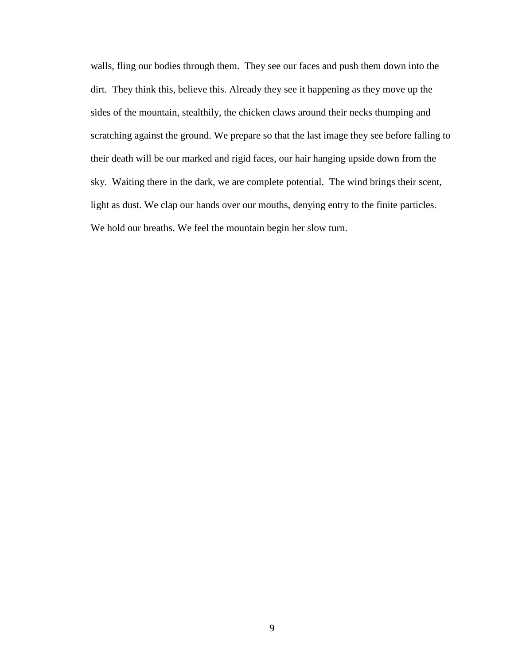walls, fling our bodies through them. They see our faces and push them down into the dirt. They think this, believe this. Already they see it happening as they move up the sides of the mountain, stealthily, the chicken claws around their necks thumping and scratching against the ground. We prepare so that the last image they see before falling to their death will be our marked and rigid faces, our hair hanging upside down from the sky. Waiting there in the dark, we are complete potential. The wind brings their scent, light as dust. We clap our hands over our mouths, denying entry to the finite particles. We hold our breaths. We feel the mountain begin her slow turn.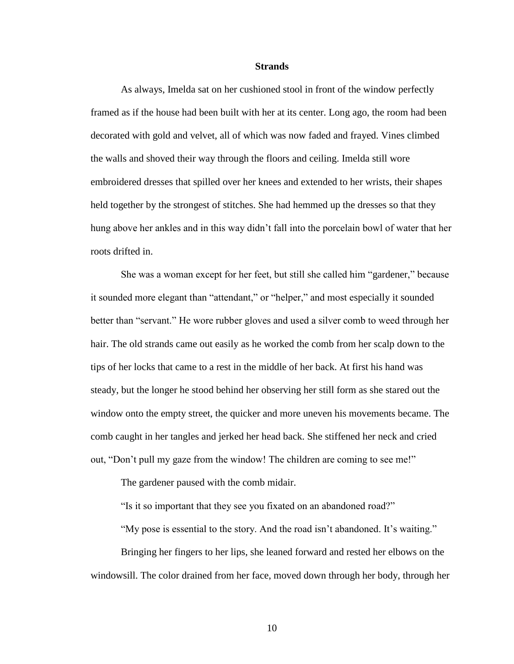#### **Strands**

As always, Imelda sat on her cushioned stool in front of the window perfectly framed as if the house had been built with her at its center. Long ago, the room had been decorated with gold and velvet, all of which was now faded and frayed. Vines climbed the walls and shoved their way through the floors and ceiling. Imelda still wore embroidered dresses that spilled over her knees and extended to her wrists, their shapes held together by the strongest of stitches. She had hemmed up the dresses so that they hung above her ankles and in this way didn"t fall into the porcelain bowl of water that her roots drifted in.

She was a woman except for her feet, but still she called him "gardener," because it sounded more elegant than "attendant," or "helper," and most especially it sounded better than "servant." He wore rubber gloves and used a silver comb to weed through her hair. The old strands came out easily as he worked the comb from her scalp down to the tips of her locks that came to a rest in the middle of her back. At first his hand was steady, but the longer he stood behind her observing her still form as she stared out the window onto the empty street, the quicker and more uneven his movements became. The comb caught in her tangles and jerked her head back. She stiffened her neck and cried out, "Don"t pull my gaze from the window! The children are coming to see me!"

The gardener paused with the comb midair.

"Is it so important that they see you fixated on an abandoned road?"

"My pose is essential to the story. And the road isn't abandoned. It's waiting."

Bringing her fingers to her lips, she leaned forward and rested her elbows on the windowsill. The color drained from her face, moved down through her body, through her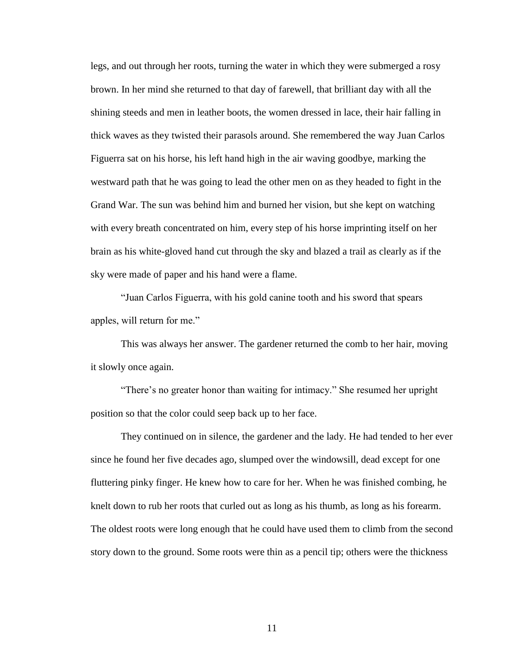legs, and out through her roots, turning the water in which they were submerged a rosy brown. In her mind she returned to that day of farewell, that brilliant day with all the shining steeds and men in leather boots, the women dressed in lace, their hair falling in thick waves as they twisted their parasols around. She remembered the way Juan Carlos Figuerra sat on his horse, his left hand high in the air waving goodbye, marking the westward path that he was going to lead the other men on as they headed to fight in the Grand War. The sun was behind him and burned her vision, but she kept on watching with every breath concentrated on him, every step of his horse imprinting itself on her brain as his white-gloved hand cut through the sky and blazed a trail as clearly as if the sky were made of paper and his hand were a flame.

"Juan Carlos Figuerra, with his gold canine tooth and his sword that spears apples, will return for me."

This was always her answer. The gardener returned the comb to her hair, moving it slowly once again.

"There's no greater honor than waiting for intimacy." She resumed her upright position so that the color could seep back up to her face.

They continued on in silence, the gardener and the lady. He had tended to her ever since he found her five decades ago, slumped over the windowsill, dead except for one fluttering pinky finger. He knew how to care for her. When he was finished combing, he knelt down to rub her roots that curled out as long as his thumb, as long as his forearm. The oldest roots were long enough that he could have used them to climb from the second story down to the ground. Some roots were thin as a pencil tip; others were the thickness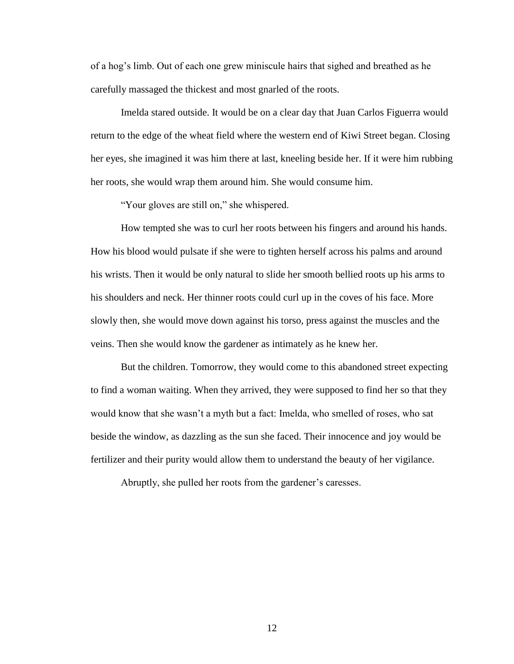of a hog"s limb. Out of each one grew miniscule hairs that sighed and breathed as he carefully massaged the thickest and most gnarled of the roots.

Imelda stared outside. It would be on a clear day that Juan Carlos Figuerra would return to the edge of the wheat field where the western end of Kiwi Street began. Closing her eyes, she imagined it was him there at last, kneeling beside her. If it were him rubbing her roots, she would wrap them around him. She would consume him.

"Your gloves are still on," she whispered.

How tempted she was to curl her roots between his fingers and around his hands. How his blood would pulsate if she were to tighten herself across his palms and around his wrists. Then it would be only natural to slide her smooth bellied roots up his arms to his shoulders and neck. Her thinner roots could curl up in the coves of his face. More slowly then, she would move down against his torso, press against the muscles and the veins. Then she would know the gardener as intimately as he knew her.

But the children. Tomorrow, they would come to this abandoned street expecting to find a woman waiting. When they arrived, they were supposed to find her so that they would know that she wasn"t a myth but a fact: Imelda, who smelled of roses, who sat beside the window, as dazzling as the sun she faced. Their innocence and joy would be fertilizer and their purity would allow them to understand the beauty of her vigilance.

Abruptly, she pulled her roots from the gardener's caresses.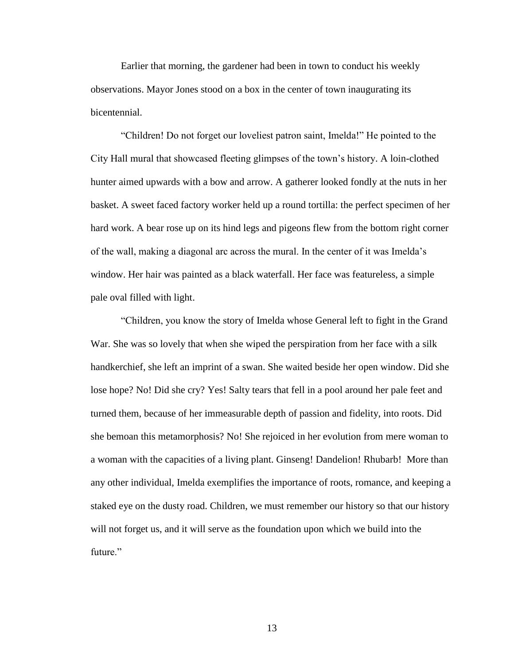Earlier that morning, the gardener had been in town to conduct his weekly observations. Mayor Jones stood on a box in the center of town inaugurating its bicentennial.

"Children! Do not forget our loveliest patron saint, Imelda!" He pointed to the City Hall mural that showcased fleeting glimpses of the town"s history. A loin-clothed hunter aimed upwards with a bow and arrow. A gatherer looked fondly at the nuts in her basket. A sweet faced factory worker held up a round tortilla: the perfect specimen of her hard work. A bear rose up on its hind legs and pigeons flew from the bottom right corner of the wall, making a diagonal arc across the mural. In the center of it was Imelda"s window. Her hair was painted as a black waterfall. Her face was featureless, a simple pale oval filled with light.

"Children, you know the story of Imelda whose General left to fight in the Grand War. She was so lovely that when she wiped the perspiration from her face with a silk handkerchief, she left an imprint of a swan. She waited beside her open window. Did she lose hope? No! Did she cry? Yes! Salty tears that fell in a pool around her pale feet and turned them, because of her immeasurable depth of passion and fidelity, into roots. Did she bemoan this metamorphosis? No! She rejoiced in her evolution from mere woman to a woman with the capacities of a living plant. Ginseng! Dandelion! Rhubarb! More than any other individual, Imelda exemplifies the importance of roots, romance, and keeping a staked eye on the dusty road. Children, we must remember our history so that our history will not forget us, and it will serve as the foundation upon which we build into the future."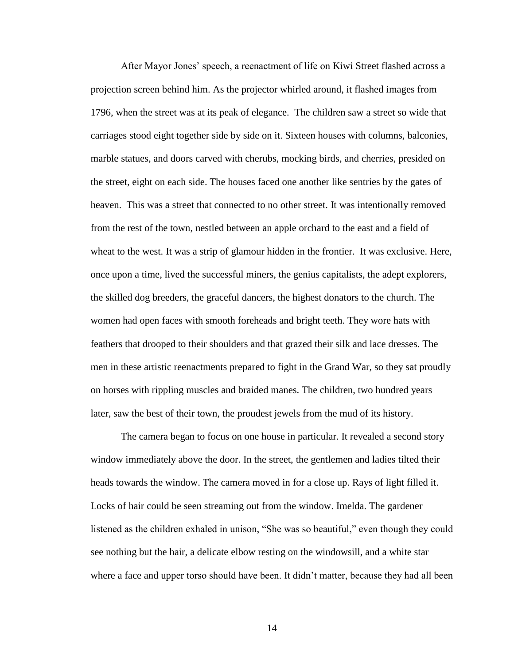After Mayor Jones" speech, a reenactment of life on Kiwi Street flashed across a projection screen behind him. As the projector whirled around, it flashed images from 1796, when the street was at its peak of elegance. The children saw a street so wide that carriages stood eight together side by side on it. Sixteen houses with columns, balconies, marble statues, and doors carved with cherubs, mocking birds, and cherries, presided on the street, eight on each side. The houses faced one another like sentries by the gates of heaven. This was a street that connected to no other street. It was intentionally removed from the rest of the town, nestled between an apple orchard to the east and a field of wheat to the west. It was a strip of glamour hidden in the frontier. It was exclusive. Here, once upon a time, lived the successful miners, the genius capitalists, the adept explorers, the skilled dog breeders, the graceful dancers, the highest donators to the church. The women had open faces with smooth foreheads and bright teeth. They wore hats with feathers that drooped to their shoulders and that grazed their silk and lace dresses. The men in these artistic reenactments prepared to fight in the Grand War, so they sat proudly on horses with rippling muscles and braided manes. The children, two hundred years later, saw the best of their town, the proudest jewels from the mud of its history.

The camera began to focus on one house in particular. It revealed a second story window immediately above the door. In the street, the gentlemen and ladies tilted their heads towards the window. The camera moved in for a close up. Rays of light filled it. Locks of hair could be seen streaming out from the window. Imelda. The gardener listened as the children exhaled in unison, "She was so beautiful," even though they could see nothing but the hair, a delicate elbow resting on the windowsill, and a white star where a face and upper torso should have been. It didn't matter, because they had all been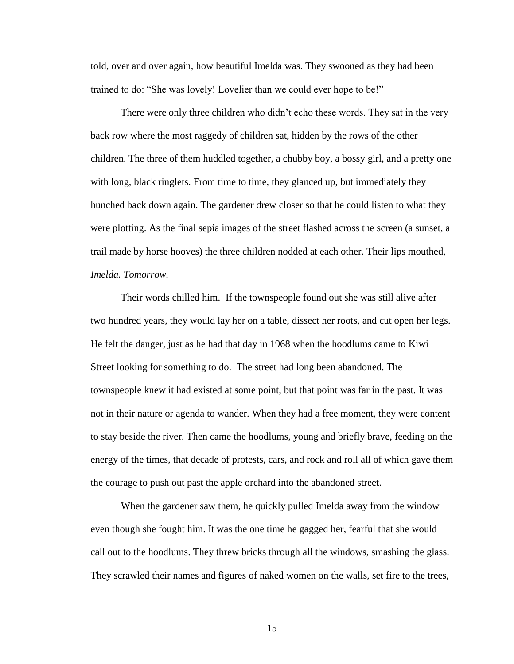told, over and over again, how beautiful Imelda was. They swooned as they had been trained to do: "She was lovely! Lovelier than we could ever hope to be!"

There were only three children who didn"t echo these words. They sat in the very back row where the most raggedy of children sat, hidden by the rows of the other children. The three of them huddled together, a chubby boy, a bossy girl, and a pretty one with long, black ringlets. From time to time, they glanced up, but immediately they hunched back down again. The gardener drew closer so that he could listen to what they were plotting. As the final sepia images of the street flashed across the screen (a sunset, a trail made by horse hooves) the three children nodded at each other. Their lips mouthed, *Imelda. Tomorrow.*

Their words chilled him. If the townspeople found out she was still alive after two hundred years, they would lay her on a table, dissect her roots, and cut open her legs. He felt the danger, just as he had that day in 1968 when the hoodlums came to Kiwi Street looking for something to do. The street had long been abandoned. The townspeople knew it had existed at some point, but that point was far in the past. It was not in their nature or agenda to wander. When they had a free moment, they were content to stay beside the river. Then came the hoodlums, young and briefly brave, feeding on the energy of the times, that decade of protests, cars, and rock and roll all of which gave them the courage to push out past the apple orchard into the abandoned street.

When the gardener saw them, he quickly pulled Imelda away from the window even though she fought him. It was the one time he gagged her, fearful that she would call out to the hoodlums. They threw bricks through all the windows, smashing the glass. They scrawled their names and figures of naked women on the walls, set fire to the trees,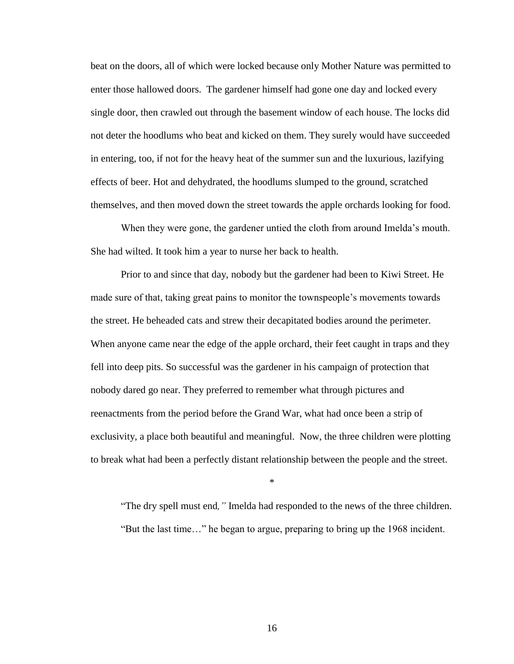beat on the doors, all of which were locked because only Mother Nature was permitted to enter those hallowed doors. The gardener himself had gone one day and locked every single door, then crawled out through the basement window of each house. The locks did not deter the hoodlums who beat and kicked on them. They surely would have succeeded in entering, too, if not for the heavy heat of the summer sun and the luxurious, lazifying effects of beer. Hot and dehydrated, the hoodlums slumped to the ground, scratched themselves, and then moved down the street towards the apple orchards looking for food.

When they were gone, the gardener untied the cloth from around Imelda's mouth. She had wilted. It took him a year to nurse her back to health.

Prior to and since that day, nobody but the gardener had been to Kiwi Street. He made sure of that, taking great pains to monitor the townspeople"s movements towards the street. He beheaded cats and strew their decapitated bodies around the perimeter. When anyone came near the edge of the apple orchard, their feet caught in traps and they fell into deep pits. So successful was the gardener in his campaign of protection that nobody dared go near. They preferred to remember what through pictures and reenactments from the period before the Grand War, what had once been a strip of exclusivity, a place both beautiful and meaningful. Now, the three children were plotting to break what had been a perfectly distant relationship between the people and the street.

\*

"The dry spell must end*,"* Imelda had responded to the news of the three children. "But the last time…" he began to argue, preparing to bring up the 1968 incident.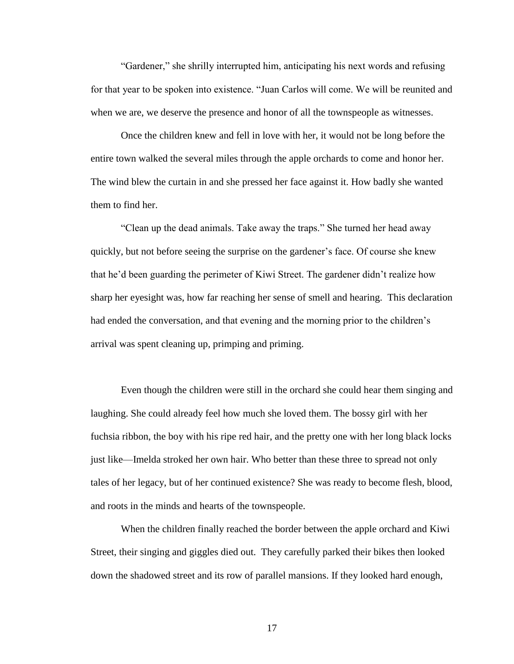"Gardener," she shrilly interrupted him, anticipating his next words and refusing for that year to be spoken into existence. "Juan Carlos will come. We will be reunited and when we are, we deserve the presence and honor of all the townspeople as witnesses.

Once the children knew and fell in love with her, it would not be long before the entire town walked the several miles through the apple orchards to come and honor her. The wind blew the curtain in and she pressed her face against it. How badly she wanted them to find her.

"Clean up the dead animals. Take away the traps." She turned her head away quickly, but not before seeing the surprise on the gardener"s face. Of course she knew that he"d been guarding the perimeter of Kiwi Street. The gardener didn"t realize how sharp her eyesight was, how far reaching her sense of smell and hearing. This declaration had ended the conversation, and that evening and the morning prior to the children's arrival was spent cleaning up, primping and priming.

Even though the children were still in the orchard she could hear them singing and laughing. She could already feel how much she loved them. The bossy girl with her fuchsia ribbon, the boy with his ripe red hair, and the pretty one with her long black locks just like—Imelda stroked her own hair. Who better than these three to spread not only tales of her legacy, but of her continued existence? She was ready to become flesh, blood, and roots in the minds and hearts of the townspeople.

When the children finally reached the border between the apple orchard and Kiwi Street, their singing and giggles died out. They carefully parked their bikes then looked down the shadowed street and its row of parallel mansions. If they looked hard enough,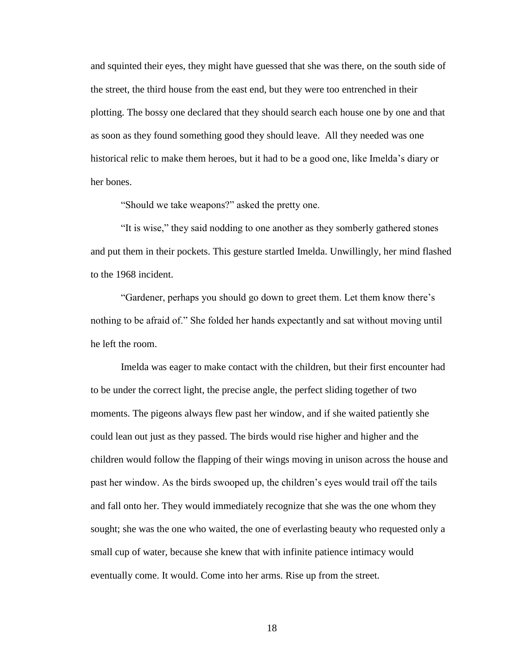and squinted their eyes, they might have guessed that she was there, on the south side of the street, the third house from the east end, but they were too entrenched in their plotting. The bossy one declared that they should search each house one by one and that as soon as they found something good they should leave. All they needed was one historical relic to make them heroes, but it had to be a good one, like Imelda"s diary or her bones.

"Should we take weapons?" asked the pretty one.

"It is wise," they said nodding to one another as they somberly gathered stones and put them in their pockets. This gesture startled Imelda. Unwillingly, her mind flashed to the 1968 incident.

"Gardener, perhaps you should go down to greet them. Let them know there"s nothing to be afraid of." She folded her hands expectantly and sat without moving until he left the room.

Imelda was eager to make contact with the children, but their first encounter had to be under the correct light, the precise angle, the perfect sliding together of two moments. The pigeons always flew past her window, and if she waited patiently she could lean out just as they passed. The birds would rise higher and higher and the children would follow the flapping of their wings moving in unison across the house and past her window. As the birds swooped up, the children"s eyes would trail off the tails and fall onto her. They would immediately recognize that she was the one whom they sought; she was the one who waited, the one of everlasting beauty who requested only a small cup of water, because she knew that with infinite patience intimacy would eventually come. It would. Come into her arms. Rise up from the street.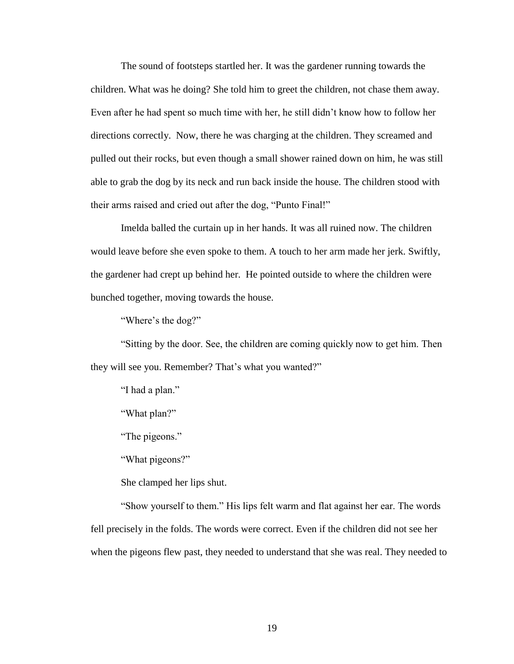The sound of footsteps startled her. It was the gardener running towards the children. What was he doing? She told him to greet the children, not chase them away. Even after he had spent so much time with her, he still didn"t know how to follow her directions correctly. Now, there he was charging at the children. They screamed and pulled out their rocks, but even though a small shower rained down on him, he was still able to grab the dog by its neck and run back inside the house. The children stood with their arms raised and cried out after the dog, "Punto Final!"

Imelda balled the curtain up in her hands. It was all ruined now. The children would leave before she even spoke to them. A touch to her arm made her jerk. Swiftly, the gardener had crept up behind her. He pointed outside to where the children were bunched together, moving towards the house.

"Where's the dog?"

"Sitting by the door. See, the children are coming quickly now to get him. Then they will see you. Remember? That's what you wanted?"

"I had a plan."

"What plan?"

"The pigeons."

"What pigeons?"

She clamped her lips shut.

"Show yourself to them." His lips felt warm and flat against her ear. The words fell precisely in the folds. The words were correct. Even if the children did not see her when the pigeons flew past, they needed to understand that she was real. They needed to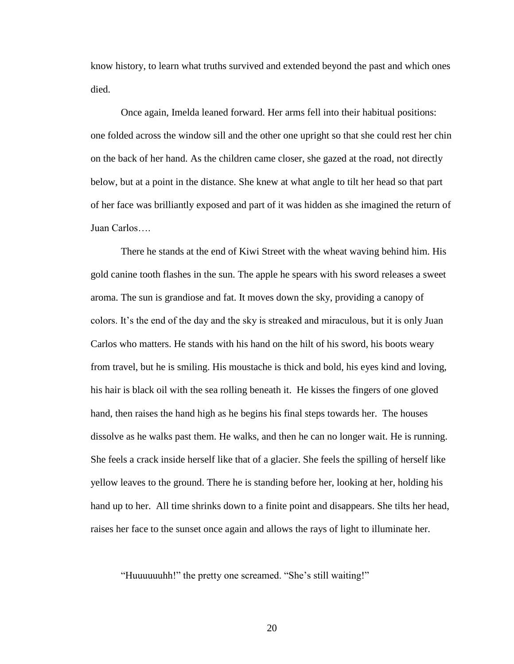know history, to learn what truths survived and extended beyond the past and which ones died.

Once again, Imelda leaned forward. Her arms fell into their habitual positions: one folded across the window sill and the other one upright so that she could rest her chin on the back of her hand. As the children came closer, she gazed at the road, not directly below, but at a point in the distance. She knew at what angle to tilt her head so that part of her face was brilliantly exposed and part of it was hidden as she imagined the return of Juan Carlos….

There he stands at the end of Kiwi Street with the wheat waving behind him. His gold canine tooth flashes in the sun. The apple he spears with his sword releases a sweet aroma. The sun is grandiose and fat. It moves down the sky, providing a canopy of colors. It's the end of the day and the sky is streaked and miraculous, but it is only Juan Carlos who matters. He stands with his hand on the hilt of his sword, his boots weary from travel, but he is smiling. His moustache is thick and bold, his eyes kind and loving, his hair is black oil with the sea rolling beneath it. He kisses the fingers of one gloved hand, then raises the hand high as he begins his final steps towards her. The houses dissolve as he walks past them. He walks, and then he can no longer wait. He is running. She feels a crack inside herself like that of a glacier. She feels the spilling of herself like yellow leaves to the ground. There he is standing before her, looking at her, holding his hand up to her. All time shrinks down to a finite point and disappears. She tilts her head, raises her face to the sunset once again and allows the rays of light to illuminate her.

"Huuuuuuhh!" the pretty one screamed. "She"s still waiting!"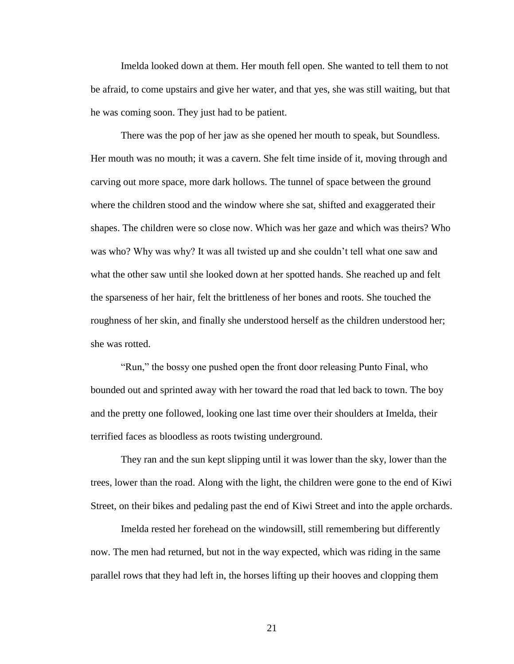Imelda looked down at them. Her mouth fell open. She wanted to tell them to not be afraid, to come upstairs and give her water, and that yes, she was still waiting, but that he was coming soon. They just had to be patient.

There was the pop of her jaw as she opened her mouth to speak, but Soundless. Her mouth was no mouth; it was a cavern. She felt time inside of it, moving through and carving out more space, more dark hollows. The tunnel of space between the ground where the children stood and the window where she sat, shifted and exaggerated their shapes. The children were so close now. Which was her gaze and which was theirs? Who was who? Why was why? It was all twisted up and she couldn"t tell what one saw and what the other saw until she looked down at her spotted hands. She reached up and felt the sparseness of her hair, felt the brittleness of her bones and roots. She touched the roughness of her skin, and finally she understood herself as the children understood her; she was rotted.

"Run," the bossy one pushed open the front door releasing Punto Final, who bounded out and sprinted away with her toward the road that led back to town. The boy and the pretty one followed, looking one last time over their shoulders at Imelda, their terrified faces as bloodless as roots twisting underground.

They ran and the sun kept slipping until it was lower than the sky, lower than the trees, lower than the road. Along with the light, the children were gone to the end of Kiwi Street, on their bikes and pedaling past the end of Kiwi Street and into the apple orchards.

Imelda rested her forehead on the windowsill, still remembering but differently now. The men had returned, but not in the way expected, which was riding in the same parallel rows that they had left in, the horses lifting up their hooves and clopping them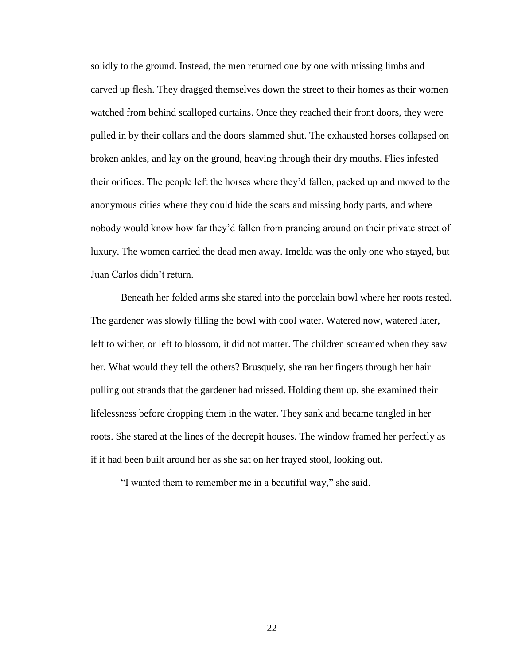solidly to the ground. Instead, the men returned one by one with missing limbs and carved up flesh. They dragged themselves down the street to their homes as their women watched from behind scalloped curtains. Once they reached their front doors, they were pulled in by their collars and the doors slammed shut. The exhausted horses collapsed on broken ankles, and lay on the ground, heaving through their dry mouths. Flies infested their orifices. The people left the horses where they"d fallen, packed up and moved to the anonymous cities where they could hide the scars and missing body parts, and where nobody would know how far they"d fallen from prancing around on their private street of luxury. The women carried the dead men away. Imelda was the only one who stayed, but Juan Carlos didn"t return.

Beneath her folded arms she stared into the porcelain bowl where her roots rested. The gardener was slowly filling the bowl with cool water. Watered now, watered later, left to wither, or left to blossom, it did not matter. The children screamed when they saw her. What would they tell the others? Brusquely, she ran her fingers through her hair pulling out strands that the gardener had missed. Holding them up, she examined their lifelessness before dropping them in the water. They sank and became tangled in her roots. She stared at the lines of the decrepit houses. The window framed her perfectly as if it had been built around her as she sat on her frayed stool, looking out.

"I wanted them to remember me in a beautiful way," she said.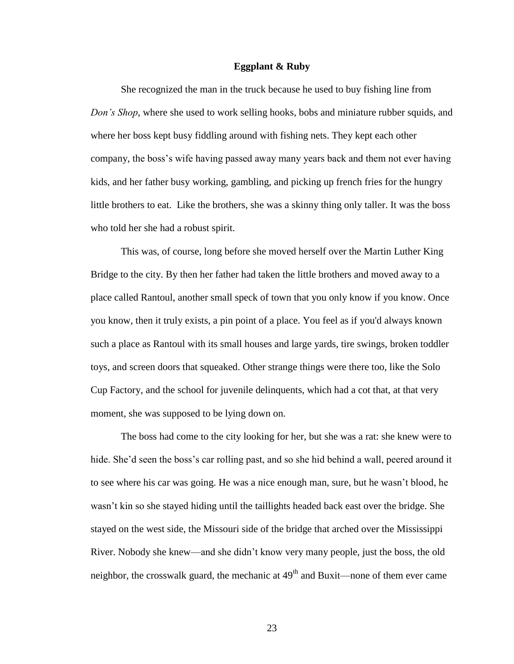#### **Eggplant & Ruby**

She recognized the man in the truck because he used to buy fishing line from *Don's Shop*, where she used to work selling hooks, bobs and miniature rubber squids, and where her boss kept busy fiddling around with fishing nets. They kept each other company, the boss"s wife having passed away many years back and them not ever having kids, and her father busy working, gambling, and picking up french fries for the hungry little brothers to eat. Like the brothers, she was a skinny thing only taller. It was the boss who told her she had a robust spirit.

This was, of course, long before she moved herself over the Martin Luther King Bridge to the city. By then her father had taken the little brothers and moved away to a place called Rantoul, another small speck of town that you only know if you know. Once you know, then it truly exists, a pin point of a place. You feel as if you'd always known such a place as Rantoul with its small houses and large yards, tire swings, broken toddler toys, and screen doors that squeaked. Other strange things were there too, like the Solo Cup Factory, and the school for juvenile delinquents, which had a cot that, at that very moment, she was supposed to be lying down on.

The boss had come to the city looking for her, but she was a rat: she knew were to hide. She'd seen the boss's car rolling past, and so she hid behind a wall, peered around it to see where his car was going. He was a nice enough man, sure, but he wasn"t blood, he wasn"t kin so she stayed hiding until the taillights headed back east over the bridge. She stayed on the west side, the Missouri side of the bridge that arched over the Mississippi River. Nobody she knew—and she didn"t know very many people, just the boss, the old neighbor, the crosswalk guard, the mechanic at  $49<sup>th</sup>$  and Buxit—none of them ever came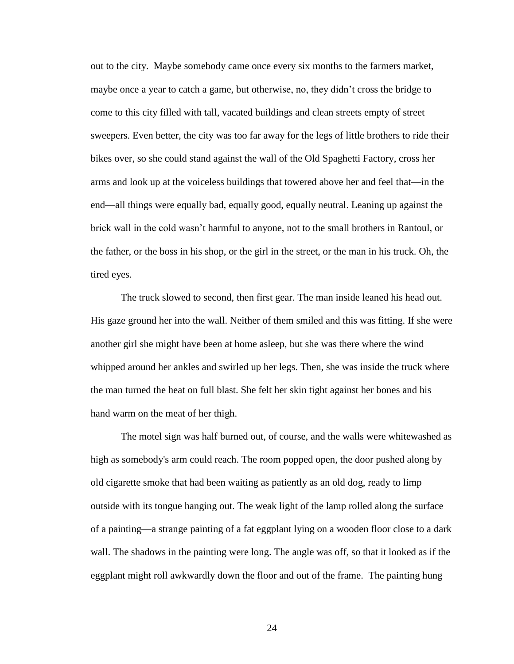out to the city. Maybe somebody came once every six months to the farmers market, maybe once a year to catch a game, but otherwise, no, they didn"t cross the bridge to come to this city filled with tall, vacated buildings and clean streets empty of street sweepers. Even better, the city was too far away for the legs of little brothers to ride their bikes over, so she could stand against the wall of the Old Spaghetti Factory, cross her arms and look up at the voiceless buildings that towered above her and feel that—in the end—all things were equally bad, equally good, equally neutral. Leaning up against the brick wall in the cold wasn"t harmful to anyone, not to the small brothers in Rantoul, or the father, or the boss in his shop, or the girl in the street, or the man in his truck. Oh, the tired eyes.

The truck slowed to second, then first gear. The man inside leaned his head out. His gaze ground her into the wall. Neither of them smiled and this was fitting. If she were another girl she might have been at home asleep, but she was there where the wind whipped around her ankles and swirled up her legs. Then, she was inside the truck where the man turned the heat on full blast. She felt her skin tight against her bones and his hand warm on the meat of her thigh.

The motel sign was half burned out, of course, and the walls were whitewashed as high as somebody's arm could reach. The room popped open, the door pushed along by old cigarette smoke that had been waiting as patiently as an old dog, ready to limp outside with its tongue hanging out. The weak light of the lamp rolled along the surface of a painting—a strange painting of a fat eggplant lying on a wooden floor close to a dark wall. The shadows in the painting were long. The angle was off, so that it looked as if the eggplant might roll awkwardly down the floor and out of the frame. The painting hung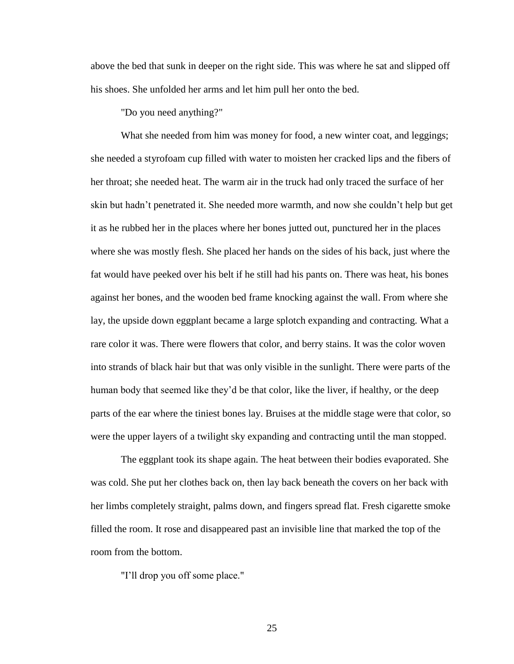above the bed that sunk in deeper on the right side. This was where he sat and slipped off his shoes. She unfolded her arms and let him pull her onto the bed.

"Do you need anything?"

What she needed from him was money for food, a new winter coat, and leggings; she needed a styrofoam cup filled with water to moisten her cracked lips and the fibers of her throat; she needed heat. The warm air in the truck had only traced the surface of her skin but hadn"t penetrated it. She needed more warmth, and now she couldn"t help but get it as he rubbed her in the places where her bones jutted out, punctured her in the places where she was mostly flesh. She placed her hands on the sides of his back, just where the fat would have peeked over his belt if he still had his pants on. There was heat, his bones against her bones, and the wooden bed frame knocking against the wall. From where she lay, the upside down eggplant became a large splotch expanding and contracting. What a rare color it was. There were flowers that color, and berry stains. It was the color woven into strands of black hair but that was only visible in the sunlight. There were parts of the human body that seemed like they"d be that color, like the liver, if healthy, or the deep parts of the ear where the tiniest bones lay. Bruises at the middle stage were that color, so were the upper layers of a twilight sky expanding and contracting until the man stopped.

The eggplant took its shape again. The heat between their bodies evaporated. She was cold. She put her clothes back on, then lay back beneath the covers on her back with her limbs completely straight, palms down, and fingers spread flat. Fresh cigarette smoke filled the room. It rose and disappeared past an invisible line that marked the top of the room from the bottom.

"I"ll drop you off some place."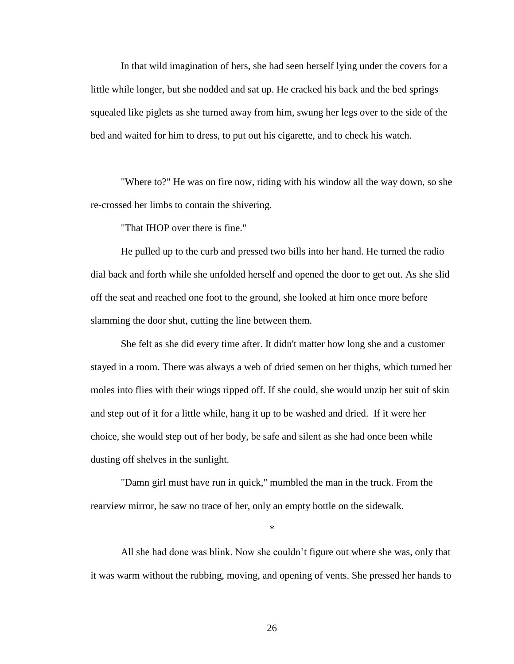In that wild imagination of hers, she had seen herself lying under the covers for a little while longer, but she nodded and sat up. He cracked his back and the bed springs squealed like piglets as she turned away from him, swung her legs over to the side of the bed and waited for him to dress, to put out his cigarette, and to check his watch.

"Where to?" He was on fire now, riding with his window all the way down, so she re-crossed her limbs to contain the shivering.

"That IHOP over there is fine."

He pulled up to the curb and pressed two bills into her hand. He turned the radio dial back and forth while she unfolded herself and opened the door to get out. As she slid off the seat and reached one foot to the ground, she looked at him once more before slamming the door shut, cutting the line between them.

She felt as she did every time after. It didn't matter how long she and a customer stayed in a room. There was always a web of dried semen on her thighs, which turned her moles into flies with their wings ripped off. If she could, she would unzip her suit of skin and step out of it for a little while, hang it up to be washed and dried. If it were her choice, she would step out of her body, be safe and silent as she had once been while dusting off shelves in the sunlight.

"Damn girl must have run in quick," mumbled the man in the truck. From the rearview mirror, he saw no trace of her, only an empty bottle on the sidewalk.

\*

All she had done was blink. Now she couldn"t figure out where she was, only that it was warm without the rubbing, moving, and opening of vents. She pressed her hands to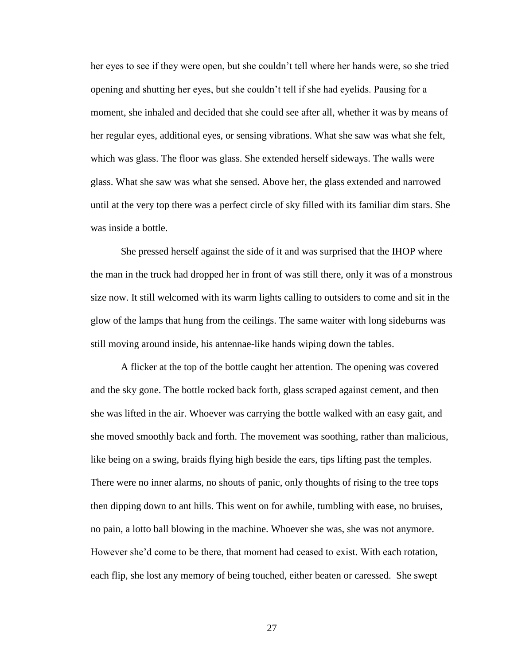her eyes to see if they were open, but she couldn"t tell where her hands were, so she tried opening and shutting her eyes, but she couldn"t tell if she had eyelids. Pausing for a moment, she inhaled and decided that she could see after all, whether it was by means of her regular eyes, additional eyes, or sensing vibrations. What she saw was what she felt, which was glass. The floor was glass. She extended herself sideways. The walls were glass. What she saw was what she sensed. Above her, the glass extended and narrowed until at the very top there was a perfect circle of sky filled with its familiar dim stars. She was inside a bottle.

She pressed herself against the side of it and was surprised that the IHOP where the man in the truck had dropped her in front of was still there, only it was of a monstrous size now. It still welcomed with its warm lights calling to outsiders to come and sit in the glow of the lamps that hung from the ceilings. The same waiter with long sideburns was still moving around inside, his antennae-like hands wiping down the tables.

A flicker at the top of the bottle caught her attention. The opening was covered and the sky gone. The bottle rocked back forth, glass scraped against cement, and then she was lifted in the air. Whoever was carrying the bottle walked with an easy gait, and she moved smoothly back and forth. The movement was soothing, rather than malicious, like being on a swing, braids flying high beside the ears, tips lifting past the temples. There were no inner alarms, no shouts of panic, only thoughts of rising to the tree tops then dipping down to ant hills. This went on for awhile, tumbling with ease, no bruises, no pain, a lotto ball blowing in the machine. Whoever she was, she was not anymore. However she"d come to be there, that moment had ceased to exist. With each rotation, each flip, she lost any memory of being touched, either beaten or caressed. She swept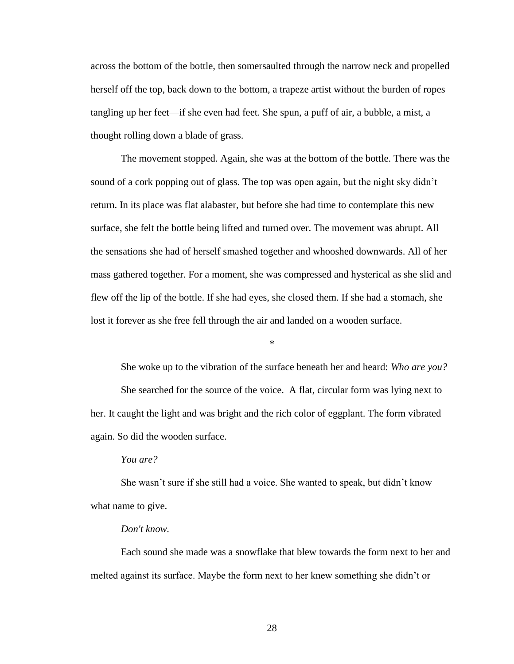across the bottom of the bottle, then somersaulted through the narrow neck and propelled herself off the top, back down to the bottom, a trapeze artist without the burden of ropes tangling up her feet—if she even had feet. She spun, a puff of air, a bubble, a mist, a thought rolling down a blade of grass.

The movement stopped. Again, she was at the bottom of the bottle. There was the sound of a cork popping out of glass. The top was open again, but the night sky didn"t return. In its place was flat alabaster, but before she had time to contemplate this new surface, she felt the bottle being lifted and turned over. The movement was abrupt. All the sensations she had of herself smashed together and whooshed downwards. All of her mass gathered together. For a moment, she was compressed and hysterical as she slid and flew off the lip of the bottle. If she had eyes, she closed them. If she had a stomach, she lost it forever as she free fell through the air and landed on a wooden surface.

\*

She woke up to the vibration of the surface beneath her and heard: *Who are you?* She searched for the source of the voice. A flat, circular form was lying next to her. It caught the light and was bright and the rich color of eggplant. The form vibrated again. So did the wooden surface.

*You are?*

She wasn"t sure if she still had a voice. She wanted to speak, but didn"t know what name to give.

# *Don't know.*

Each sound she made was a snowflake that blew towards the form next to her and melted against its surface. Maybe the form next to her knew something she didn"t or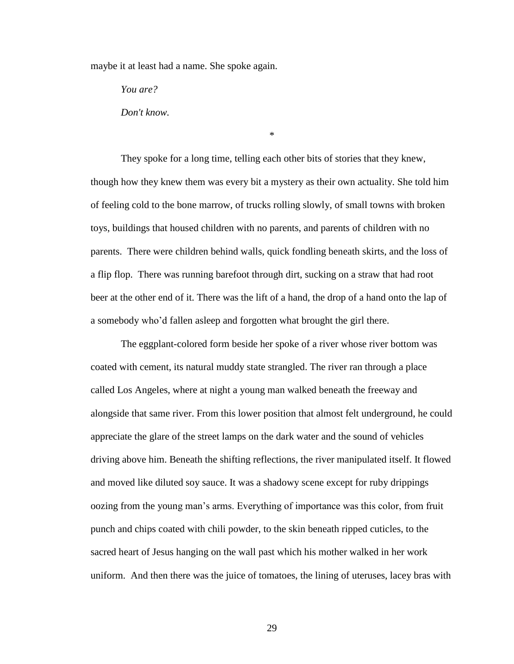maybe it at least had a name. She spoke again.

*You are?*

*Don't know.*

They spoke for a long time, telling each other bits of stories that they knew, though how they knew them was every bit a mystery as their own actuality. She told him of feeling cold to the bone marrow, of trucks rolling slowly, of small towns with broken toys, buildings that housed children with no parents, and parents of children with no parents. There were children behind walls, quick fondling beneath skirts, and the loss of a flip flop. There was running barefoot through dirt, sucking on a straw that had root beer at the other end of it. There was the lift of a hand, the drop of a hand onto the lap of a somebody who"d fallen asleep and forgotten what brought the girl there.

\*

The eggplant-colored form beside her spoke of a river whose river bottom was coated with cement, its natural muddy state strangled. The river ran through a place called Los Angeles, where at night a young man walked beneath the freeway and alongside that same river. From this lower position that almost felt underground, he could appreciate the glare of the street lamps on the dark water and the sound of vehicles driving above him. Beneath the shifting reflections, the river manipulated itself. It flowed and moved like diluted soy sauce. It was a shadowy scene except for ruby drippings oozing from the young man"s arms. Everything of importance was this color, from fruit punch and chips coated with chili powder, to the skin beneath ripped cuticles, to the sacred heart of Jesus hanging on the wall past which his mother walked in her work uniform. And then there was the juice of tomatoes, the lining of uteruses, lacey bras with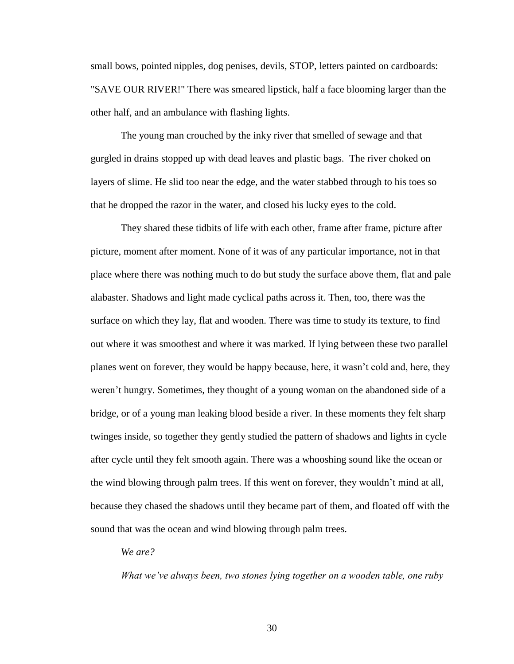small bows, pointed nipples, dog penises, devils, STOP, letters painted on cardboards: "SAVE OUR RIVER!" There was smeared lipstick*,* half a face blooming larger than the other half, and an ambulance with flashing lights.

The young man crouched by the inky river that smelled of sewage and that gurgled in drains stopped up with dead leaves and plastic bags. The river choked on layers of slime. He slid too near the edge, and the water stabbed through to his toes so that he dropped the razor in the water, and closed his lucky eyes to the cold.

They shared these tidbits of life with each other, frame after frame, picture after picture, moment after moment. None of it was of any particular importance, not in that place where there was nothing much to do but study the surface above them, flat and pale alabaster. Shadows and light made cyclical paths across it. Then, too, there was the surface on which they lay, flat and wooden. There was time to study its texture, to find out where it was smoothest and where it was marked. If lying between these two parallel planes went on forever, they would be happy because, here, it wasn"t cold and, here, they weren"t hungry. Sometimes, they thought of a young woman on the abandoned side of a bridge, or of a young man leaking blood beside a river. In these moments they felt sharp twinges inside, so together they gently studied the pattern of shadows and lights in cycle after cycle until they felt smooth again. There was a whooshing sound like the ocean or the wind blowing through palm trees. If this went on forever, they wouldn"t mind at all, because they chased the shadows until they became part of them, and floated off with the sound that was the ocean and wind blowing through palm trees.

*We are?*

*What we've always been, two stones lying together on a wooden table, one ruby*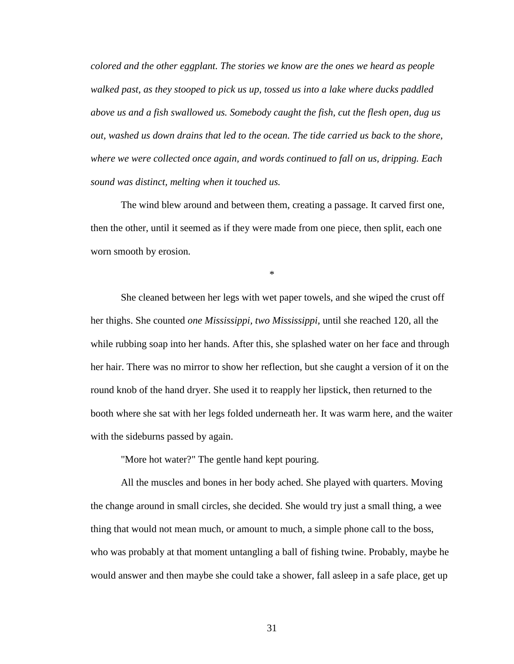*colored and the other eggplant. The stories we know are the ones we heard as people walked past, as they stooped to pick us up, tossed us into a lake where ducks paddled above us and a fish swallowed us. Somebody caught the fish, cut the flesh open, dug us out, washed us down drains that led to the ocean. The tide carried us back to the shore, where we were collected once again, and words continued to fall on us, dripping. Each sound was distinct, melting when it touched us.*

The wind blew around and between them, creating a passage. It carved first one, then the other, until it seemed as if they were made from one piece, then split, each one worn smooth by erosion*.*

\*

She cleaned between her legs with wet paper towels, and she wiped the crust off her thighs. She counted *one Mississippi, two Mississippi,* until she reached 120, all the while rubbing soap into her hands. After this, she splashed water on her face and through her hair. There was no mirror to show her reflection, but she caught a version of it on the round knob of the hand dryer. She used it to reapply her lipstick, then returned to the booth where she sat with her legs folded underneath her. It was warm here, and the waiter with the sideburns passed by again.

"More hot water?" The gentle hand kept pouring.

All the muscles and bones in her body ached. She played with quarters. Moving the change around in small circles, she decided. She would try just a small thing, a wee thing that would not mean much, or amount to much, a simple phone call to the boss, who was probably at that moment untangling a ball of fishing twine. Probably, maybe he would answer and then maybe she could take a shower, fall asleep in a safe place, get up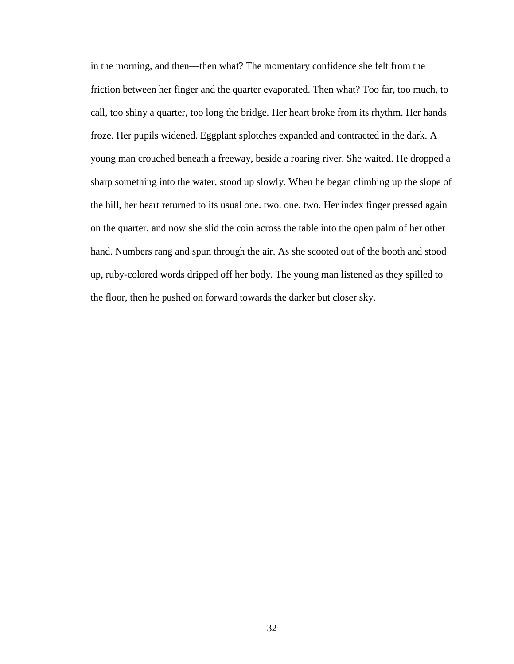in the morning, and then—then what? The momentary confidence she felt from the friction between her finger and the quarter evaporated. Then what? Too far, too much, to call, too shiny a quarter, too long the bridge. Her heart broke from its rhythm. Her hands froze. Her pupils widened. Eggplant splotches expanded and contracted in the dark. A young man crouched beneath a freeway, beside a roaring river. She waited. He dropped a sharp something into the water, stood up slowly. When he began climbing up the slope of the hill, her heart returned to its usual one. two. one. two. Her index finger pressed again on the quarter, and now she slid the coin across the table into the open palm of her other hand. Numbers rang and spun through the air. As she scooted out of the booth and stood up, ruby-colored words dripped off her body. The young man listened as they spilled to the floor, then he pushed on forward towards the darker but closer sky.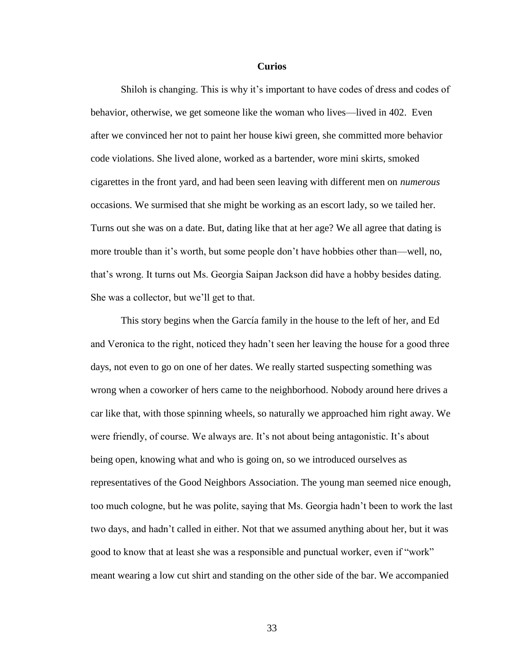### **Curios**

Shiloh is changing. This is why it's important to have codes of dress and codes of behavior, otherwise, we get someone like the woman who lives—lived in 402. Even after we convinced her not to paint her house kiwi green, she committed more behavior code violations. She lived alone, worked as a bartender, wore mini skirts, smoked cigarettes in the front yard, and had been seen leaving with different men on *numerous*  occasions. We surmised that she might be working as an escort lady, so we tailed her. Turns out she was on a date. But, dating like that at her age? We all agree that dating is more trouble than it's worth, but some people don't have hobbies other than—well, no, that"s wrong. It turns out Ms. Georgia Saipan Jackson did have a hobby besides dating. She was a collector, but we"ll get to that.

This story begins when the García family in the house to the left of her, and Ed and Veronica to the right, noticed they hadn"t seen her leaving the house for a good three days, not even to go on one of her dates. We really started suspecting something was wrong when a coworker of hers came to the neighborhood. Nobody around here drives a car like that, with those spinning wheels, so naturally we approached him right away. We were friendly, of course. We always are. It's not about being antagonistic. It's about being open, knowing what and who is going on, so we introduced ourselves as representatives of the Good Neighbors Association. The young man seemed nice enough, too much cologne, but he was polite, saying that Ms. Georgia hadn"t been to work the last two days, and hadn"t called in either. Not that we assumed anything about her, but it was good to know that at least she was a responsible and punctual worker, even if "work" meant wearing a low cut shirt and standing on the other side of the bar. We accompanied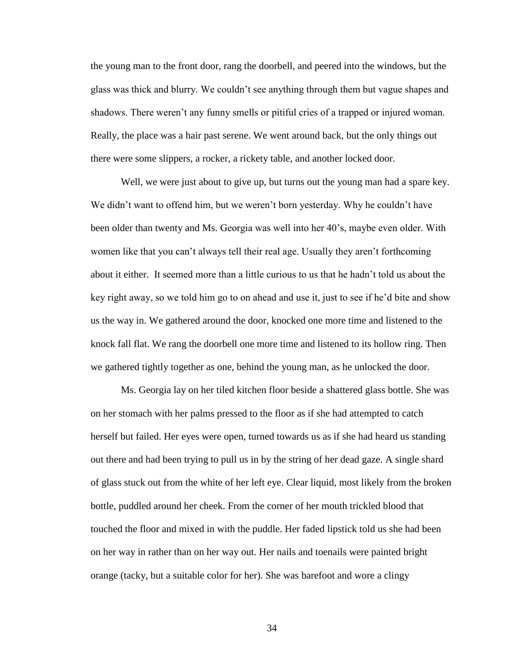the young man to the front door, rang the doorbell, and peered into the windows, but the glass was thick and blurry. We couldn"t see anything through them but vague shapes and shadows. There weren't any funny smells or pitiful cries of a trapped or injured woman. Really, the place was a hair past serene. We went around back, but the only things out there were some slippers, a rocker, a rickety table, and another locked door.

Well, we were just about to give up, but turns out the young man had a spare key. We didn't want to offend him, but we weren't born yesterday. Why he couldn't have been older than twenty and Ms. Georgia was well into her 40"s, maybe even older. With women like that you can't always tell their real age. Usually they aren't forthcoming about it either. It seemed more than a little curious to us that he hadn"t told us about the key right away, so we told him go to on ahead and use it, just to see if he"d bite and show us the way in. We gathered around the door, knocked one more time and listened to the knock fall flat. We rang the doorbell one more time and listened to its hollow ring. Then we gathered tightly together as one, behind the young man, as he unlocked the door.

Ms. Georgia lay on her tiled kitchen floor beside a shattered glass bottle. She was on her stomach with her palms pressed to the floor as if she had attempted to catch herself but failed. Her eyes were open, turned towards us as if she had heard us standing out there and had been trying to pull us in by the string of her dead gaze. A single shard of glass stuck out from the white of her left eye. Clear liquid, most likely from the broken bottle, puddled around her cheek. From the corner of her mouth trickled blood that touched the floor and mixed in with the puddle. Her faded lipstick told us she had been on her way in rather than on her way out. Her nails and toenails were painted bright orange (tacky, but a suitable color for her). She was barefoot and wore a clingy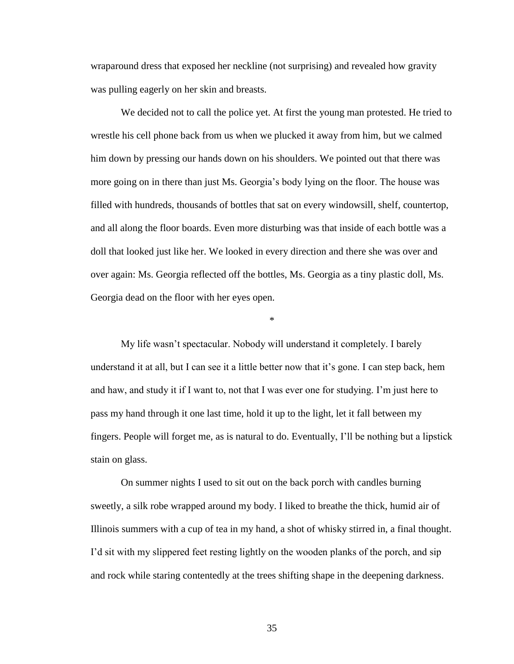wraparound dress that exposed her neckline (not surprising) and revealed how gravity was pulling eagerly on her skin and breasts.

We decided not to call the police yet. At first the young man protested. He tried to wrestle his cell phone back from us when we plucked it away from him, but we calmed him down by pressing our hands down on his shoulders. We pointed out that there was more going on in there than just Ms. Georgia"s body lying on the floor. The house was filled with hundreds, thousands of bottles that sat on every windowsill, shelf, countertop, and all along the floor boards. Even more disturbing was that inside of each bottle was a doll that looked just like her. We looked in every direction and there she was over and over again: Ms. Georgia reflected off the bottles, Ms. Georgia as a tiny plastic doll, Ms. Georgia dead on the floor with her eyes open.

My life wasn"t spectacular. Nobody will understand it completely. I barely understand it at all, but I can see it a little better now that it's gone. I can step back, hem and haw, and study it if I want to, not that I was ever one for studying. I'm just here to pass my hand through it one last time, hold it up to the light, let it fall between my fingers. People will forget me, as is natural to do. Eventually, I"ll be nothing but a lipstick stain on glass.

\*

On summer nights I used to sit out on the back porch with candles burning sweetly, a silk robe wrapped around my body. I liked to breathe the thick, humid air of Illinois summers with a cup of tea in my hand, a shot of whisky stirred in, a final thought. I"d sit with my slippered feet resting lightly on the wooden planks of the porch, and sip and rock while staring contentedly at the trees shifting shape in the deepening darkness.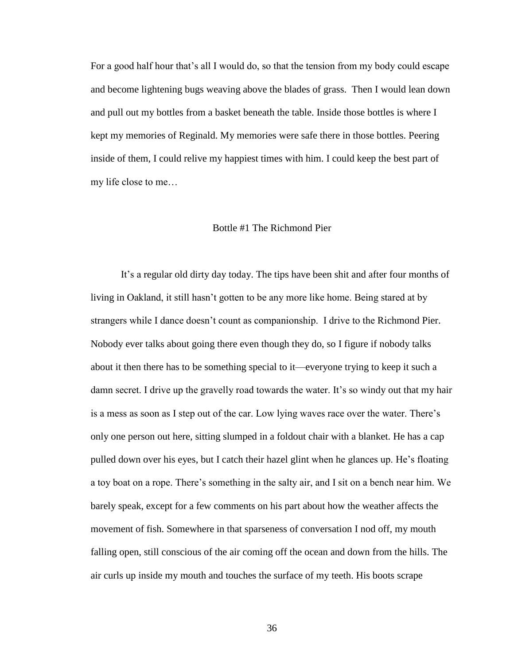For a good half hour that"s all I would do, so that the tension from my body could escape and become lightening bugs weaving above the blades of grass. Then I would lean down and pull out my bottles from a basket beneath the table. Inside those bottles is where I kept my memories of Reginald. My memories were safe there in those bottles. Peering inside of them, I could relive my happiest times with him. I could keep the best part of my life close to me…

# Bottle #1 The Richmond Pier

It"s a regular old dirty day today. The tips have been shit and after four months of living in Oakland, it still hasn"t gotten to be any more like home. Being stared at by strangers while I dance doesn"t count as companionship. I drive to the Richmond Pier. Nobody ever talks about going there even though they do, so I figure if nobody talks about it then there has to be something special to it—everyone trying to keep it such a damn secret. I drive up the gravelly road towards the water. It's so windy out that my hair is a mess as soon as I step out of the car. Low lying waves race over the water. There"s only one person out here, sitting slumped in a foldout chair with a blanket. He has a cap pulled down over his eyes, but I catch their hazel glint when he glances up. He"s floating a toy boat on a rope. There"s something in the salty air, and I sit on a bench near him. We barely speak, except for a few comments on his part about how the weather affects the movement of fish. Somewhere in that sparseness of conversation I nod off, my mouth falling open, still conscious of the air coming off the ocean and down from the hills. The air curls up inside my mouth and touches the surface of my teeth. His boots scrape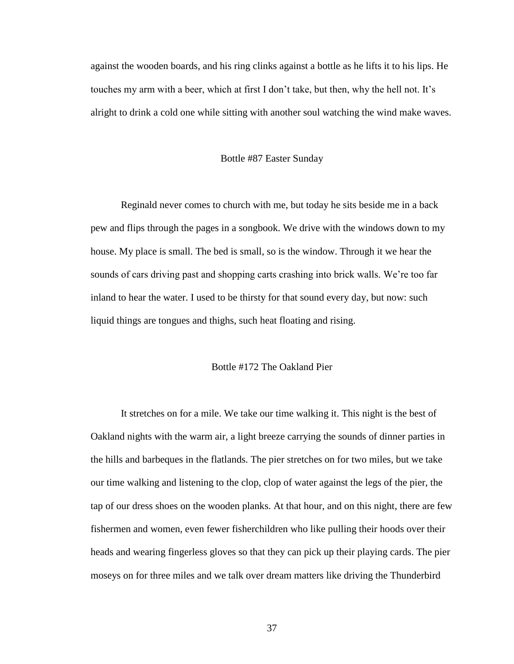against the wooden boards, and his ring clinks against a bottle as he lifts it to his lips. He touches my arm with a beer, which at first I don't take, but then, why the hell not. It's alright to drink a cold one while sitting with another soul watching the wind make waves.

#### Bottle #87 Easter Sunday

Reginald never comes to church with me, but today he sits beside me in a back pew and flips through the pages in a songbook. We drive with the windows down to my house. My place is small. The bed is small, so is the window. Through it we hear the sounds of cars driving past and shopping carts crashing into brick walls. We're too far inland to hear the water. I used to be thirsty for that sound every day, but now: such liquid things are tongues and thighs, such heat floating and rising.

## Bottle #172 The Oakland Pier

It stretches on for a mile. We take our time walking it. This night is the best of Oakland nights with the warm air, a light breeze carrying the sounds of dinner parties in the hills and barbeques in the flatlands. The pier stretches on for two miles, but we take our time walking and listening to the clop, clop of water against the legs of the pier, the tap of our dress shoes on the wooden planks. At that hour, and on this night, there are few fishermen and women, even fewer fisherchildren who like pulling their hoods over their heads and wearing fingerless gloves so that they can pick up their playing cards. The pier moseys on for three miles and we talk over dream matters like driving the Thunderbird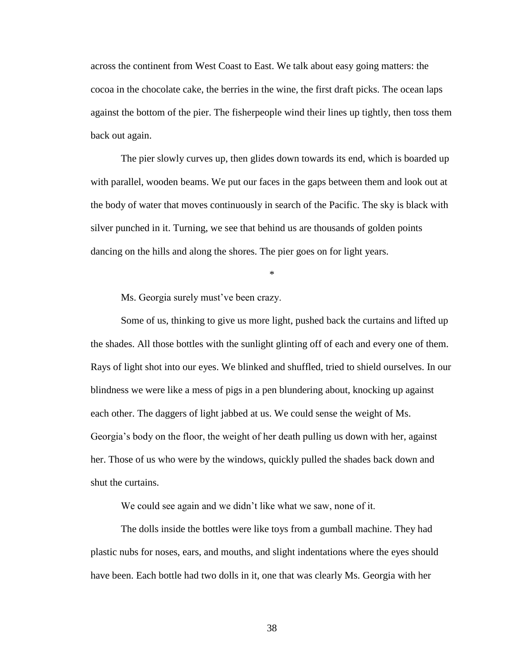across the continent from West Coast to East. We talk about easy going matters: the cocoa in the chocolate cake, the berries in the wine, the first draft picks. The ocean laps against the bottom of the pier. The fisherpeople wind their lines up tightly, then toss them back out again.

The pier slowly curves up, then glides down towards its end, which is boarded up with parallel, wooden beams. We put our faces in the gaps between them and look out at the body of water that moves continuously in search of the Pacific. The sky is black with silver punched in it. Turning, we see that behind us are thousands of golden points dancing on the hills and along the shores. The pier goes on for light years.

\*

Ms. Georgia surely must've been crazy.

Some of us, thinking to give us more light, pushed back the curtains and lifted up the shades. All those bottles with the sunlight glinting off of each and every one of them. Rays of light shot into our eyes. We blinked and shuffled, tried to shield ourselves. In our blindness we were like a mess of pigs in a pen blundering about, knocking up against each other. The daggers of light jabbed at us. We could sense the weight of Ms. Georgia"s body on the floor, the weight of her death pulling us down with her, against her. Those of us who were by the windows, quickly pulled the shades back down and shut the curtains.

We could see again and we didn't like what we saw, none of it.

The dolls inside the bottles were like toys from a gumball machine. They had plastic nubs for noses, ears, and mouths, and slight indentations where the eyes should have been. Each bottle had two dolls in it, one that was clearly Ms. Georgia with her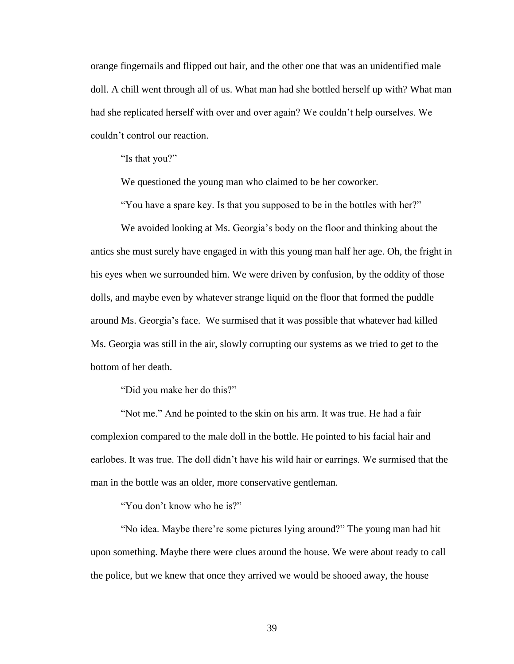orange fingernails and flipped out hair, and the other one that was an unidentified male doll. A chill went through all of us. What man had she bottled herself up with? What man had she replicated herself with over and over again? We couldn"t help ourselves. We couldn"t control our reaction.

"Is that you?"

We questioned the young man who claimed to be her coworker.

"You have a spare key. Is that you supposed to be in the bottles with her?"

We avoided looking at Ms. Georgia's body on the floor and thinking about the antics she must surely have engaged in with this young man half her age. Oh, the fright in his eyes when we surrounded him. We were driven by confusion, by the oddity of those dolls, and maybe even by whatever strange liquid on the floor that formed the puddle around Ms. Georgia"s face. We surmised that it was possible that whatever had killed Ms. Georgia was still in the air, slowly corrupting our systems as we tried to get to the bottom of her death.

"Did you make her do this?"

"Not me." And he pointed to the skin on his arm. It was true. He had a fair complexion compared to the male doll in the bottle. He pointed to his facial hair and earlobes. It was true. The doll didn"t have his wild hair or earrings. We surmised that the man in the bottle was an older, more conservative gentleman.

"You don"t know who he is?"

"No idea. Maybe there"re some pictures lying around?" The young man had hit upon something. Maybe there were clues around the house. We were about ready to call the police, but we knew that once they arrived we would be shooed away, the house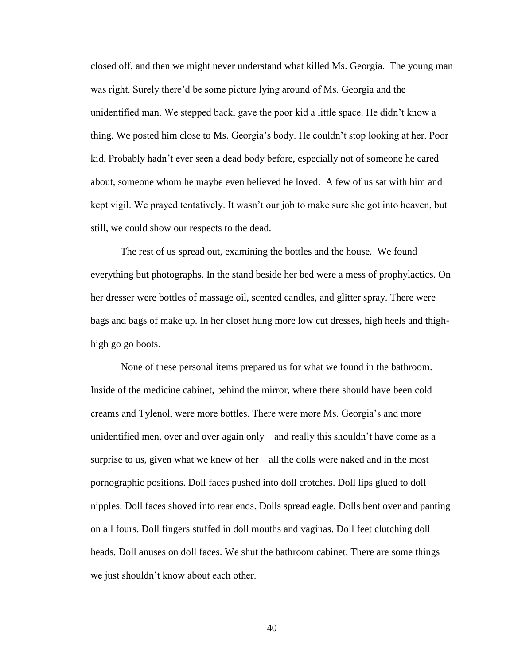closed off, and then we might never understand what killed Ms. Georgia. The young man was right. Surely there'd be some picture lying around of Ms. Georgia and the unidentified man. We stepped back, gave the poor kid a little space. He didn"t know a thing. We posted him close to Ms. Georgia"s body. He couldn"t stop looking at her. Poor kid. Probably hadn"t ever seen a dead body before, especially not of someone he cared about, someone whom he maybe even believed he loved. A few of us sat with him and kept vigil. We prayed tentatively. It wasn"t our job to make sure she got into heaven, but still, we could show our respects to the dead.

The rest of us spread out, examining the bottles and the house. We found everything but photographs. In the stand beside her bed were a mess of prophylactics. On her dresser were bottles of massage oil, scented candles, and glitter spray. There were bags and bags of make up. In her closet hung more low cut dresses, high heels and thighhigh go go boots.

None of these personal items prepared us for what we found in the bathroom. Inside of the medicine cabinet, behind the mirror, where there should have been cold creams and Tylenol, were more bottles. There were more Ms. Georgia"s and more unidentified men, over and over again only—and really this shouldn"t have come as a surprise to us, given what we knew of her—all the dolls were naked and in the most pornographic positions. Doll faces pushed into doll crotches. Doll lips glued to doll nipples. Doll faces shoved into rear ends. Dolls spread eagle. Dolls bent over and panting on all fours. Doll fingers stuffed in doll mouths and vaginas. Doll feet clutching doll heads. Doll anuses on doll faces. We shut the bathroom cabinet. There are some things we just shouldn"t know about each other.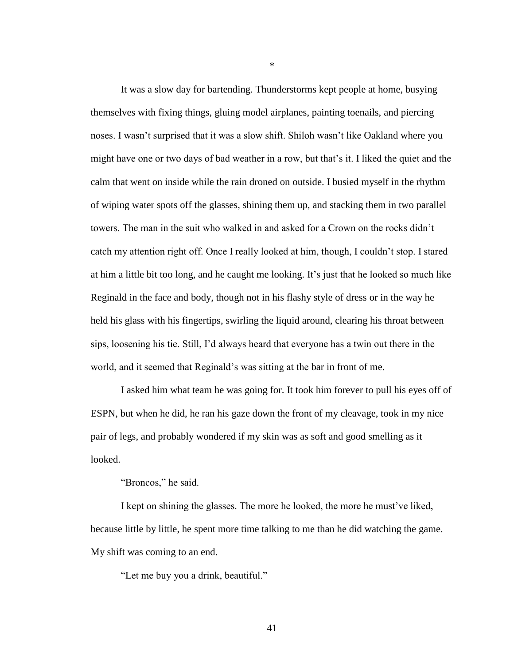It was a slow day for bartending. Thunderstorms kept people at home, busying themselves with fixing things, gluing model airplanes, painting toenails, and piercing noses. I wasn"t surprised that it was a slow shift. Shiloh wasn"t like Oakland where you might have one or two days of bad weather in a row, but that"s it. I liked the quiet and the calm that went on inside while the rain droned on outside. I busied myself in the rhythm of wiping water spots off the glasses, shining them up, and stacking them in two parallel towers. The man in the suit who walked in and asked for a Crown on the rocks didn"t catch my attention right off. Once I really looked at him, though, I couldn"t stop. I stared at him a little bit too long, and he caught me looking. It"s just that he looked so much like Reginald in the face and body, though not in his flashy style of dress or in the way he held his glass with his fingertips, swirling the liquid around, clearing his throat between sips, loosening his tie. Still, I"d always heard that everyone has a twin out there in the world, and it seemed that Reginald"s was sitting at the bar in front of me.

\*

I asked him what team he was going for. It took him forever to pull his eyes off of ESPN, but when he did, he ran his gaze down the front of my cleavage, took in my nice pair of legs, and probably wondered if my skin was as soft and good smelling as it looked.

"Broncos," he said.

I kept on shining the glasses. The more he looked, the more he must've liked, because little by little, he spent more time talking to me than he did watching the game. My shift was coming to an end.

"Let me buy you a drink, beautiful."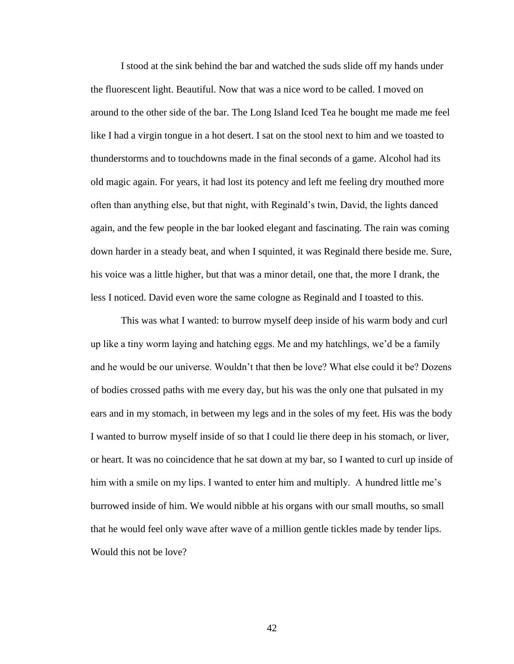I stood at the sink behind the bar and watched the suds slide off my hands under the fluorescent light. Beautiful. Now that was a nice word to be called. I moved on around to the other side of the bar. The Long Island Iced Tea he bought me made me feel like I had a virgin tongue in a hot desert. I sat on the stool next to him and we toasted to thunderstorms and to touchdowns made in the final seconds of a game. Alcohol had its old magic again. For years, it had lost its potency and left me feeling dry mouthed more often than anything else, but that night, with Reginald"s twin, David, the lights danced again, and the few people in the bar looked elegant and fascinating. The rain was coming down harder in a steady beat, and when I squinted, it was Reginald there beside me. Sure, his voice was a little higher, but that was a minor detail, one that, the more I drank, the less I noticed. David even wore the same cologne as Reginald and I toasted to this.

This was what I wanted: to burrow myself deep inside of his warm body and curl up like a tiny worm laying and hatching eggs. Me and my hatchlings, we"d be a family and he would be our universe. Wouldn"t that then be love? What else could it be? Dozens of bodies crossed paths with me every day, but his was the only one that pulsated in my ears and in my stomach, in between my legs and in the soles of my feet. His was the body I wanted to burrow myself inside of so that I could lie there deep in his stomach, or liver, or heart. It was no coincidence that he sat down at my bar, so I wanted to curl up inside of him with a smile on my lips. I wanted to enter him and multiply. A hundred little me's burrowed inside of him. We would nibble at his organs with our small mouths, so small that he would feel only wave after wave of a million gentle tickles made by tender lips. Would this not be love?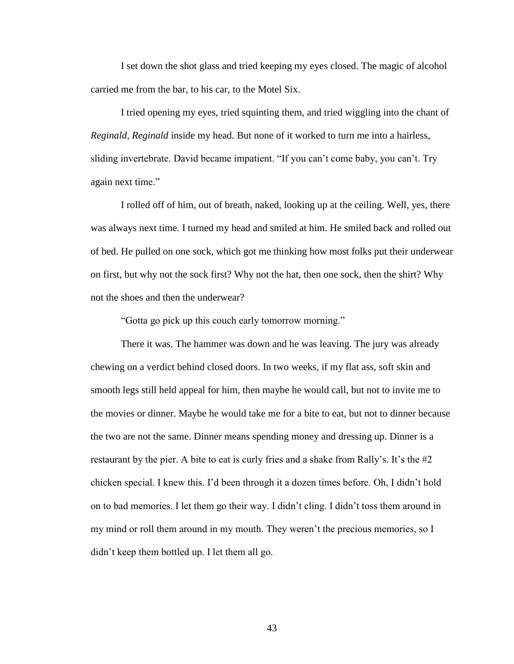I set down the shot glass and tried keeping my eyes closed. The magic of alcohol carried me from the bar, to his car, to the Motel Six.

I tried opening my eyes, tried squinting them, and tried wiggling into the chant of *Reginald, Reginald* inside my head*.* But none of it worked to turn me into a hairless, sliding invertebrate. David became impatient. "If you can"t come baby, you can"t. Try again next time."

I rolled off of him, out of breath, naked, looking up at the ceiling. Well, yes, there was always next time. I turned my head and smiled at him. He smiled back and rolled out of bed. He pulled on one sock, which got me thinking how most folks put their underwear on first, but why not the sock first? Why not the hat, then one sock, then the shirt? Why not the shoes and then the underwear?

"Gotta go pick up this couch early tomorrow morning."

There it was. The hammer was down and he was leaving. The jury was already chewing on a verdict behind closed doors. In two weeks, if my flat ass, soft skin and smooth legs still held appeal for him, then maybe he would call, but not to invite me to the movies or dinner. Maybe he would take me for a bite to eat, but not to dinner because the two are not the same. Dinner means spending money and dressing up. Dinner is a restaurant by the pier. A bite to eat is curly fries and a shake from Rally's. It's the  $#2$ chicken special. I knew this. I"d been through it a dozen times before. Oh, I didn"t hold on to bad memories. I let them go their way. I didn"t cling. I didn"t toss them around in my mind or roll them around in my mouth. They weren't the precious memories, so I didn"t keep them bottled up. I let them all go.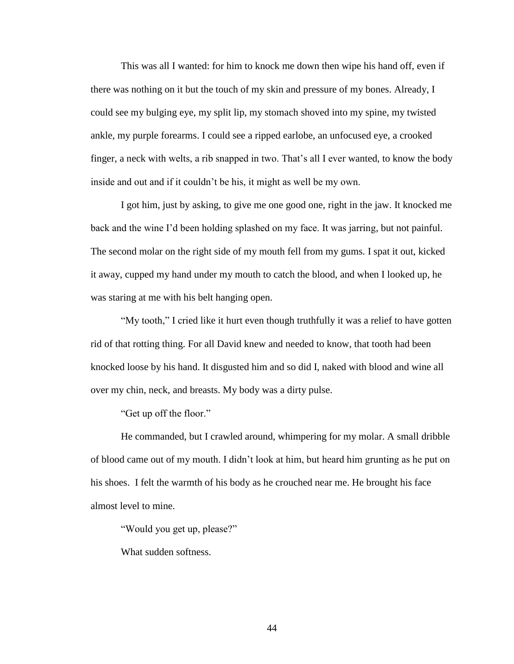This was all I wanted: for him to knock me down then wipe his hand off, even if there was nothing on it but the touch of my skin and pressure of my bones. Already, I could see my bulging eye, my split lip, my stomach shoved into my spine, my twisted ankle, my purple forearms. I could see a ripped earlobe, an unfocused eye, a crooked finger, a neck with welts, a rib snapped in two. That's all I ever wanted, to know the body inside and out and if it couldn"t be his, it might as well be my own.

I got him, just by asking, to give me one good one, right in the jaw. It knocked me back and the wine I"d been holding splashed on my face. It was jarring, but not painful. The second molar on the right side of my mouth fell from my gums. I spat it out, kicked it away, cupped my hand under my mouth to catch the blood, and when I looked up, he was staring at me with his belt hanging open.

"My tooth," I cried like it hurt even though truthfully it was a relief to have gotten rid of that rotting thing. For all David knew and needed to know, that tooth had been knocked loose by his hand. It disgusted him and so did I, naked with blood and wine all over my chin, neck, and breasts. My body was a dirty pulse.

"Get up off the floor."

He commanded, but I crawled around, whimpering for my molar. A small dribble of blood came out of my mouth. I didn"t look at him, but heard him grunting as he put on his shoes. I felt the warmth of his body as he crouched near me. He brought his face almost level to mine.

"Would you get up, please?"

What sudden softness.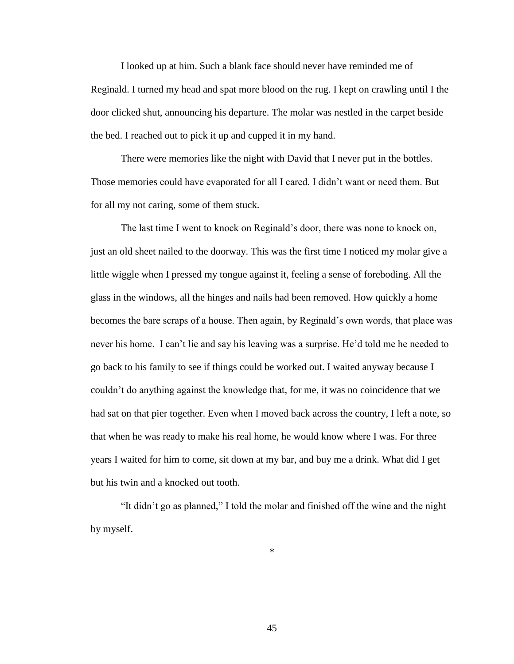I looked up at him. Such a blank face should never have reminded me of Reginald. I turned my head and spat more blood on the rug. I kept on crawling until I the door clicked shut, announcing his departure. The molar was nestled in the carpet beside the bed. I reached out to pick it up and cupped it in my hand.

There were memories like the night with David that I never put in the bottles. Those memories could have evaporated for all I cared. I didn"t want or need them. But for all my not caring, some of them stuck.

The last time I went to knock on Reginald"s door, there was none to knock on, just an old sheet nailed to the doorway. This was the first time I noticed my molar give a little wiggle when I pressed my tongue against it, feeling a sense of foreboding. All the glass in the windows, all the hinges and nails had been removed. How quickly a home becomes the bare scraps of a house. Then again, by Reginald"s own words, that place was never his home. I can"t lie and say his leaving was a surprise. He"d told me he needed to go back to his family to see if things could be worked out. I waited anyway because I couldn"t do anything against the knowledge that, for me, it was no coincidence that we had sat on that pier together. Even when I moved back across the country, I left a note, so that when he was ready to make his real home, he would know where I was. For three years I waited for him to come, sit down at my bar, and buy me a drink. What did I get but his twin and a knocked out tooth.

"It didn"t go as planned," I told the molar and finished off the wine and the night by myself.

\*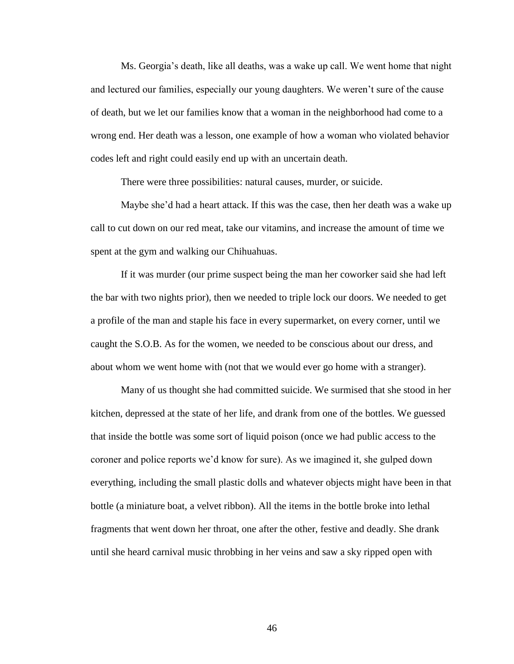Ms. Georgia"s death, like all deaths, was a wake up call. We went home that night and lectured our families, especially our young daughters. We weren"t sure of the cause of death, but we let our families know that a woman in the neighborhood had come to a wrong end. Her death was a lesson, one example of how a woman who violated behavior codes left and right could easily end up with an uncertain death.

There were three possibilities: natural causes, murder, or suicide.

Maybe she"d had a heart attack. If this was the case, then her death was a wake up call to cut down on our red meat, take our vitamins, and increase the amount of time we spent at the gym and walking our Chihuahuas.

If it was murder (our prime suspect being the man her coworker said she had left the bar with two nights prior), then we needed to triple lock our doors. We needed to get a profile of the man and staple his face in every supermarket, on every corner, until we caught the S.O.B. As for the women, we needed to be conscious about our dress, and about whom we went home with (not that we would ever go home with a stranger).

Many of us thought she had committed suicide. We surmised that she stood in her kitchen, depressed at the state of her life, and drank from one of the bottles. We guessed that inside the bottle was some sort of liquid poison (once we had public access to the coroner and police reports we"d know for sure). As we imagined it, she gulped down everything, including the small plastic dolls and whatever objects might have been in that bottle (a miniature boat, a velvet ribbon). All the items in the bottle broke into lethal fragments that went down her throat, one after the other, festive and deadly. She drank until she heard carnival music throbbing in her veins and saw a sky ripped open with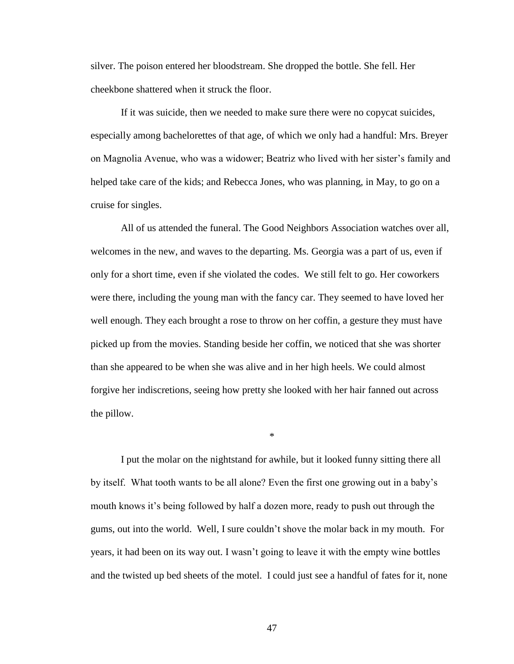silver. The poison entered her bloodstream. She dropped the bottle. She fell. Her cheekbone shattered when it struck the floor.

If it was suicide, then we needed to make sure there were no copycat suicides, especially among bachelorettes of that age, of which we only had a handful: Mrs. Breyer on Magnolia Avenue, who was a widower; Beatriz who lived with her sister"s family and helped take care of the kids; and Rebecca Jones, who was planning, in May, to go on a cruise for singles.

All of us attended the funeral. The Good Neighbors Association watches over all, welcomes in the new, and waves to the departing. Ms. Georgia was a part of us, even if only for a short time, even if she violated the codes. We still felt to go. Her coworkers were there, including the young man with the fancy car. They seemed to have loved her well enough. They each brought a rose to throw on her coffin, a gesture they must have picked up from the movies. Standing beside her coffin, we noticed that she was shorter than she appeared to be when she was alive and in her high heels. We could almost forgive her indiscretions, seeing how pretty she looked with her hair fanned out across the pillow.

I put the molar on the nightstand for awhile, but it looked funny sitting there all by itself. What tooth wants to be all alone? Even the first one growing out in a baby"s mouth knows it's being followed by half a dozen more, ready to push out through the gums, out into the world. Well, I sure couldn"t shove the molar back in my mouth. For years, it had been on its way out. I wasn"t going to leave it with the empty wine bottles and the twisted up bed sheets of the motel. I could just see a handful of fates for it, none

\*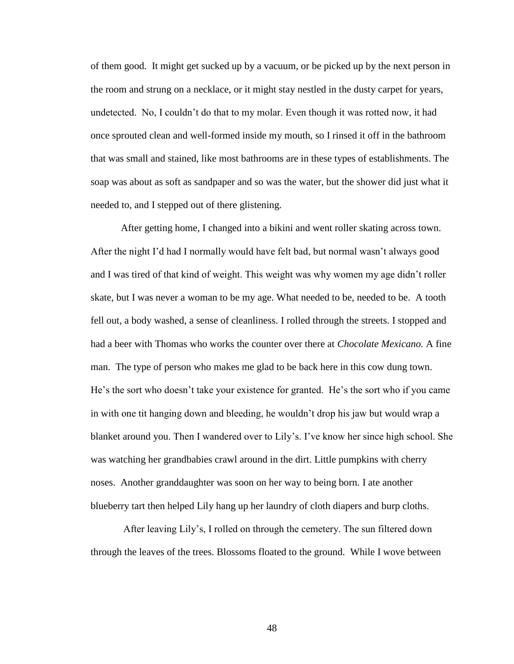of them good. It might get sucked up by a vacuum, or be picked up by the next person in the room and strung on a necklace, or it might stay nestled in the dusty carpet for years, undetected. No, I couldn"t do that to my molar. Even though it was rotted now, it had once sprouted clean and well-formed inside my mouth, so I rinsed it off in the bathroom that was small and stained, like most bathrooms are in these types of establishments. The soap was about as soft as sandpaper and so was the water, but the shower did just what it needed to, and I stepped out of there glistening.

After getting home, I changed into a bikini and went roller skating across town. After the night I"d had I normally would have felt bad, but normal wasn"t always good and I was tired of that kind of weight. This weight was why women my age didn"t roller skate, but I was never a woman to be my age. What needed to be, needed to be. A tooth fell out, a body washed, a sense of cleanliness. I rolled through the streets. I stopped and had a beer with Thomas who works the counter over there at *Chocolate Mexicano.* A fine man. The type of person who makes me glad to be back here in this cow dung town. He's the sort who doesn't take your existence for granted. He's the sort who if you came in with one tit hanging down and bleeding, he wouldn"t drop his jaw but would wrap a blanket around you. Then I wandered over to Lily"s. I"ve know her since high school. She was watching her grandbabies crawl around in the dirt. Little pumpkins with cherry noses. Another granddaughter was soon on her way to being born. I ate another blueberry tart then helped Lily hang up her laundry of cloth diapers and burp cloths.

After leaving Lily"s, I rolled on through the cemetery. The sun filtered down through the leaves of the trees. Blossoms floated to the ground. While I wove between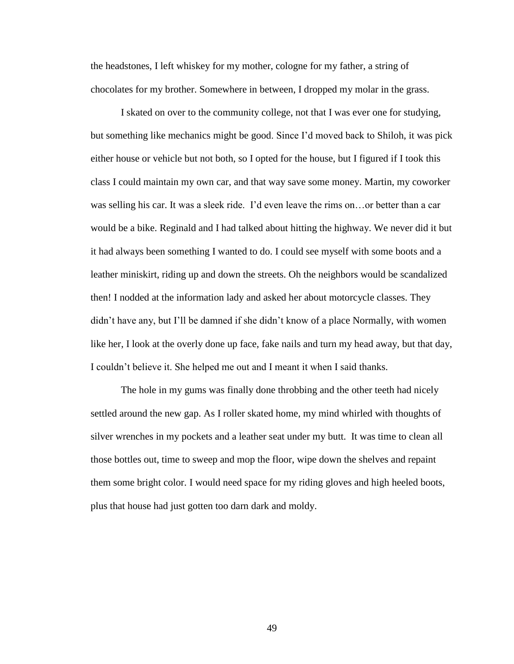the headstones, I left whiskey for my mother, cologne for my father, a string of chocolates for my brother. Somewhere in between, I dropped my molar in the grass.

I skated on over to the community college, not that I was ever one for studying, but something like mechanics might be good. Since I"d moved back to Shiloh, it was pick either house or vehicle but not both, so I opted for the house, but I figured if I took this class I could maintain my own car, and that way save some money. Martin, my coworker was selling his car. It was a sleek ride. I'd even leave the rims on... or better than a car would be a bike. Reginald and I had talked about hitting the highway. We never did it but it had always been something I wanted to do. I could see myself with some boots and a leather miniskirt, riding up and down the streets. Oh the neighbors would be scandalized then! I nodded at the information lady and asked her about motorcycle classes. They didn"t have any, but I"ll be damned if she didn"t know of a place Normally, with women like her, I look at the overly done up face, fake nails and turn my head away, but that day, I couldn"t believe it. She helped me out and I meant it when I said thanks.

The hole in my gums was finally done throbbing and the other teeth had nicely settled around the new gap. As I roller skated home, my mind whirled with thoughts of silver wrenches in my pockets and a leather seat under my butt. It was time to clean all those bottles out, time to sweep and mop the floor, wipe down the shelves and repaint them some bright color. I would need space for my riding gloves and high heeled boots, plus that house had just gotten too darn dark and moldy.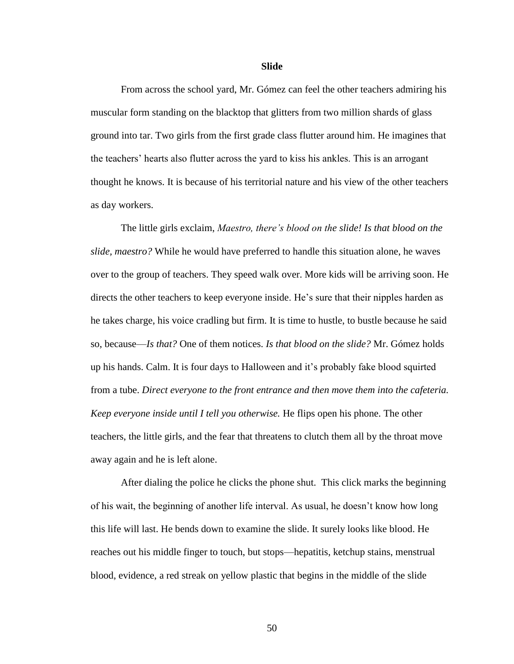#### **Slide**

From across the school yard, Mr. Gómez can feel the other teachers admiring his muscular form standing on the blacktop that glitters from two million shards of glass ground into tar. Two girls from the first grade class flutter around him. He imagines that the teachers" hearts also flutter across the yard to kiss his ankles. This is an arrogant thought he knows. It is because of his territorial nature and his view of the other teachers as day workers.

The little girls exclaim, *Maestro, there's blood on the slide! Is that blood on the slide, maestro?* While he would have preferred to handle this situation alone, he waves over to the group of teachers. They speed walk over. More kids will be arriving soon. He directs the other teachers to keep everyone inside. He"s sure that their nipples harden as he takes charge, his voice cradling but firm. It is time to hustle, to bustle because he said so, because—*Is that?* One of them notices. *Is that blood on the slide?* Mr. Gómez holds up his hands. Calm. It is four days to Halloween and it"s probably fake blood squirted from a tube. *Direct everyone to the front entrance and then move them into the cafeteria. Keep everyone inside until I tell you otherwise.* He flips open his phone. The other teachers, the little girls, and the fear that threatens to clutch them all by the throat move away again and he is left alone.

After dialing the police he clicks the phone shut. This click marks the beginning of his wait, the beginning of another life interval. As usual, he doesn"t know how long this life will last. He bends down to examine the slide. It surely looks like blood. He reaches out his middle finger to touch, but stops—hepatitis, ketchup stains, menstrual blood, evidence, a red streak on yellow plastic that begins in the middle of the slide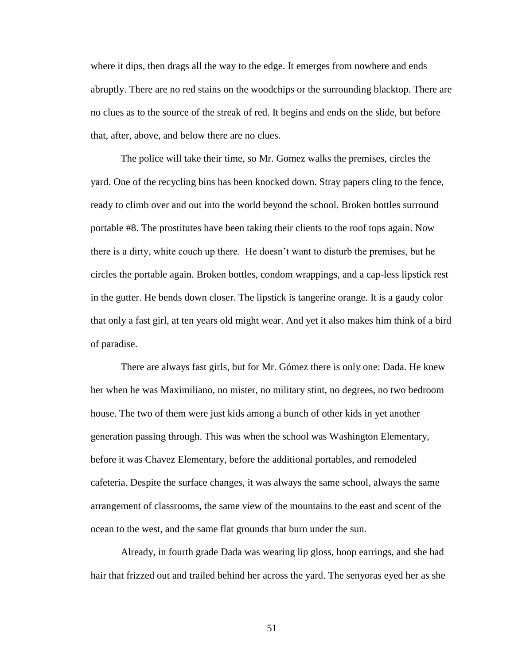where it dips, then drags all the way to the edge. It emerges from nowhere and ends abruptly. There are no red stains on the woodchips or the surrounding blacktop. There are no clues as to the source of the streak of red. It begins and ends on the slide, but before that, after, above, and below there are no clues.

The police will take their time, so Mr. Gomez walks the premises, circles the yard. One of the recycling bins has been knocked down. Stray papers cling to the fence, ready to climb over and out into the world beyond the school. Broken bottles surround portable #8. The prostitutes have been taking their clients to the roof tops again. Now there is a dirty, white couch up there. He doesn"t want to disturb the premises, but he circles the portable again. Broken bottles, condom wrappings, and a cap-less lipstick rest in the gutter. He bends down closer. The lipstick is tangerine orange. It is a gaudy color that only a fast girl, at ten years old might wear. And yet it also makes him think of a bird of paradise.

There are always fast girls, but for Mr. Gómez there is only one: Dada. He knew her when he was Maximiliano, no mister, no military stint, no degrees, no two bedroom house. The two of them were just kids among a bunch of other kids in yet another generation passing through. This was when the school was Washington Elementary, before it was Chavez Elementary, before the additional portables, and remodeled cafeteria. Despite the surface changes, it was always the same school, always the same arrangement of classrooms, the same view of the mountains to the east and scent of the ocean to the west, and the same flat grounds that burn under the sun.

Already, in fourth grade Dada was wearing lip gloss, hoop earrings, and she had hair that frizzed out and trailed behind her across the yard. The senyoras eyed her as she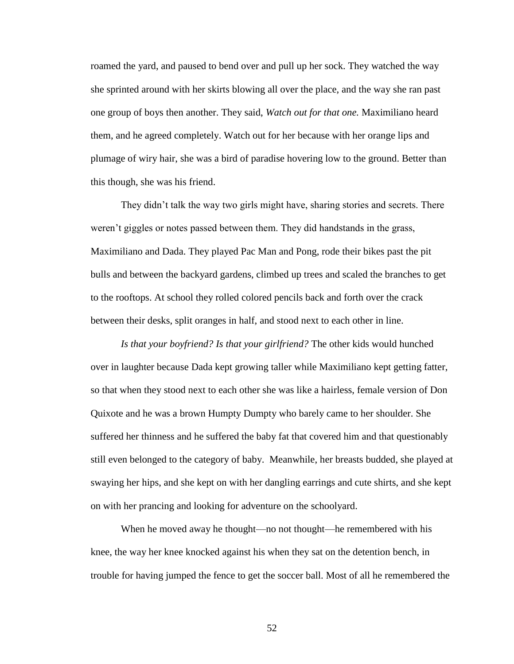roamed the yard, and paused to bend over and pull up her sock. They watched the way she sprinted around with her skirts blowing all over the place, and the way she ran past one group of boys then another. They said, *Watch out for that one.* Maximiliano heard them, and he agreed completely. Watch out for her because with her orange lips and plumage of wiry hair, she was a bird of paradise hovering low to the ground. Better than this though, she was his friend.

They didn't talk the way two girls might have, sharing stories and secrets. There weren"t giggles or notes passed between them. They did handstands in the grass, Maximiliano and Dada. They played Pac Man and Pong, rode their bikes past the pit bulls and between the backyard gardens, climbed up trees and scaled the branches to get to the rooftops. At school they rolled colored pencils back and forth over the crack between their desks, split oranges in half, and stood next to each other in line.

*Is that your boyfriend? Is that your girlfriend?* The other kids would hunched over in laughter because Dada kept growing taller while Maximiliano kept getting fatter, so that when they stood next to each other she was like a hairless, female version of Don Quixote and he was a brown Humpty Dumpty who barely came to her shoulder. She suffered her thinness and he suffered the baby fat that covered him and that questionably still even belonged to the category of baby. Meanwhile, her breasts budded, she played at swaying her hips, and she kept on with her dangling earrings and cute shirts, and she kept on with her prancing and looking for adventure on the schoolyard.

When he moved away he thought—no not thought—he remembered with his knee, the way her knee knocked against his when they sat on the detention bench, in trouble for having jumped the fence to get the soccer ball. Most of all he remembered the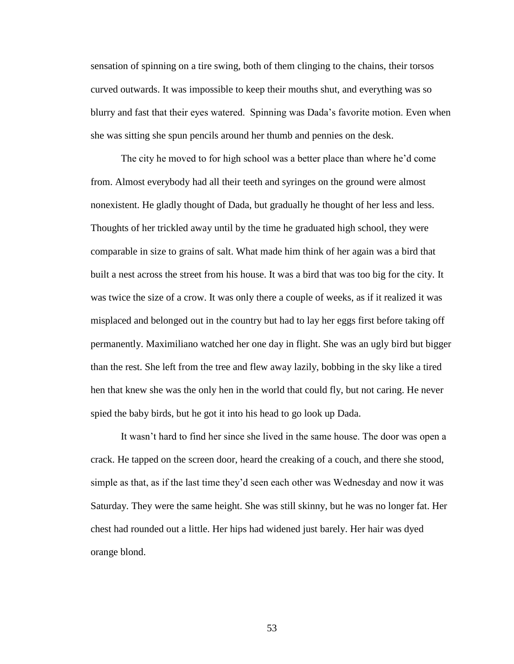sensation of spinning on a tire swing, both of them clinging to the chains, their torsos curved outwards. It was impossible to keep their mouths shut, and everything was so blurry and fast that their eyes watered. Spinning was Dada"s favorite motion. Even when she was sitting she spun pencils around her thumb and pennies on the desk.

The city he moved to for high school was a better place than where he"d come from. Almost everybody had all their teeth and syringes on the ground were almost nonexistent. He gladly thought of Dada, but gradually he thought of her less and less. Thoughts of her trickled away until by the time he graduated high school, they were comparable in size to grains of salt. What made him think of her again was a bird that built a nest across the street from his house. It was a bird that was too big for the city. It was twice the size of a crow. It was only there a couple of weeks, as if it realized it was misplaced and belonged out in the country but had to lay her eggs first before taking off permanently. Maximiliano watched her one day in flight. She was an ugly bird but bigger than the rest. She left from the tree and flew away lazily, bobbing in the sky like a tired hen that knew she was the only hen in the world that could fly, but not caring. He never spied the baby birds, but he got it into his head to go look up Dada.

It wasn"t hard to find her since she lived in the same house. The door was open a crack. He tapped on the screen door, heard the creaking of a couch, and there she stood, simple as that, as if the last time they"d seen each other was Wednesday and now it was Saturday. They were the same height. She was still skinny, but he was no longer fat. Her chest had rounded out a little. Her hips had widened just barely. Her hair was dyed orange blond.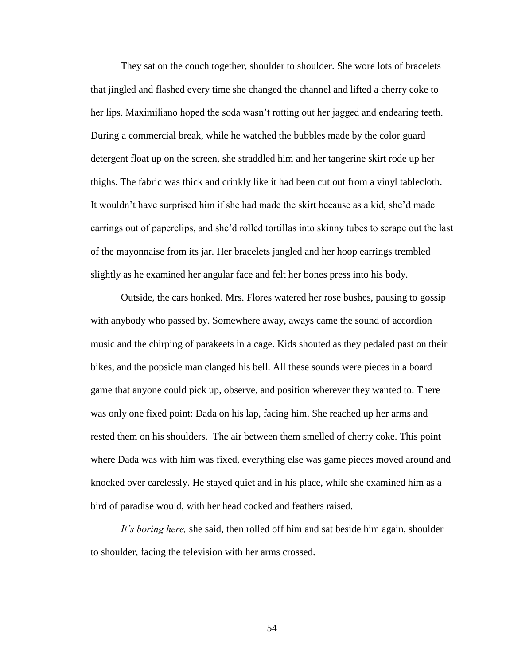They sat on the couch together, shoulder to shoulder. She wore lots of bracelets that jingled and flashed every time she changed the channel and lifted a cherry coke to her lips. Maximiliano hoped the soda wasn"t rotting out her jagged and endearing teeth. During a commercial break, while he watched the bubbles made by the color guard detergent float up on the screen, she straddled him and her tangerine skirt rode up her thighs. The fabric was thick and crinkly like it had been cut out from a vinyl tablecloth. It wouldn"t have surprised him if she had made the skirt because as a kid, she"d made earrings out of paperclips, and she"d rolled tortillas into skinny tubes to scrape out the last of the mayonnaise from its jar. Her bracelets jangled and her hoop earrings trembled slightly as he examined her angular face and felt her bones press into his body.

Outside, the cars honked. Mrs. Flores watered her rose bushes, pausing to gossip with anybody who passed by. Somewhere away, aways came the sound of accordion music and the chirping of parakeets in a cage. Kids shouted as they pedaled past on their bikes, and the popsicle man clanged his bell. All these sounds were pieces in a board game that anyone could pick up, observe, and position wherever they wanted to. There was only one fixed point: Dada on his lap, facing him. She reached up her arms and rested them on his shoulders. The air between them smelled of cherry coke. This point where Dada was with him was fixed, everything else was game pieces moved around and knocked over carelessly. He stayed quiet and in his place, while she examined him as a bird of paradise would, with her head cocked and feathers raised.

*It's boring here,* she said, then rolled off him and sat beside him again, shoulder to shoulder, facing the television with her arms crossed.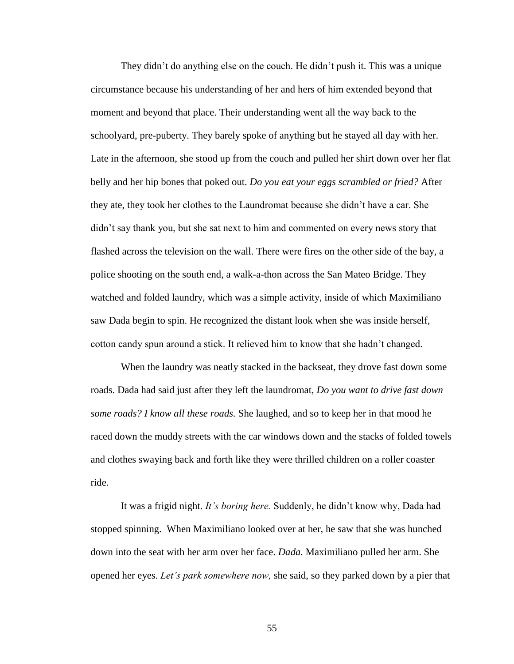They didn"t do anything else on the couch. He didn"t push it. This was a unique circumstance because his understanding of her and hers of him extended beyond that moment and beyond that place. Their understanding went all the way back to the schoolyard, pre-puberty. They barely spoke of anything but he stayed all day with her. Late in the afternoon, she stood up from the couch and pulled her shirt down over her flat belly and her hip bones that poked out. *Do you eat your eggs scrambled or fried?* After they ate, they took her clothes to the Laundromat because she didn"t have a car. She didn"t say thank you, but she sat next to him and commented on every news story that flashed across the television on the wall. There were fires on the other side of the bay, a police shooting on the south end, a walk-a-thon across the San Mateo Bridge. They watched and folded laundry, which was a simple activity, inside of which Maximiliano saw Dada begin to spin. He recognized the distant look when she was inside herself, cotton candy spun around a stick. It relieved him to know that she hadn"t changed.

When the laundry was neatly stacked in the backseat, they drove fast down some roads. Dada had said just after they left the laundromat, *Do you want to drive fast down some roads? I know all these roads.* She laughed, and so to keep her in that mood he raced down the muddy streets with the car windows down and the stacks of folded towels and clothes swaying back and forth like they were thrilled children on a roller coaster ride.

It was a frigid night. *It's boring here.* Suddenly, he didn"t know why, Dada had stopped spinning. When Maximiliano looked over at her, he saw that she was hunched down into the seat with her arm over her face. *Dada.* Maximiliano pulled her arm. She opened her eyes. *Let's park somewhere now,* she said, so they parked down by a pier that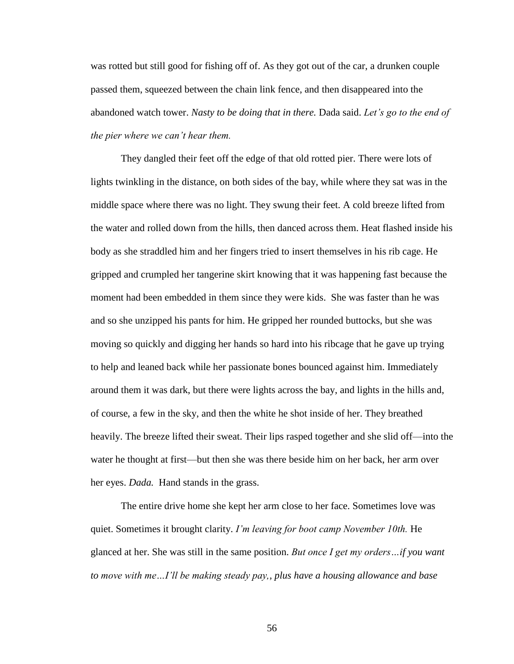was rotted but still good for fishing off of. As they got out of the car, a drunken couple passed them, squeezed between the chain link fence, and then disappeared into the abandoned watch tower. *Nasty to be doing that in there.* Dada said. *Let's go to the end of the pier where we can't hear them.* 

They dangled their feet off the edge of that old rotted pier. There were lots of lights twinkling in the distance, on both sides of the bay, while where they sat was in the middle space where there was no light. They swung their feet. A cold breeze lifted from the water and rolled down from the hills, then danced across them. Heat flashed inside his body as she straddled him and her fingers tried to insert themselves in his rib cage. He gripped and crumpled her tangerine skirt knowing that it was happening fast because the moment had been embedded in them since they were kids. She was faster than he was and so she unzipped his pants for him. He gripped her rounded buttocks, but she was moving so quickly and digging her hands so hard into his ribcage that he gave up trying to help and leaned back while her passionate bones bounced against him. Immediately around them it was dark, but there were lights across the bay, and lights in the hills and, of course, a few in the sky, and then the white he shot inside of her. They breathed heavily. The breeze lifted their sweat. Their lips rasped together and she slid off—into the water he thought at first—but then she was there beside him on her back, her arm over her eyes. *Dada.* Hand stands in the grass.

The entire drive home she kept her arm close to her face. Sometimes love was quiet. Sometimes it brought clarity. *I'm leaving for boot camp November 10th.* He glanced at her. She was still in the same position. *But once I get my orders…if you want to move with me…I'll be making steady pay,, plus have a housing allowance and base*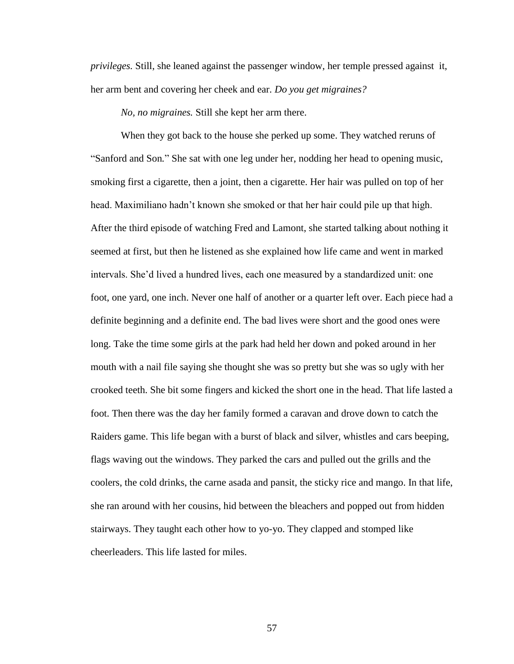*privileges.* Still, she leaned against the passenger window, her temple pressed against it, her arm bent and covering her cheek and ear. *Do you get migraines?* 

*No, no migraines.* Still she kept her arm there.

When they got back to the house she perked up some. They watched reruns of "Sanford and Son*.*" She sat with one leg under her, nodding her head to opening music, smoking first a cigarette, then a joint, then a cigarette. Her hair was pulled on top of her head. Maximiliano hadn"t known she smoked or that her hair could pile up that high. After the third episode of watching Fred and Lamont, she started talking about nothing it seemed at first, but then he listened as she explained how life came and went in marked intervals. She"d lived a hundred lives, each one measured by a standardized unit: one foot, one yard, one inch. Never one half of another or a quarter left over. Each piece had a definite beginning and a definite end. The bad lives were short and the good ones were long. Take the time some girls at the park had held her down and poked around in her mouth with a nail file saying she thought she was so pretty but she was so ugly with her crooked teeth. She bit some fingers and kicked the short one in the head. That life lasted a foot. Then there was the day her family formed a caravan and drove down to catch the Raiders game. This life began with a burst of black and silver, whistles and cars beeping, flags waving out the windows. They parked the cars and pulled out the grills and the coolers, the cold drinks, the carne asada and pansit, the sticky rice and mango. In that life, she ran around with her cousins, hid between the bleachers and popped out from hidden stairways. They taught each other how to yo-yo. They clapped and stomped like cheerleaders. This life lasted for miles.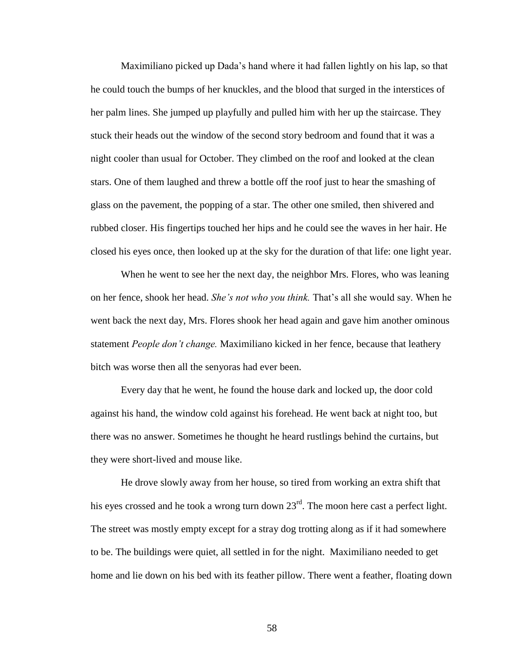Maximiliano picked up Dada"s hand where it had fallen lightly on his lap, so that he could touch the bumps of her knuckles, and the blood that surged in the interstices of her palm lines. She jumped up playfully and pulled him with her up the staircase. They stuck their heads out the window of the second story bedroom and found that it was a night cooler than usual for October. They climbed on the roof and looked at the clean stars. One of them laughed and threw a bottle off the roof just to hear the smashing of glass on the pavement, the popping of a star. The other one smiled, then shivered and rubbed closer. His fingertips touched her hips and he could see the waves in her hair. He closed his eyes once, then looked up at the sky for the duration of that life: one light year.

When he went to see her the next day, the neighbor Mrs. Flores, who was leaning on her fence, shook her head. *She's not who you think.* That"s all she would say. When he went back the next day, Mrs. Flores shook her head again and gave him another ominous statement *People don't change.* Maximiliano kicked in her fence, because that leathery bitch was worse then all the senyoras had ever been.

Every day that he went, he found the house dark and locked up, the door cold against his hand, the window cold against his forehead. He went back at night too, but there was no answer. Sometimes he thought he heard rustlings behind the curtains, but they were short-lived and mouse like.

He drove slowly away from her house, so tired from working an extra shift that his eyes crossed and he took a wrong turn down  $23<sup>rd</sup>$ . The moon here cast a perfect light. The street was mostly empty except for a stray dog trotting along as if it had somewhere to be. The buildings were quiet, all settled in for the night. Maximiliano needed to get home and lie down on his bed with its feather pillow. There went a feather, floating down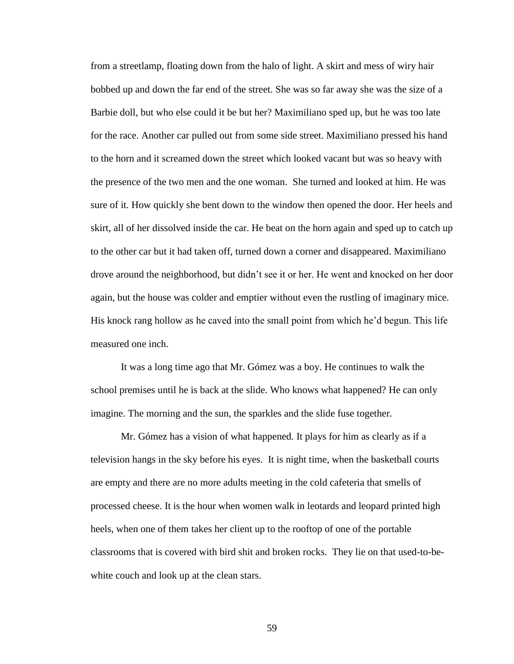from a streetlamp, floating down from the halo of light. A skirt and mess of wiry hair bobbed up and down the far end of the street. She was so far away she was the size of a Barbie doll, but who else could it be but her? Maximiliano sped up, but he was too late for the race. Another car pulled out from some side street. Maximiliano pressed his hand to the horn and it screamed down the street which looked vacant but was so heavy with the presence of the two men and the one woman. She turned and looked at him. He was sure of it. How quickly she bent down to the window then opened the door. Her heels and skirt, all of her dissolved inside the car. He beat on the horn again and sped up to catch up to the other car but it had taken off, turned down a corner and disappeared. Maximiliano drove around the neighborhood, but didn"t see it or her. He went and knocked on her door again, but the house was colder and emptier without even the rustling of imaginary mice. His knock rang hollow as he caved into the small point from which he"d begun. This life measured one inch.

It was a long time ago that Mr. Gómez was a boy. He continues to walk the school premises until he is back at the slide. Who knows what happened? He can only imagine. The morning and the sun, the sparkles and the slide fuse together.

Mr. Gómez has a vision of what happened. It plays for him as clearly as if a television hangs in the sky before his eyes. It is night time, when the basketball courts are empty and there are no more adults meeting in the cold cafeteria that smells of processed cheese. It is the hour when women walk in leotards and leopard printed high heels, when one of them takes her client up to the rooftop of one of the portable classrooms that is covered with bird shit and broken rocks. They lie on that used-to-bewhite couch and look up at the clean stars.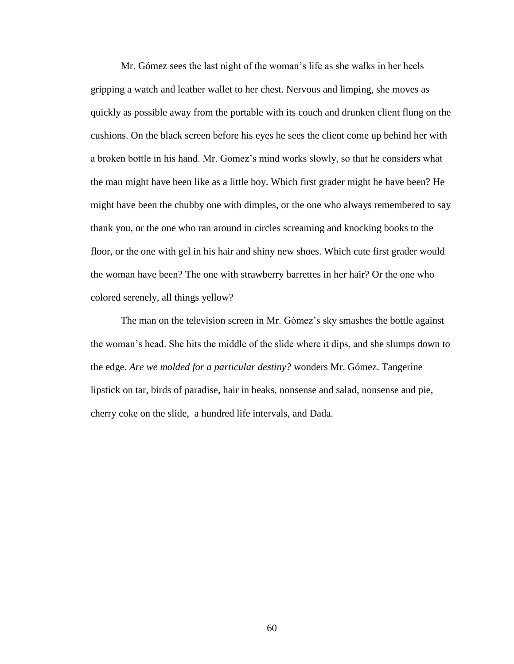Mr. Gómez sees the last night of the woman"s life as she walks in her heels gripping a watch and leather wallet to her chest. Nervous and limping, she moves as quickly as possible away from the portable with its couch and drunken client flung on the cushions. On the black screen before his eyes he sees the client come up behind her with a broken bottle in his hand. Mr. Gomez"s mind works slowly, so that he considers what the man might have been like as a little boy. Which first grader might he have been? He might have been the chubby one with dimples, or the one who always remembered to say thank you, or the one who ran around in circles screaming and knocking books to the floor, or the one with gel in his hair and shiny new shoes. Which cute first grader would the woman have been? The one with strawberry barrettes in her hair? Or the one who colored serenely, all things yellow?

The man on the television screen in Mr. Gómez"s sky smashes the bottle against the woman"s head. She hits the middle of the slide where it dips, and she slumps down to the edge. *Are we molded for a particular destiny?* wonders Mr. Gómez. Tangerine lipstick on tar, birds of paradise, hair in beaks, nonsense and salad, nonsense and pie, cherry coke on the slide, a hundred life intervals, and Dada.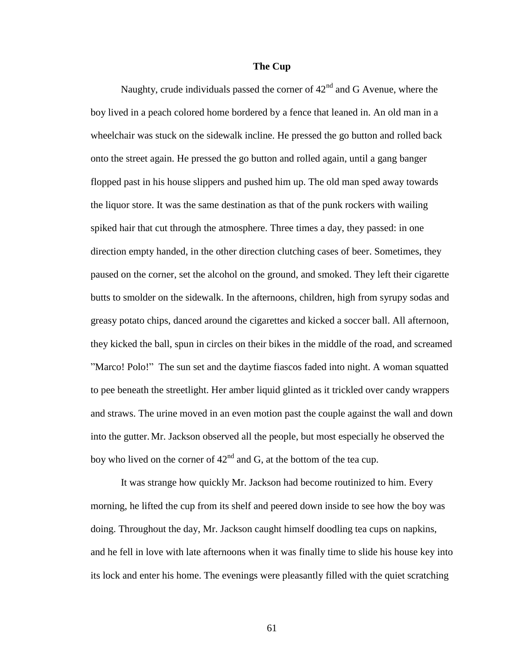## **The Cup**

Naughty, crude individuals passed the corner of  $42<sup>nd</sup>$  and G Avenue, where the boy lived in a peach colored home bordered by a fence that leaned in. An old man in a wheelchair was stuck on the sidewalk incline. He pressed the go button and rolled back onto the street again. He pressed the go button and rolled again, until a gang banger flopped past in his house slippers and pushed him up. The old man sped away towards the liquor store. It was the same destination as that of the punk rockers with wailing spiked hair that cut through the atmosphere. Three times a day, they passed: in one direction empty handed, in the other direction clutching cases of beer. Sometimes, they paused on the corner, set the alcohol on the ground, and smoked. They left their cigarette butts to smolder on the sidewalk. In the afternoons, children, high from syrupy sodas and greasy potato chips, danced around the cigarettes and kicked a soccer ball. All afternoon, they kicked the ball, spun in circles on their bikes in the middle of the road, and screamed "Marco! Polo!" The sun set and the daytime fiascos faded into night. A woman squatted to pee beneath the streetlight. Her amber liquid glinted as it trickled over candy wrappers and straws. The urine moved in an even motion past the couple against the wall and down into the gutter. Mr. Jackson observed all the people, but most especially he observed the boy who lived on the corner of  $42<sup>nd</sup>$  and G, at the bottom of the tea cup.

It was strange how quickly Mr. Jackson had become routinized to him. Every morning, he lifted the cup from its shelf and peered down inside to see how the boy was doing. Throughout the day, Mr. Jackson caught himself doodling tea cups on napkins, and he fell in love with late afternoons when it was finally time to slide his house key into its lock and enter his home. The evenings were pleasantly filled with the quiet scratching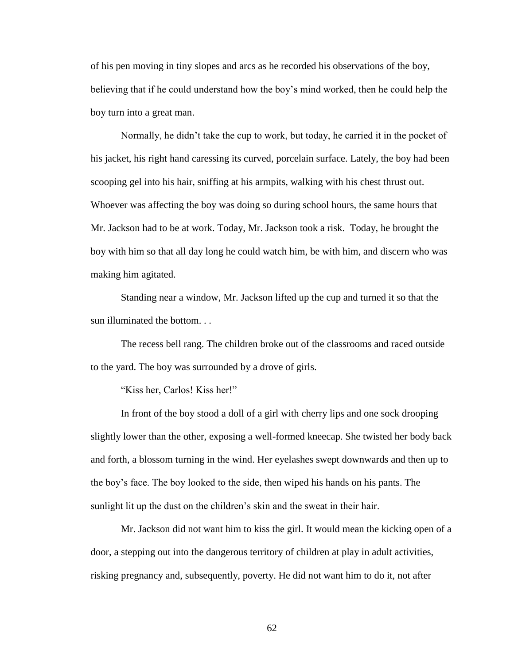of his pen moving in tiny slopes and arcs as he recorded his observations of the boy, believing that if he could understand how the boy"s mind worked, then he could help the boy turn into a great man.

Normally, he didn"t take the cup to work, but today, he carried it in the pocket of his jacket, his right hand caressing its curved, porcelain surface. Lately, the boy had been scooping gel into his hair, sniffing at his armpits, walking with his chest thrust out. Whoever was affecting the boy was doing so during school hours, the same hours that Mr. Jackson had to be at work. Today, Mr. Jackson took a risk. Today, he brought the boy with him so that all day long he could watch him, be with him, and discern who was making him agitated.

Standing near a window, Mr. Jackson lifted up the cup and turned it so that the sun illuminated the bottom. . .

The recess bell rang. The children broke out of the classrooms and raced outside to the yard. The boy was surrounded by a drove of girls.

"Kiss her, Carlos! Kiss her!"

In front of the boy stood a doll of a girl with cherry lips and one sock drooping slightly lower than the other, exposing a well-formed kneecap. She twisted her body back and forth, a blossom turning in the wind. Her eyelashes swept downwards and then up to the boy"s face. The boy looked to the side, then wiped his hands on his pants. The sunlight lit up the dust on the children's skin and the sweat in their hair.

Mr. Jackson did not want him to kiss the girl. It would mean the kicking open of a door, a stepping out into the dangerous territory of children at play in adult activities, risking pregnancy and, subsequently, poverty. He did not want him to do it, not after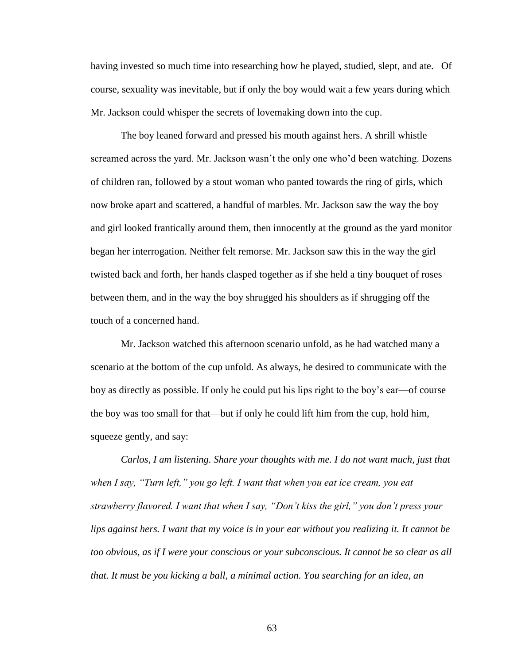having invested so much time into researching how he played, studied, slept, and ate. Of course, sexuality was inevitable, but if only the boy would wait a few years during which Mr. Jackson could whisper the secrets of lovemaking down into the cup.

The boy leaned forward and pressed his mouth against hers. A shrill whistle screamed across the yard. Mr. Jackson wasn"t the only one who"d been watching. Dozens of children ran, followed by a stout woman who panted towards the ring of girls, which now broke apart and scattered, a handful of marbles. Mr. Jackson saw the way the boy and girl looked frantically around them, then innocently at the ground as the yard monitor began her interrogation. Neither felt remorse. Mr. Jackson saw this in the way the girl twisted back and forth, her hands clasped together as if she held a tiny bouquet of roses between them, and in the way the boy shrugged his shoulders as if shrugging off the touch of a concerned hand.

Mr. Jackson watched this afternoon scenario unfold, as he had watched many a scenario at the bottom of the cup unfold. As always, he desired to communicate with the boy as directly as possible. If only he could put his lips right to the boy"s ear—of course the boy was too small for that—but if only he could lift him from the cup, hold him, squeeze gently, and say:

*Carlos, I am listening. Share your thoughts with me. I do not want much, just that when I say, "Turn left," you go left. I want that when you eat ice cream, you eat strawberry flavored. I want that when I say, "Don't kiss the girl," you don't press your lips against hers. I want that my voice is in your ear without you realizing it. It cannot be too obvious, as if I were your conscious or your subconscious. It cannot be so clear as all that. It must be you kicking a ball, a minimal action. You searching for an idea, an*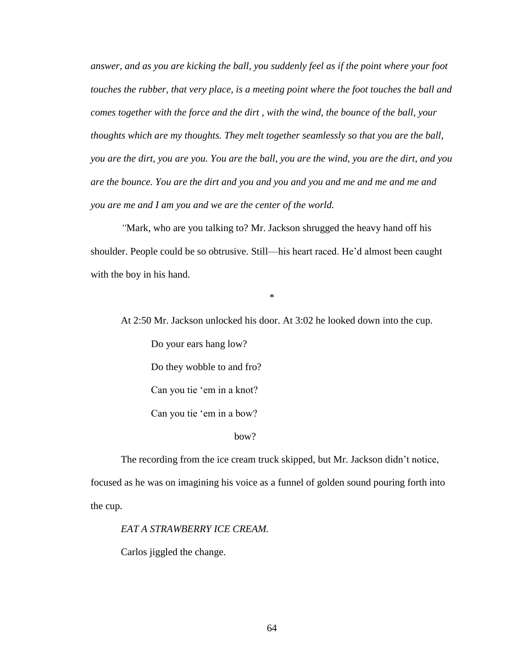*answer, and as you are kicking the ball, you suddenly feel as if the point where your foot touches the rubber, that very place, is a meeting point where the foot touches the ball and comes together with the force and the dirt , with the wind, the bounce of the ball, your thoughts which are my thoughts. They melt together seamlessly so that you are the ball, you are the dirt, you are you. You are the ball, you are the wind, you are the dirt, and you are the bounce. You are the dirt and you and you and you and me and me and me and you are me and I am you and we are the center of the world.* 

*"*Mark, who are you talking to? Mr. Jackson shrugged the heavy hand off his shoulder. People could be so obtrusive. Still—his heart raced. He"d almost been caught with the boy in his hand.

\*

At 2:50 Mr. Jackson unlocked his door. At 3:02 he looked down into the cup.

Do your ears hang low?

Do they wobble to and fro?

Can you tie "em in a knot?

Can you tie "em in a bow?

### bow?

The recording from the ice cream truck skipped, but Mr. Jackson didn"t notice, focused as he was on imagining his voice as a funnel of golden sound pouring forth into the cup.

# *EAT A STRAWBERRY ICE CREAM.*

Carlos jiggled the change.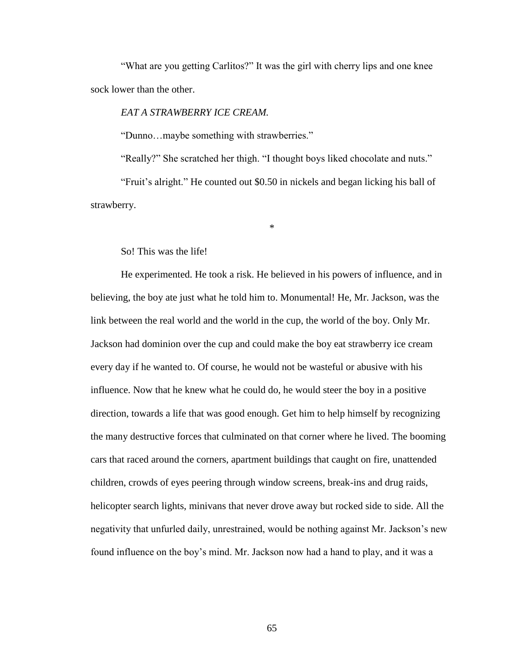"What are you getting Carlitos?" It was the girl with cherry lips and one knee sock lower than the other.

# *EAT A STRAWBERRY ICE CREAM.*

"Dunno…maybe something with strawberries."

"Really?" She scratched her thigh. "I thought boys liked chocolate and nuts."

"Fruit"s alright." He counted out \$0.50 in nickels and began licking his ball of strawberry.

\*

So! This was the life!

He experimented. He took a risk. He believed in his powers of influence, and in believing, the boy ate just what he told him to. Monumental! He, Mr. Jackson, was the link between the real world and the world in the cup, the world of the boy. Only Mr. Jackson had dominion over the cup and could make the boy eat strawberry ice cream every day if he wanted to. Of course, he would not be wasteful or abusive with his influence. Now that he knew what he could do, he would steer the boy in a positive direction, towards a life that was good enough. Get him to help himself by recognizing the many destructive forces that culminated on that corner where he lived. The booming cars that raced around the corners, apartment buildings that caught on fire, unattended children, crowds of eyes peering through window screens, break-ins and drug raids, helicopter search lights, minivans that never drove away but rocked side to side. All the negativity that unfurled daily, unrestrained, would be nothing against Mr. Jackson"s new found influence on the boy"s mind. Mr. Jackson now had a hand to play, and it was a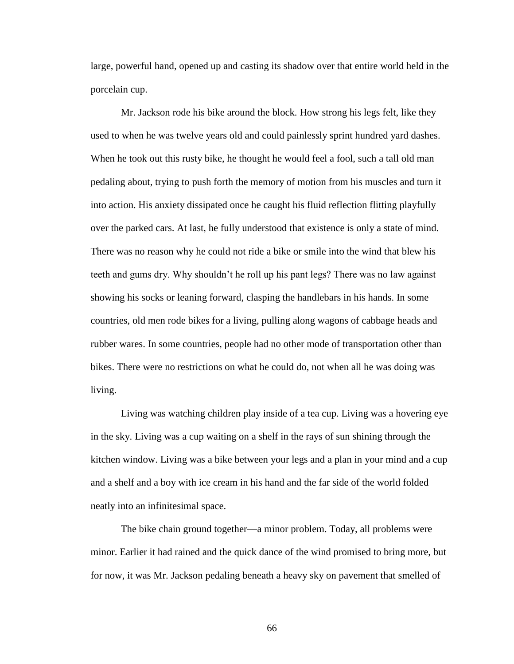large, powerful hand, opened up and casting its shadow over that entire world held in the porcelain cup.

Mr. Jackson rode his bike around the block. How strong his legs felt, like they used to when he was twelve years old and could painlessly sprint hundred yard dashes. When he took out this rusty bike, he thought he would feel a fool, such a tall old man pedaling about, trying to push forth the memory of motion from his muscles and turn it into action. His anxiety dissipated once he caught his fluid reflection flitting playfully over the parked cars. At last, he fully understood that existence is only a state of mind. There was no reason why he could not ride a bike or smile into the wind that blew his teeth and gums dry. Why shouldn"t he roll up his pant legs? There was no law against showing his socks or leaning forward, clasping the handlebars in his hands. In some countries, old men rode bikes for a living, pulling along wagons of cabbage heads and rubber wares. In some countries, people had no other mode of transportation other than bikes. There were no restrictions on what he could do, not when all he was doing was living.

Living was watching children play inside of a tea cup. Living was a hovering eye in the sky. Living was a cup waiting on a shelf in the rays of sun shining through the kitchen window. Living was a bike between your legs and a plan in your mind and a cup and a shelf and a boy with ice cream in his hand and the far side of the world folded neatly into an infinitesimal space.

The bike chain ground together—a minor problem. Today, all problems were minor. Earlier it had rained and the quick dance of the wind promised to bring more, but for now, it was Mr. Jackson pedaling beneath a heavy sky on pavement that smelled of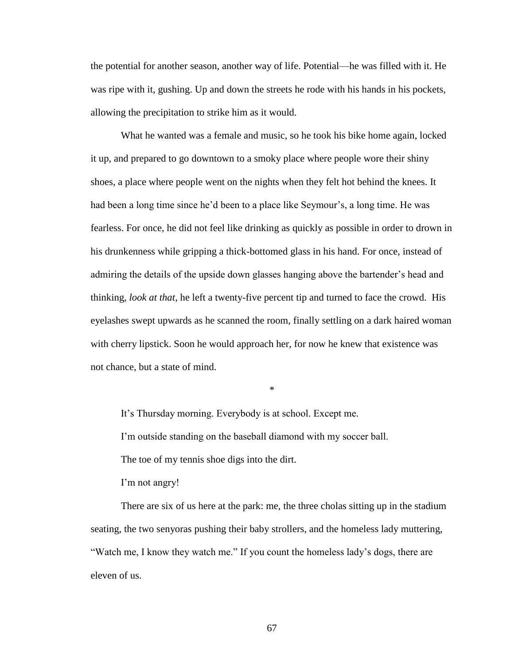the potential for another season, another way of life. Potential—he was filled with it. He was ripe with it, gushing. Up and down the streets he rode with his hands in his pockets, allowing the precipitation to strike him as it would.

What he wanted was a female and music, so he took his bike home again, locked it up, and prepared to go downtown to a smoky place where people wore their shiny shoes, a place where people went on the nights when they felt hot behind the knees. It had been a long time since he'd been to a place like Seymour's, a long time. He was fearless. For once, he did not feel like drinking as quickly as possible in order to drown in his drunkenness while gripping a thick-bottomed glass in his hand. For once, instead of admiring the details of the upside down glasses hanging above the bartender"s head and thinking, *look at that*, he left a twenty-five percent tip and turned to face the crowd. His eyelashes swept upwards as he scanned the room, finally settling on a dark haired woman with cherry lipstick. Soon he would approach her, for now he knew that existence was not chance, but a state of mind.

\*

It"s Thursday morning. Everybody is at school. Except me. I"m outside standing on the baseball diamond with my soccer ball. The toe of my tennis shoe digs into the dirt.

I'm not angry!

There are six of us here at the park: me, the three cholas sitting up in the stadium seating, the two senyoras pushing their baby strollers, and the homeless lady muttering, "Watch me, I know they watch me." If you count the homeless lady"s dogs, there are eleven of us.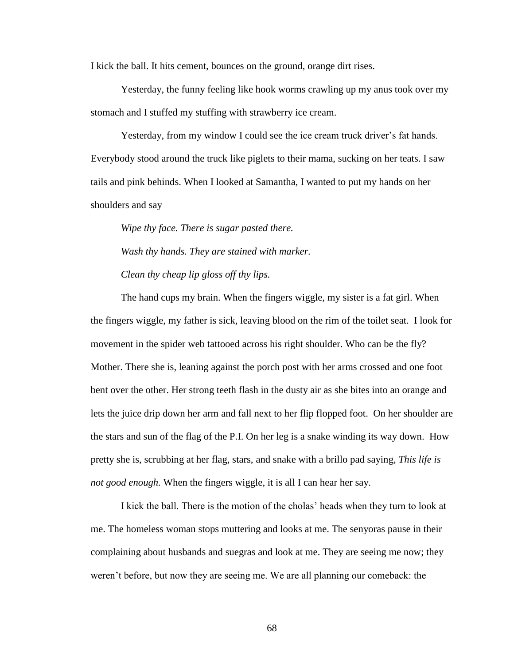I kick the ball. It hits cement, bounces on the ground, orange dirt rises.

Yesterday, the funny feeling like hook worms crawling up my anus took over my stomach and I stuffed my stuffing with strawberry ice cream.

Yesterday, from my window I could see the ice cream truck driver's fat hands. Everybody stood around the truck like piglets to their mama, sucking on her teats. I saw tails and pink behinds. When I looked at Samantha, I wanted to put my hands on her shoulders and say

*Wipe thy face. There is sugar pasted there. Wash thy hands. They are stained with marker. Clean thy cheap lip gloss off thy lips.*

The hand cups my brain. When the fingers wiggle, my sister is a fat girl. When the fingers wiggle, my father is sick, leaving blood on the rim of the toilet seat. I look for movement in the spider web tattooed across his right shoulder. Who can be the fly? Mother. There she is, leaning against the porch post with her arms crossed and one foot bent over the other. Her strong teeth flash in the dusty air as she bites into an orange and lets the juice drip down her arm and fall next to her flip flopped foot. On her shoulder are the stars and sun of the flag of the P.I. On her leg is a snake winding its way down. How pretty she is, scrubbing at her flag, stars, and snake with a brillo pad saying, *This life is not good enough.* When the fingers wiggle, it is all I can hear her say.

I kick the ball. There is the motion of the cholas" heads when they turn to look at me. The homeless woman stops muttering and looks at me. The senyoras pause in their complaining about husbands and suegras and look at me. They are seeing me now; they weren"t before, but now they are seeing me. We are all planning our comeback: the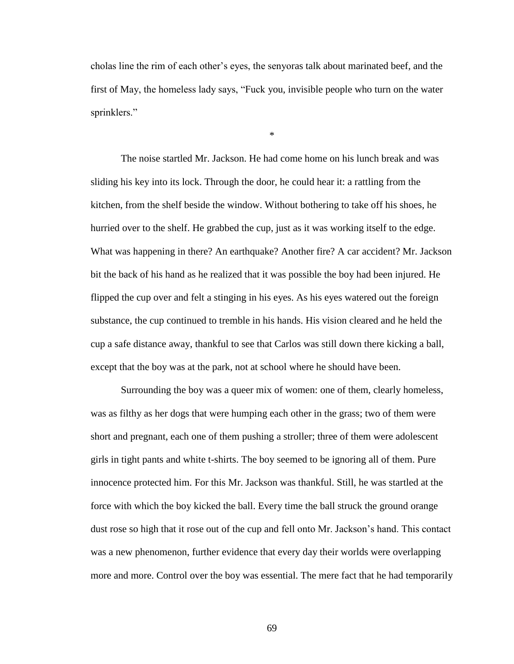cholas line the rim of each other"s eyes, the senyoras talk about marinated beef, and the first of May, the homeless lady says, "Fuck you, invisible people who turn on the water sprinklers."

\*

The noise startled Mr. Jackson. He had come home on his lunch break and was sliding his key into its lock. Through the door, he could hear it: a rattling from the kitchen, from the shelf beside the window. Without bothering to take off his shoes, he hurried over to the shelf. He grabbed the cup, just as it was working itself to the edge. What was happening in there? An earthquake? Another fire? A car accident? Mr. Jackson bit the back of his hand as he realized that it was possible the boy had been injured. He flipped the cup over and felt a stinging in his eyes. As his eyes watered out the foreign substance, the cup continued to tremble in his hands. His vision cleared and he held the cup a safe distance away, thankful to see that Carlos was still down there kicking a ball, except that the boy was at the park, not at school where he should have been.

Surrounding the boy was a queer mix of women: one of them, clearly homeless, was as filthy as her dogs that were humping each other in the grass; two of them were short and pregnant, each one of them pushing a stroller; three of them were adolescent girls in tight pants and white t-shirts. The boy seemed to be ignoring all of them. Pure innocence protected him. For this Mr. Jackson was thankful. Still, he was startled at the force with which the boy kicked the ball. Every time the ball struck the ground orange dust rose so high that it rose out of the cup and fell onto Mr. Jackson"s hand. This contact was a new phenomenon, further evidence that every day their worlds were overlapping more and more. Control over the boy was essential. The mere fact that he had temporarily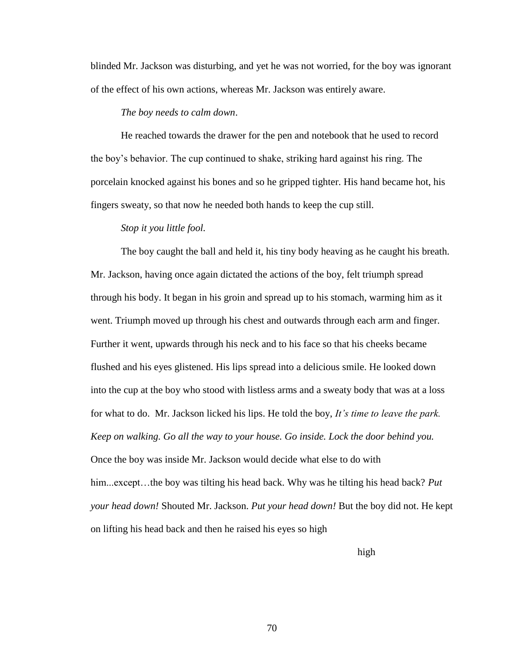blinded Mr. Jackson was disturbing, and yet he was not worried, for the boy was ignorant of the effect of his own actions, whereas Mr. Jackson was entirely aware.

# *The boy needs to calm down*.

He reached towards the drawer for the pen and notebook that he used to record the boy"s behavior. The cup continued to shake, striking hard against his ring. The porcelain knocked against his bones and so he gripped tighter. His hand became hot, his fingers sweaty, so that now he needed both hands to keep the cup still.

### *Stop it you little fool.*

The boy caught the ball and held it, his tiny body heaving as he caught his breath. Mr. Jackson, having once again dictated the actions of the boy, felt triumph spread through his body. It began in his groin and spread up to his stomach, warming him as it went. Triumph moved up through his chest and outwards through each arm and finger. Further it went, upwards through his neck and to his face so that his cheeks became flushed and his eyes glistened. His lips spread into a delicious smile. He looked down into the cup at the boy who stood with listless arms and a sweaty body that was at a loss for what to do. Mr. Jackson licked his lips. He told the boy, *It's time to leave the park. Keep on walking. Go all the way to your house. Go inside. Lock the door behind you.* Once the boy was inside Mr. Jackson would decide what else to do with him...except…the boy was tilting his head back. Why was he tilting his head back? *Put your head down!* Shouted Mr. Jackson. *Put your head down!* But the boy did not. He kept on lifting his head back and then he raised his eyes so high

high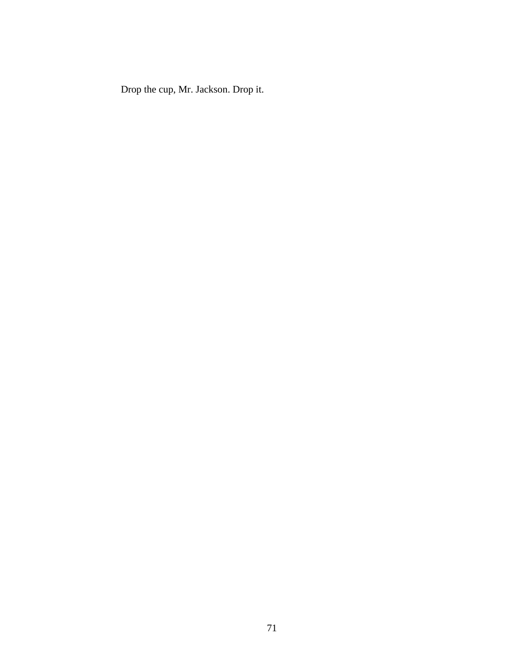Drop the cup, Mr. Jackson. Drop it.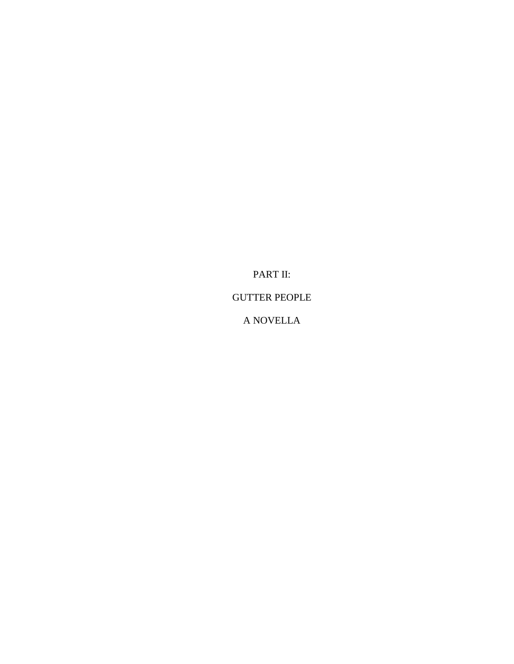PART II: GUTTER PEOPLE A NOVELLA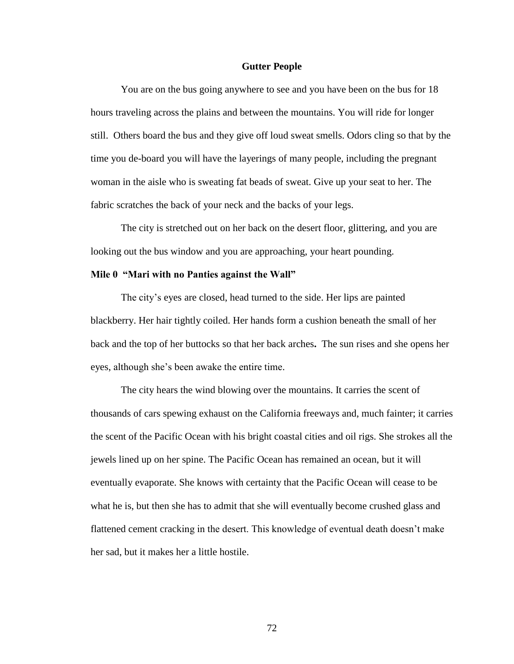## **Gutter People**

You are on the bus going anywhere to see and you have been on the bus for 18 hours traveling across the plains and between the mountains. You will ride for longer still. Others board the bus and they give off loud sweat smells. Odors cling so that by the time you de-board you will have the layerings of many people, including the pregnant woman in the aisle who is sweating fat beads of sweat. Give up your seat to her. The fabric scratches the back of your neck and the backs of your legs.

The city is stretched out on her back on the desert floor, glittering, and you are looking out the bus window and you are approaching, your heart pounding.

# **Mile 0 "Mari with no Panties against the Wall"**

The city's eyes are closed, head turned to the side. Her lips are painted blackberry. Her hair tightly coiled. Her hands form a cushion beneath the small of her back and the top of her buttocks so that her back arches**.** The sun rises and she opens her eyes, although she"s been awake the entire time.

The city hears the wind blowing over the mountains. It carries the scent of thousands of cars spewing exhaust on the California freeways and, much fainter; it carries the scent of the Pacific Ocean with his bright coastal cities and oil rigs. She strokes all the jewels lined up on her spine. The Pacific Ocean has remained an ocean, but it will eventually evaporate. She knows with certainty that the Pacific Ocean will cease to be what he is, but then she has to admit that she will eventually become crushed glass and flattened cement cracking in the desert. This knowledge of eventual death doesn"t make her sad, but it makes her a little hostile.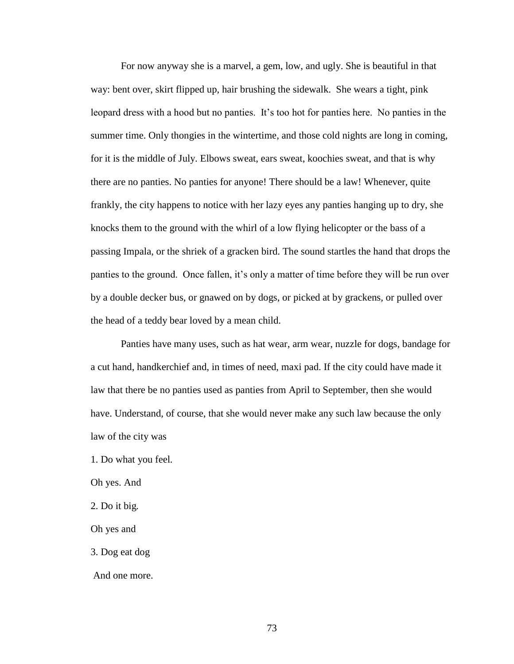For now anyway she is a marvel, a gem, low, and ugly. She is beautiful in that way: bent over, skirt flipped up, hair brushing the sidewalk. She wears a tight, pink leopard dress with a hood but no panties. It's too hot for panties here. No panties in the summer time. Only thongies in the wintertime, and those cold nights are long in coming, for it is the middle of July. Elbows sweat, ears sweat, koochies sweat, and that is why there are no panties. No panties for anyone! There should be a law! Whenever, quite frankly, the city happens to notice with her lazy eyes any panties hanging up to dry, she knocks them to the ground with the whirl of a low flying helicopter or the bass of a passing Impala, or the shriek of a gracken bird. The sound startles the hand that drops the panties to the ground. Once fallen, it's only a matter of time before they will be run over by a double decker bus, or gnawed on by dogs, or picked at by grackens, or pulled over the head of a teddy bear loved by a mean child.

Panties have many uses, such as hat wear, arm wear, nuzzle for dogs, bandage for a cut hand, handkerchief and, in times of need, maxi pad. If the city could have made it law that there be no panties used as panties from April to September, then she would have. Understand, of course, that she would never make any such law because the only law of the city was

1. Do what you feel*.* 

Oh yes. And

2. Do it big*.* 

Oh yes and

3. Dog eat dog

And one more.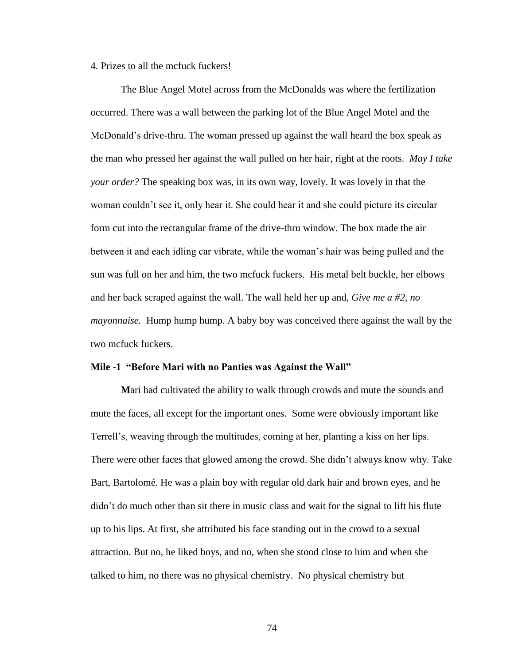## 4. Prizes to all the mcfuck fuckers!

The Blue Angel Motel across from the McDonalds was where the fertilization occurred. There was a wall between the parking lot of the Blue Angel Motel and the McDonald"s drive-thru. The woman pressed up against the wall heard the box speak as the man who pressed her against the wall pulled on her hair, right at the roots. *May I take your order?* The speaking box was, in its own way, lovely. It was lovely in that the woman couldn"t see it, only hear it. She could hear it and she could picture its circular form cut into the rectangular frame of the drive-thru window. The box made the air between it and each idling car vibrate, while the woman"s hair was being pulled and the sun was full on her and him, the two mcfuck fuckers. His metal belt buckle, her elbows and her back scraped against the wall. The wall held her up and, *Give me a #2, no mayonnaise.* Hump hump hump. A baby boy was conceived there against the wall by the two mcfuck fuckers.

#### **Mile -1 "Before Mari with no Panties was Against the Wall"**

**M**ari had cultivated the ability to walk through crowds and mute the sounds and mute the faces, all except for the important ones. Some were obviously important like Terrell"s, weaving through the multitudes, coming at her, planting a kiss on her lips. There were other faces that glowed among the crowd. She didn"t always know why. Take Bart, Bartolomé. He was a plain boy with regular old dark hair and brown eyes, and he didn"t do much other than sit there in music class and wait for the signal to lift his flute up to his lips. At first, she attributed his face standing out in the crowd to a sexual attraction. But no, he liked boys, and no, when she stood close to him and when she talked to him, no there was no physical chemistry. No physical chemistry but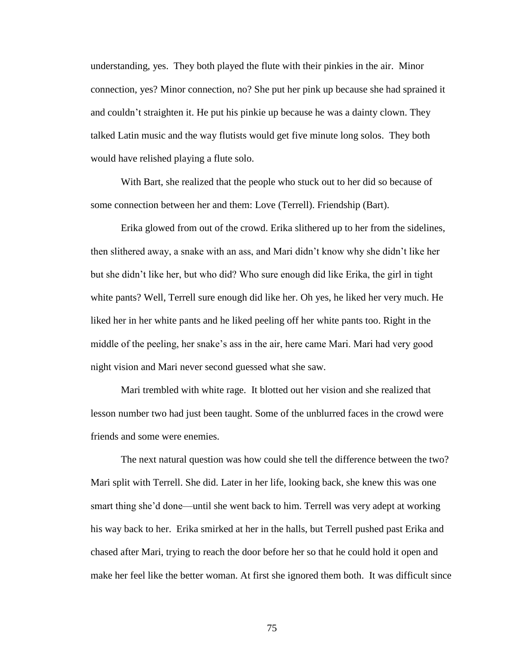understanding, yes. They both played the flute with their pinkies in the air. Minor connection, yes? Minor connection, no? She put her pink up because she had sprained it and couldn"t straighten it. He put his pinkie up because he was a dainty clown. They talked Latin music and the way flutists would get five minute long solos. They both would have relished playing a flute solo.

With Bart, she realized that the people who stuck out to her did so because of some connection between her and them: Love (Terrell). Friendship (Bart).

Erika glowed from out of the crowd. Erika slithered up to her from the sidelines, then slithered away, a snake with an ass, and Mari didn"t know why she didn"t like her but she didn"t like her, but who did? Who sure enough did like Erika, the girl in tight white pants? Well, Terrell sure enough did like her. Oh yes, he liked her very much. He liked her in her white pants and he liked peeling off her white pants too. Right in the middle of the peeling, her snake"s ass in the air, here came Mari. Mari had very good night vision and Mari never second guessed what she saw.

Mari trembled with white rage. It blotted out her vision and she realized that lesson number two had just been taught. Some of the unblurred faces in the crowd were friends and some were enemies.

The next natural question was how could she tell the difference between the two? Mari split with Terrell. She did. Later in her life, looking back, she knew this was one smart thing she"d done—until she went back to him. Terrell was very adept at working his way back to her. Erika smirked at her in the halls, but Terrell pushed past Erika and chased after Mari, trying to reach the door before her so that he could hold it open and make her feel like the better woman. At first she ignored them both. It was difficult since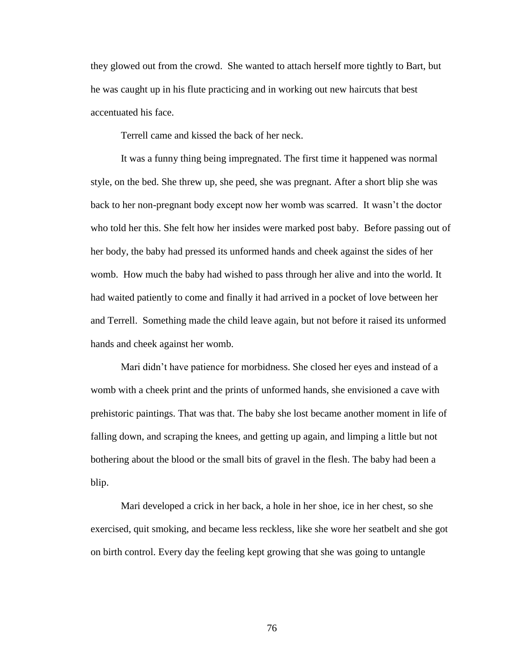they glowed out from the crowd. She wanted to attach herself more tightly to Bart, but he was caught up in his flute practicing and in working out new haircuts that best accentuated his face.

Terrell came and kissed the back of her neck.

It was a funny thing being impregnated. The first time it happened was normal style, on the bed. She threw up, she peed, she was pregnant. After a short blip she was back to her non-pregnant body except now her womb was scarred. It wasn"t the doctor who told her this. She felt how her insides were marked post baby. Before passing out of her body, the baby had pressed its unformed hands and cheek against the sides of her womb. How much the baby had wished to pass through her alive and into the world. It had waited patiently to come and finally it had arrived in a pocket of love between her and Terrell. Something made the child leave again, but not before it raised its unformed hands and cheek against her womb.

Mari didn"t have patience for morbidness. She closed her eyes and instead of a womb with a cheek print and the prints of unformed hands, she envisioned a cave with prehistoric paintings. That was that. The baby she lost became another moment in life of falling down, and scraping the knees, and getting up again, and limping a little but not bothering about the blood or the small bits of gravel in the flesh. The baby had been a blip.

Mari developed a crick in her back, a hole in her shoe, ice in her chest, so she exercised, quit smoking, and became less reckless, like she wore her seatbelt and she got on birth control. Every day the feeling kept growing that she was going to untangle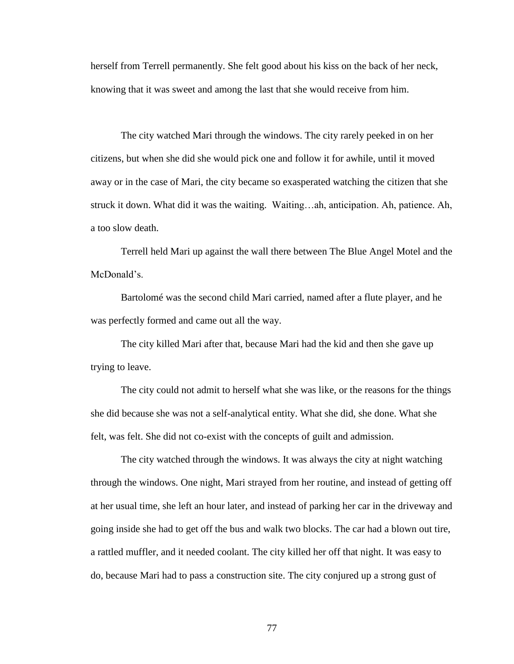herself from Terrell permanently. She felt good about his kiss on the back of her neck, knowing that it was sweet and among the last that she would receive from him.

The city watched Mari through the windows. The city rarely peeked in on her citizens, but when she did she would pick one and follow it for awhile, until it moved away or in the case of Mari, the city became so exasperated watching the citizen that she struck it down. What did it was the waiting. Waiting…ah, anticipation. Ah, patience. Ah, a too slow death.

Terrell held Mari up against the wall there between The Blue Angel Motel and the McDonald's.

Bartolomé was the second child Mari carried, named after a flute player, and he was perfectly formed and came out all the way.

The city killed Mari after that, because Mari had the kid and then she gave up trying to leave.

The city could not admit to herself what she was like, or the reasons for the things she did because she was not a self-analytical entity. What she did, she done. What she felt, was felt. She did not co-exist with the concepts of guilt and admission.

The city watched through the windows. It was always the city at night watching through the windows. One night, Mari strayed from her routine, and instead of getting off at her usual time, she left an hour later, and instead of parking her car in the driveway and going inside she had to get off the bus and walk two blocks. The car had a blown out tire, a rattled muffler, and it needed coolant. The city killed her off that night. It was easy to do, because Mari had to pass a construction site. The city conjured up a strong gust of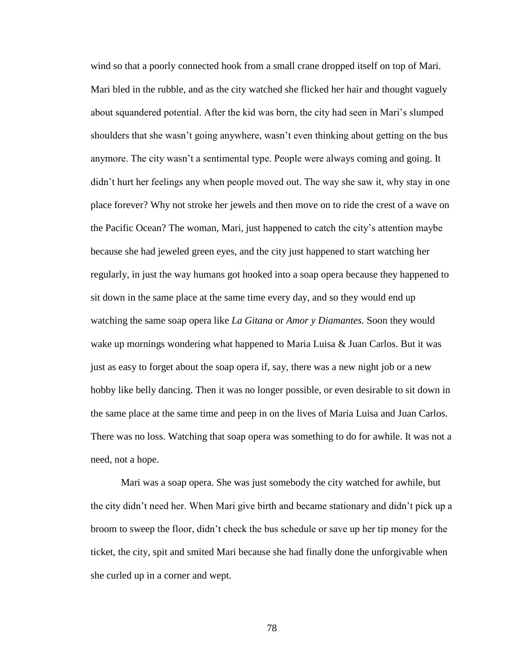wind so that a poorly connected hook from a small crane dropped itself on top of Mari. Mari bled in the rubble, and as the city watched she flicked her hair and thought vaguely about squandered potential. After the kid was born, the city had seen in Mari"s slumped shoulders that she wasn"t going anywhere, wasn"t even thinking about getting on the bus anymore. The city wasn"t a sentimental type. People were always coming and going. It didn"t hurt her feelings any when people moved out. The way she saw it, why stay in one place forever? Why not stroke her jewels and then move on to ride the crest of a wave on the Pacific Ocean? The woman, Mari, just happened to catch the city"s attention maybe because she had jeweled green eyes, and the city just happened to start watching her regularly, in just the way humans got hooked into a soap opera because they happened to sit down in the same place at the same time every day, and so they would end up watching the same soap opera like *La Gitana* or *Amor y Diamantes.* Soon they would wake up mornings wondering what happened to Maria Luisa & Juan Carlos. But it was just as easy to forget about the soap opera if, say, there was a new night job or a new hobby like belly dancing. Then it was no longer possible, or even desirable to sit down in the same place at the same time and peep in on the lives of Maria Luisa and Juan Carlos. There was no loss. Watching that soap opera was something to do for awhile. It was not a need, not a hope.

Mari was a soap opera. She was just somebody the city watched for awhile, but the city didn"t need her. When Mari give birth and became stationary and didn"t pick up a broom to sweep the floor, didn"t check the bus schedule or save up her tip money for the ticket, the city, spit and smited Mari because she had finally done the unforgivable when she curled up in a corner and wept.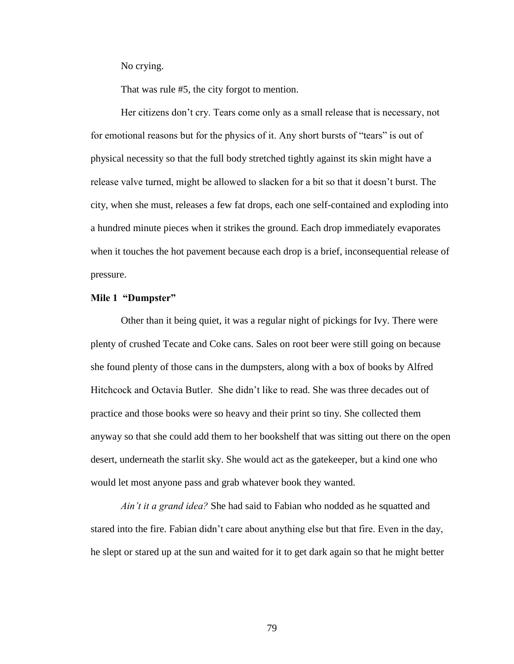No crying.

That was rule #5, the city forgot to mention.

Her citizens don"t cry. Tears come only as a small release that is necessary, not for emotional reasons but for the physics of it. Any short bursts of "tears" is out of physical necessity so that the full body stretched tightly against its skin might have a release valve turned, might be allowed to slacken for a bit so that it doesn"t burst. The city, when she must, releases a few fat drops, each one self-contained and exploding into a hundred minute pieces when it strikes the ground. Each drop immediately evaporates when it touches the hot pavement because each drop is a brief, inconsequential release of pressure.

## **Mile 1 "Dumpster"**

Other than it being quiet, it was a regular night of pickings for Ivy. There were plenty of crushed Tecate and Coke cans. Sales on root beer were still going on because she found plenty of those cans in the dumpsters, along with a box of books by Alfred Hitchcock and Octavia Butler. She didn"t like to read. She was three decades out of practice and those books were so heavy and their print so tiny. She collected them anyway so that she could add them to her bookshelf that was sitting out there on the open desert, underneath the starlit sky. She would act as the gatekeeper, but a kind one who would let most anyone pass and grab whatever book they wanted.

*Ain't it a grand idea?* She had said to Fabian who nodded as he squatted and stared into the fire. Fabian didn"t care about anything else but that fire. Even in the day, he slept or stared up at the sun and waited for it to get dark again so that he might better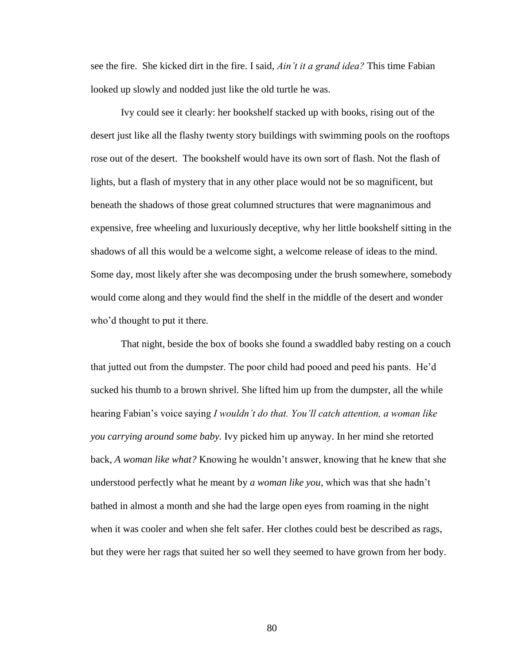see the fire. She kicked dirt in the fire. I said, *Ain't it a grand idea?* This time Fabian looked up slowly and nodded just like the old turtle he was.

Ivy could see it clearly: her bookshelf stacked up with books, rising out of the desert just like all the flashy twenty story buildings with swimming pools on the rooftops rose out of the desert. The bookshelf would have its own sort of flash. Not the flash of lights, but a flash of mystery that in any other place would not be so magnificent, but beneath the shadows of those great columned structures that were magnanimous and expensive, free wheeling and luxuriously deceptive, why her little bookshelf sitting in the shadows of all this would be a welcome sight, a welcome release of ideas to the mind. Some day, most likely after she was decomposing under the brush somewhere, somebody would come along and they would find the shelf in the middle of the desert and wonder who'd thought to put it there.

That night, beside the box of books she found a swaddled baby resting on a couch that jutted out from the dumpster. The poor child had pooed and peed his pants. He"d sucked his thumb to a brown shrivel. She lifted him up from the dumpster, all the while hearing Fabian"s voice saying *I wouldn't do that. You'll catch attention, a woman like you carrying around some baby.* Ivy picked him up anyway. In her mind she retorted back, *A woman like what?* Knowing he wouldn"t answer, knowing that he knew that she understood perfectly what he meant by *a woman like you*, which was that she hadn"t bathed in almost a month and she had the large open eyes from roaming in the night when it was cooler and when she felt safer. Her clothes could best be described as rags, but they were her rags that suited her so well they seemed to have grown from her body.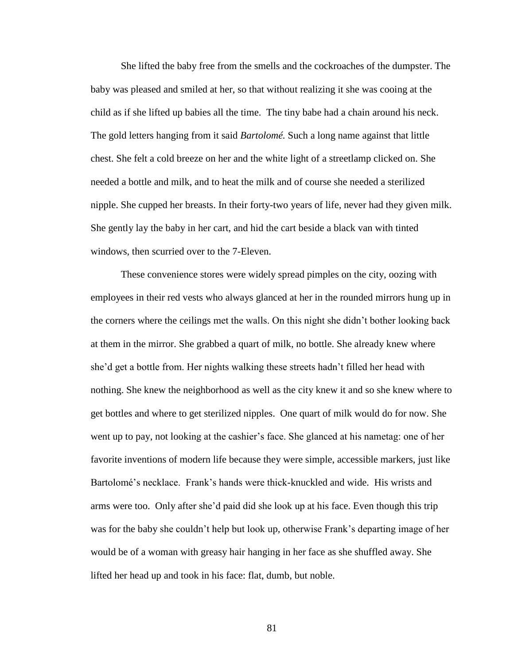She lifted the baby free from the smells and the cockroaches of the dumpster. The baby was pleased and smiled at her, so that without realizing it she was cooing at the child as if she lifted up babies all the time. The tiny babe had a chain around his neck. The gold letters hanging from it said *Bartolomé.* Such a long name against that little chest. She felt a cold breeze on her and the white light of a streetlamp clicked on. She needed a bottle and milk, and to heat the milk and of course she needed a sterilized nipple. She cupped her breasts. In their forty-two years of life, never had they given milk. She gently lay the baby in her cart, and hid the cart beside a black van with tinted windows, then scurried over to the 7-Eleven.

These convenience stores were widely spread pimples on the city, oozing with employees in their red vests who always glanced at her in the rounded mirrors hung up in the corners where the ceilings met the walls. On this night she didn"t bother looking back at them in the mirror. She grabbed a quart of milk, no bottle. She already knew where she"d get a bottle from. Her nights walking these streets hadn"t filled her head with nothing. She knew the neighborhood as well as the city knew it and so she knew where to get bottles and where to get sterilized nipples. One quart of milk would do for now. She went up to pay, not looking at the cashier"s face. She glanced at his nametag: one of her favorite inventions of modern life because they were simple, accessible markers, just like Bartolomé's necklace. Frank's hands were thick-knuckled and wide. His wrists and arms were too. Only after she"d paid did she look up at his face. Even though this trip was for the baby she couldn"t help but look up, otherwise Frank"s departing image of her would be of a woman with greasy hair hanging in her face as she shuffled away. She lifted her head up and took in his face: flat, dumb, but noble.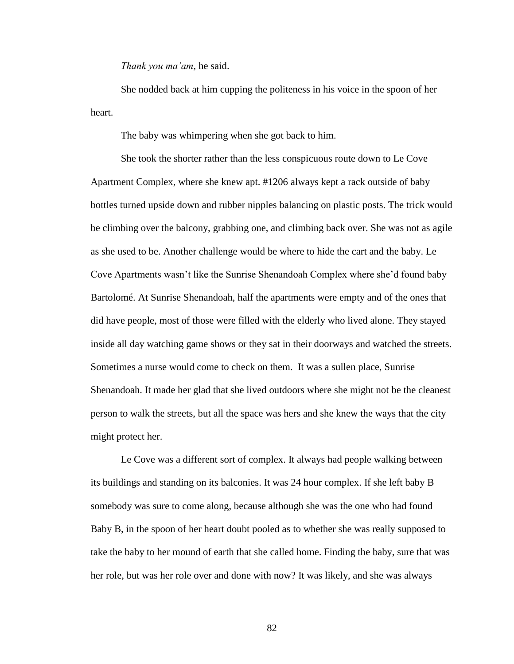*Thank you ma'am,* he said.

She nodded back at him cupping the politeness in his voice in the spoon of her heart.

The baby was whimpering when she got back to him.

She took the shorter rather than the less conspicuous route down to Le Cove Apartment Complex*,* where she knew apt. #1206 always kept a rack outside of baby bottles turned upside down and rubber nipples balancing on plastic posts. The trick would be climbing over the balcony, grabbing one, and climbing back over. She was not as agile as she used to be. Another challenge would be where to hide the cart and the baby. Le Cove Apartments wasn"t like the Sunrise Shenandoah Complex where she"d found baby Bartolomé. At Sunrise Shenandoah, half the apartments were empty and of the ones that did have people, most of those were filled with the elderly who lived alone. They stayed inside all day watching game shows or they sat in their doorways and watched the streets. Sometimes a nurse would come to check on them. It was a sullen place, Sunrise Shenandoah. It made her glad that she lived outdoors where she might not be the cleanest person to walk the streets, but all the space was hers and she knew the ways that the city might protect her.

Le Cove was a different sort of complex. It always had people walking between its buildings and standing on its balconies. It was 24 hour complex. If she left baby B somebody was sure to come along, because although she was the one who had found Baby B, in the spoon of her heart doubt pooled as to whether she was really supposed to take the baby to her mound of earth that she called home. Finding the baby, sure that was her role, but was her role over and done with now? It was likely, and she was always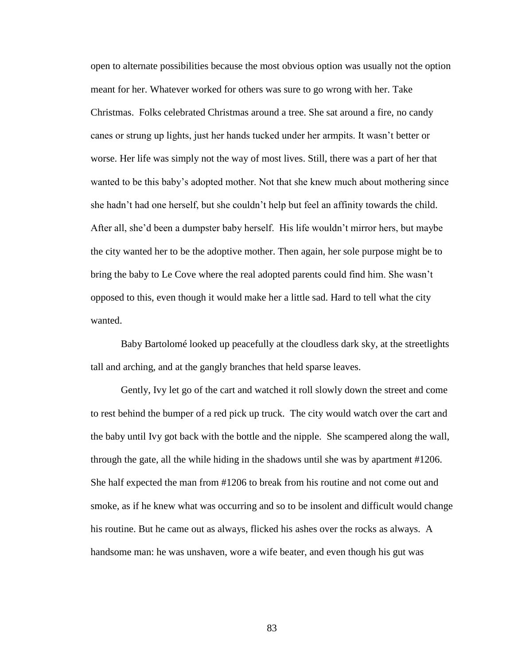open to alternate possibilities because the most obvious option was usually not the option meant for her. Whatever worked for others was sure to go wrong with her. Take Christmas. Folks celebrated Christmas around a tree. She sat around a fire, no candy canes or strung up lights, just her hands tucked under her armpits. It wasn"t better or worse. Her life was simply not the way of most lives. Still, there was a part of her that wanted to be this baby"s adopted mother. Not that she knew much about mothering since she hadn"t had one herself, but she couldn"t help but feel an affinity towards the child. After all, she"d been a dumpster baby herself. His life wouldn"t mirror hers, but maybe the city wanted her to be the adoptive mother. Then again, her sole purpose might be to bring the baby to Le Cove where the real adopted parents could find him. She wasn"t opposed to this, even though it would make her a little sad. Hard to tell what the city wanted.

Baby Bartolomé looked up peacefully at the cloudless dark sky, at the streetlights tall and arching, and at the gangly branches that held sparse leaves.

Gently, Ivy let go of the cart and watched it roll slowly down the street and come to rest behind the bumper of a red pick up truck. The city would watch over the cart and the baby until Ivy got back with the bottle and the nipple. She scampered along the wall, through the gate, all the while hiding in the shadows until she was by apartment #1206. She half expected the man from #1206 to break from his routine and not come out and smoke, as if he knew what was occurring and so to be insolent and difficult would change his routine. But he came out as always, flicked his ashes over the rocks as always. A handsome man: he was unshaven, wore a wife beater, and even though his gut was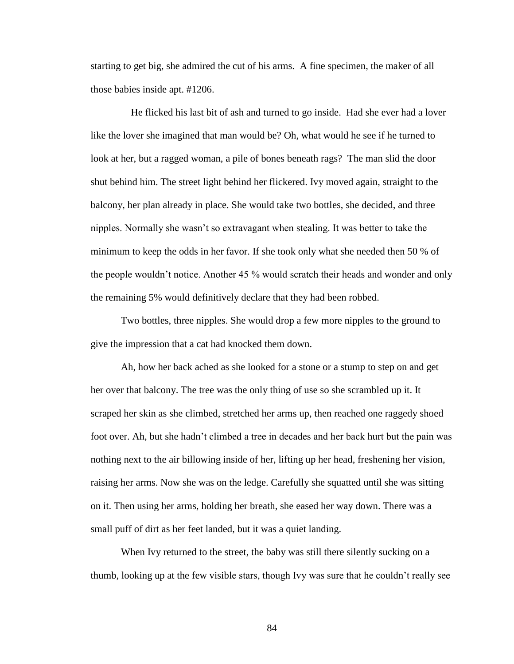starting to get big, she admired the cut of his arms. A fine specimen, the maker of all those babies inside apt. #1206.

 He flicked his last bit of ash and turned to go inside. Had she ever had a lover like the lover she imagined that man would be? Oh, what would he see if he turned to look at her, but a ragged woman, a pile of bones beneath rags? The man slid the door shut behind him. The street light behind her flickered. Ivy moved again, straight to the balcony, her plan already in place. She would take two bottles, she decided, and three nipples. Normally she wasn"t so extravagant when stealing. It was better to take the minimum to keep the odds in her favor. If she took only what she needed then 50 % of the people wouldn"t notice. Another 45 % would scratch their heads and wonder and only the remaining 5% would definitively declare that they had been robbed.

Two bottles, three nipples. She would drop a few more nipples to the ground to give the impression that a cat had knocked them down.

Ah, how her back ached as she looked for a stone or a stump to step on and get her over that balcony. The tree was the only thing of use so she scrambled up it. It scraped her skin as she climbed, stretched her arms up, then reached one raggedy shoed foot over. Ah, but she hadn"t climbed a tree in decades and her back hurt but the pain was nothing next to the air billowing inside of her, lifting up her head, freshening her vision, raising her arms. Now she was on the ledge. Carefully she squatted until she was sitting on it. Then using her arms, holding her breath, she eased her way down. There was a small puff of dirt as her feet landed, but it was a quiet landing.

When Ivy returned to the street, the baby was still there silently sucking on a thumb, looking up at the few visible stars, though Ivy was sure that he couldn"t really see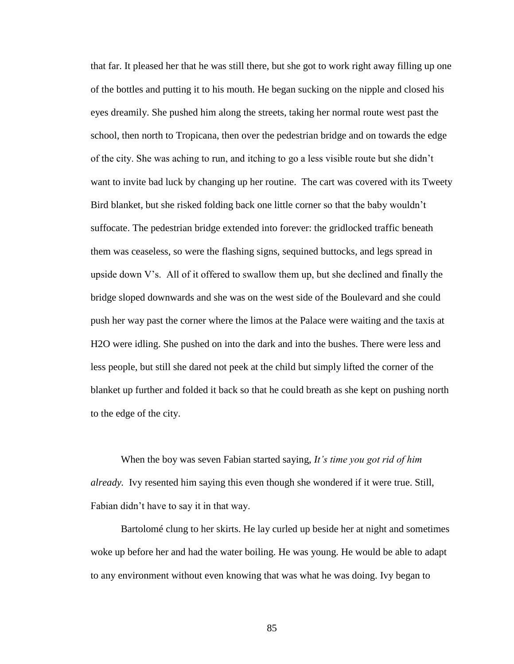that far. It pleased her that he was still there, but she got to work right away filling up one of the bottles and putting it to his mouth. He began sucking on the nipple and closed his eyes dreamily. She pushed him along the streets, taking her normal route west past the school, then north to Tropicana, then over the pedestrian bridge and on towards the edge of the city. She was aching to run, and itching to go a less visible route but she didn"t want to invite bad luck by changing up her routine. The cart was covered with its Tweety Bird blanket, but she risked folding back one little corner so that the baby wouldn"t suffocate. The pedestrian bridge extended into forever: the gridlocked traffic beneath them was ceaseless, so were the flashing signs, sequined buttocks, and legs spread in upside down V's. All of it offered to swallow them up, but she declined and finally the bridge sloped downwards and she was on the west side of the Boulevard and she could push her way past the corner where the limos at the Palace were waiting and the taxis at H2O were idling. She pushed on into the dark and into the bushes. There were less and less people, but still she dared not peek at the child but simply lifted the corner of the blanket up further and folded it back so that he could breath as she kept on pushing north to the edge of the city.

When the boy was seven Fabian started saying, *It's time you got rid of him already.* Ivy resented him saying this even though she wondered if it were true. Still, Fabian didn"t have to say it in that way.

Bartolomé clung to her skirts. He lay curled up beside her at night and sometimes woke up before her and had the water boiling. He was young. He would be able to adapt to any environment without even knowing that was what he was doing. Ivy began to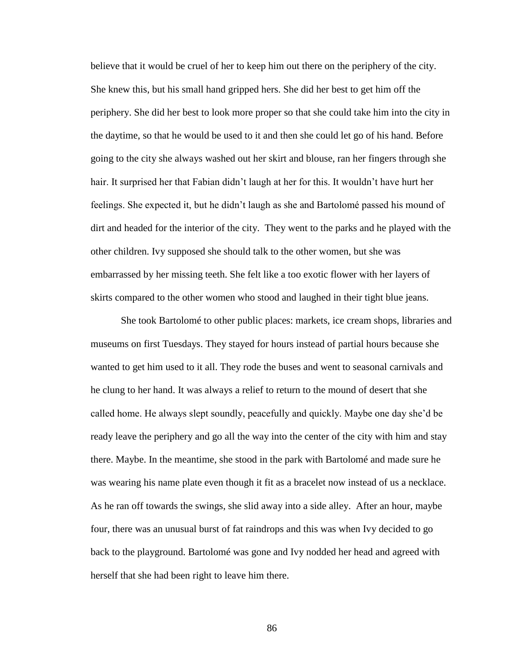believe that it would be cruel of her to keep him out there on the periphery of the city. She knew this, but his small hand gripped hers. She did her best to get him off the periphery. She did her best to look more proper so that she could take him into the city in the daytime, so that he would be used to it and then she could let go of his hand. Before going to the city she always washed out her skirt and blouse, ran her fingers through she hair. It surprised her that Fabian didn"t laugh at her for this. It wouldn"t have hurt her feelings. She expected it, but he didn"t laugh as she and Bartolomé passed his mound of dirt and headed for the interior of the city. They went to the parks and he played with the other children. Ivy supposed she should talk to the other women, but she was embarrassed by her missing teeth. She felt like a too exotic flower with her layers of skirts compared to the other women who stood and laughed in their tight blue jeans.

She took Bartolomé to other public places: markets, ice cream shops, libraries and museums on first Tuesdays. They stayed for hours instead of partial hours because she wanted to get him used to it all. They rode the buses and went to seasonal carnivals and he clung to her hand. It was always a relief to return to the mound of desert that she called home. He always slept soundly, peacefully and quickly. Maybe one day she"d be ready leave the periphery and go all the way into the center of the city with him and stay there. Maybe. In the meantime, she stood in the park with Bartolomé and made sure he was wearing his name plate even though it fit as a bracelet now instead of us a necklace. As he ran off towards the swings, she slid away into a side alley. After an hour, maybe four, there was an unusual burst of fat raindrops and this was when Ivy decided to go back to the playground. Bartolomé was gone and Ivy nodded her head and agreed with herself that she had been right to leave him there.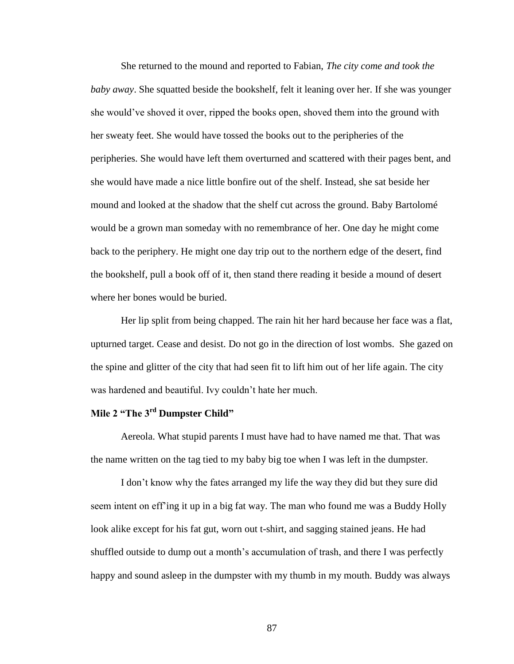She returned to the mound and reported to Fabian, *The city come and took the baby away*. She squatted beside the bookshelf, felt it leaning over her. If she was younger she would"ve shoved it over, ripped the books open, shoved them into the ground with her sweaty feet. She would have tossed the books out to the peripheries of the peripheries. She would have left them overturned and scattered with their pages bent, and she would have made a nice little bonfire out of the shelf. Instead, she sat beside her mound and looked at the shadow that the shelf cut across the ground. Baby Bartolomé would be a grown man someday with no remembrance of her. One day he might come back to the periphery. He might one day trip out to the northern edge of the desert, find the bookshelf, pull a book off of it, then stand there reading it beside a mound of desert where her bones would be buried.

Her lip split from being chapped. The rain hit her hard because her face was a flat, upturned target. Cease and desist. Do not go in the direction of lost wombs. She gazed on the spine and glitter of the city that had seen fit to lift him out of her life again. The city was hardened and beautiful. Ivy couldn't hate her much.

# **Mile 2 "The 3rd Dumpster Child"**

Aereola. What stupid parents I must have had to have named me that. That was the name written on the tag tied to my baby big toe when I was left in the dumpster.

I don"t know why the fates arranged my life the way they did but they sure did seem intent on eff"ing it up in a big fat way. The man who found me was a Buddy Holly look alike except for his fat gut, worn out t-shirt, and sagging stained jeans. He had shuffled outside to dump out a month"s accumulation of trash, and there I was perfectly happy and sound asleep in the dumpster with my thumb in my mouth. Buddy was always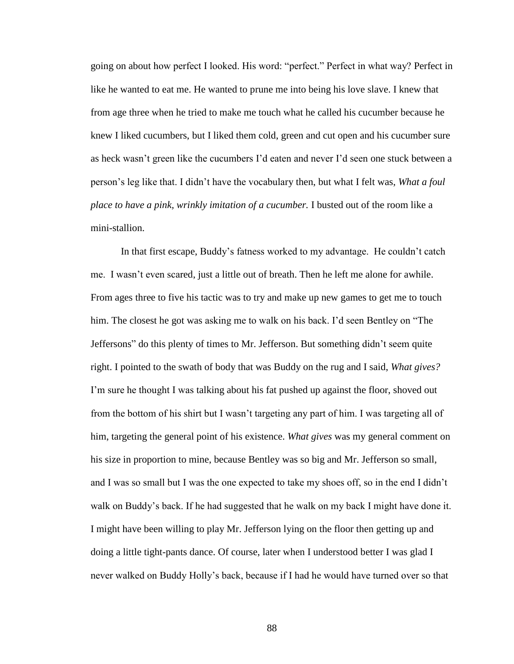going on about how perfect I looked. His word: "perfect." Perfect in what way? Perfect in like he wanted to eat me. He wanted to prune me into being his love slave. I knew that from age three when he tried to make me touch what he called his cucumber because he knew I liked cucumbers, but I liked them cold, green and cut open and his cucumber sure as heck wasn"t green like the cucumbers I"d eaten and never I"d seen one stuck between a person"s leg like that. I didn"t have the vocabulary then, but what I felt was, *What a foul place to have a pink, wrinkly imitation of a cucumber.* I busted out of the room like a mini-stallion.

In that first escape, Buddy"s fatness worked to my advantage. He couldn"t catch me. I wasn"t even scared, just a little out of breath. Then he left me alone for awhile. From ages three to five his tactic was to try and make up new games to get me to touch him. The closest he got was asking me to walk on his back. I'd seen Bentley on "The Jeffersons" do this plenty of times to Mr. Jefferson. But something didn"t seem quite right. I pointed to the swath of body that was Buddy on the rug and I said, *What gives?* I'm sure he thought I was talking about his fat pushed up against the floor, shoved out from the bottom of his shirt but I wasn"t targeting any part of him. I was targeting all of him, targeting the general point of his existence. *What gives* was my general comment on his size in proportion to mine, because Bentley was so big and Mr. Jefferson so small, and I was so small but I was the one expected to take my shoes off, so in the end I didn"t walk on Buddy"s back. If he had suggested that he walk on my back I might have done it. I might have been willing to play Mr. Jefferson lying on the floor then getting up and doing a little tight-pants dance. Of course, later when I understood better I was glad I never walked on Buddy Holly"s back, because if I had he would have turned over so that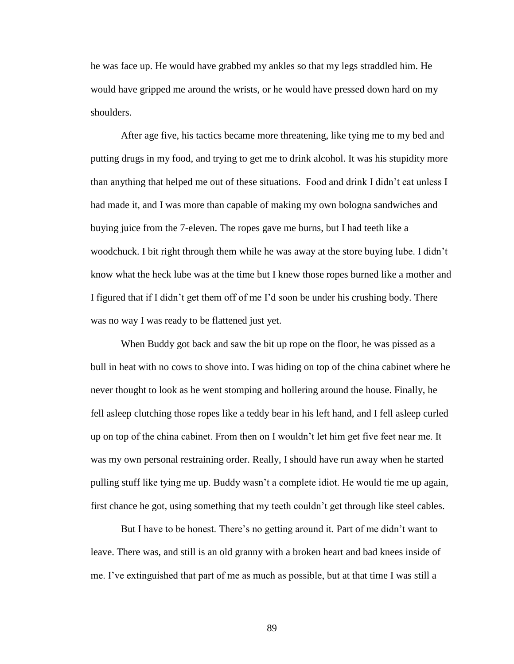he was face up. He would have grabbed my ankles so that my legs straddled him. He would have gripped me around the wrists, or he would have pressed down hard on my shoulders.

After age five, his tactics became more threatening, like tying me to my bed and putting drugs in my food, and trying to get me to drink alcohol. It was his stupidity more than anything that helped me out of these situations. Food and drink I didn"t eat unless I had made it, and I was more than capable of making my own bologna sandwiches and buying juice from the 7-eleven. The ropes gave me burns, but I had teeth like a woodchuck. I bit right through them while he was away at the store buying lube. I didn"t know what the heck lube was at the time but I knew those ropes burned like a mother and I figured that if I didn"t get them off of me I"d soon be under his crushing body. There was no way I was ready to be flattened just yet.

When Buddy got back and saw the bit up rope on the floor, he was pissed as a bull in heat with no cows to shove into. I was hiding on top of the china cabinet where he never thought to look as he went stomping and hollering around the house. Finally, he fell asleep clutching those ropes like a teddy bear in his left hand, and I fell asleep curled up on top of the china cabinet. From then on I wouldn"t let him get five feet near me. It was my own personal restraining order. Really, I should have run away when he started pulling stuff like tying me up. Buddy wasn"t a complete idiot. He would tie me up again, first chance he got, using something that my teeth couldn"t get through like steel cables.

But I have to be honest. There"s no getting around it. Part of me didn"t want to leave. There was, and still is an old granny with a broken heart and bad knees inside of me. I"ve extinguished that part of me as much as possible, but at that time I was still a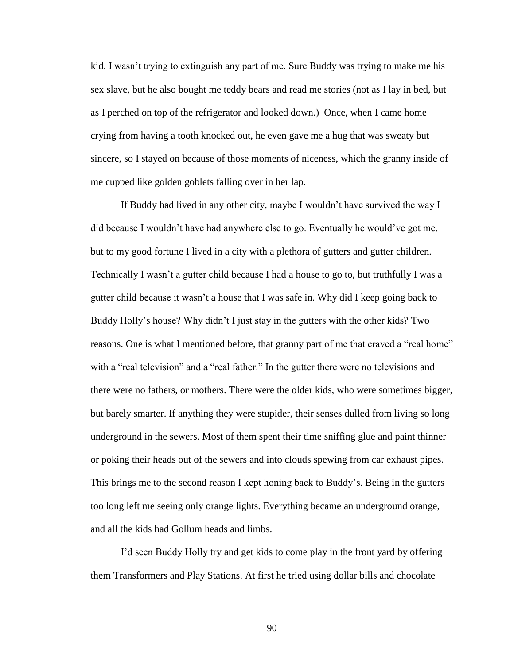kid. I wasn"t trying to extinguish any part of me. Sure Buddy was trying to make me his sex slave, but he also bought me teddy bears and read me stories (not as I lay in bed, but as I perched on top of the refrigerator and looked down.) Once, when I came home crying from having a tooth knocked out, he even gave me a hug that was sweaty but sincere, so I stayed on because of those moments of niceness, which the granny inside of me cupped like golden goblets falling over in her lap.

If Buddy had lived in any other city, maybe I wouldn"t have survived the way I did because I wouldn"t have had anywhere else to go. Eventually he would"ve got me, but to my good fortune I lived in a city with a plethora of gutters and gutter children. Technically I wasn"t a gutter child because I had a house to go to, but truthfully I was a gutter child because it wasn"t a house that I was safe in. Why did I keep going back to Buddy Holly"s house? Why didn"t I just stay in the gutters with the other kids? Two reasons. One is what I mentioned before, that granny part of me that craved a "real home" with a "real television" and a "real father." In the gutter there were no televisions and there were no fathers, or mothers. There were the older kids, who were sometimes bigger, but barely smarter. If anything they were stupider, their senses dulled from living so long underground in the sewers. Most of them spent their time sniffing glue and paint thinner or poking their heads out of the sewers and into clouds spewing from car exhaust pipes. This brings me to the second reason I kept honing back to Buddy"s. Being in the gutters too long left me seeing only orange lights. Everything became an underground orange, and all the kids had Gollum heads and limbs.

I"d seen Buddy Holly try and get kids to come play in the front yard by offering them Transformers and Play Stations. At first he tried using dollar bills and chocolate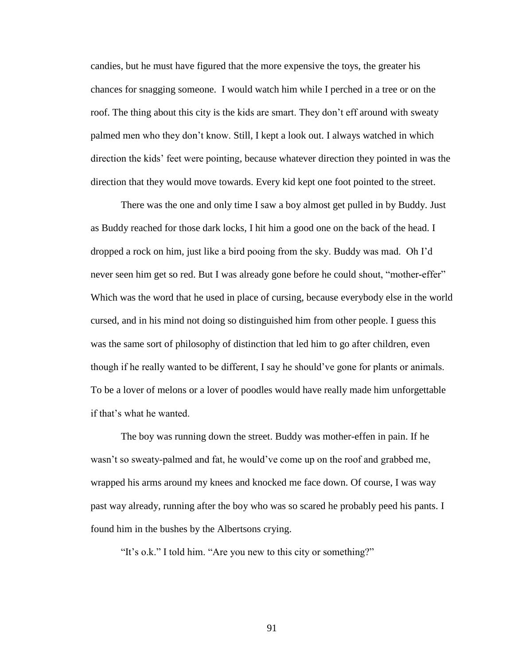candies, but he must have figured that the more expensive the toys, the greater his chances for snagging someone. I would watch him while I perched in a tree or on the roof. The thing about this city is the kids are smart. They don"t eff around with sweaty palmed men who they don"t know. Still, I kept a look out. I always watched in which direction the kids" feet were pointing, because whatever direction they pointed in was the direction that they would move towards. Every kid kept one foot pointed to the street.

There was the one and only time I saw a boy almost get pulled in by Buddy. Just as Buddy reached for those dark locks, I hit him a good one on the back of the head. I dropped a rock on him, just like a bird pooing from the sky. Buddy was mad. Oh I"d never seen him get so red. But I was already gone before he could shout, "mother-effer" Which was the word that he used in place of cursing, because everybody else in the world cursed, and in his mind not doing so distinguished him from other people. I guess this was the same sort of philosophy of distinction that led him to go after children, even though if he really wanted to be different, I say he should"ve gone for plants or animals. To be a lover of melons or a lover of poodles would have really made him unforgettable if that"s what he wanted.

The boy was running down the street. Buddy was mother-effen in pain. If he wasn't so sweaty-palmed and fat, he would've come up on the roof and grabbed me, wrapped his arms around my knees and knocked me face down. Of course, I was way past way already, running after the boy who was so scared he probably peed his pants. I found him in the bushes by the Albertsons crying.

"It's o.k." I told him. "Are you new to this city or something?"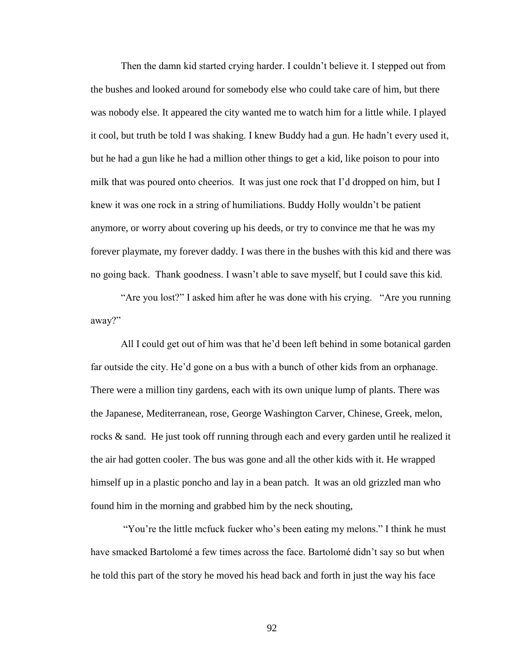Then the damn kid started crying harder. I couldn"t believe it. I stepped out from the bushes and looked around for somebody else who could take care of him, but there was nobody else. It appeared the city wanted me to watch him for a little while. I played it cool, but truth be told I was shaking. I knew Buddy had a gun. He hadn"t every used it, but he had a gun like he had a million other things to get a kid, like poison to pour into milk that was poured onto cheerios. It was just one rock that I"d dropped on him, but I knew it was one rock in a string of humiliations. Buddy Holly wouldn"t be patient anymore, or worry about covering up his deeds, or try to convince me that he was my forever playmate, my forever daddy. I was there in the bushes with this kid and there was no going back. Thank goodness. I wasn"t able to save myself, but I could save this kid.

"Are you lost?" I asked him after he was done with his crying. "Are you running away?"

All I could get out of him was that he'd been left behind in some botanical garden far outside the city. He'd gone on a bus with a bunch of other kids from an orphanage. There were a million tiny gardens, each with its own unique lump of plants. There was the Japanese, Mediterranean, rose, George Washington Carver, Chinese, Greek, melon, rocks & sand. He just took off running through each and every garden until he realized it the air had gotten cooler. The bus was gone and all the other kids with it. He wrapped himself up in a plastic poncho and lay in a bean patch. It was an old grizzled man who found him in the morning and grabbed him by the neck shouting,

"You"re the little mcfuck fucker who"s been eating my melons." I think he must have smacked Bartolomé a few times across the face. Bartolomé didn"t say so but when he told this part of the story he moved his head back and forth in just the way his face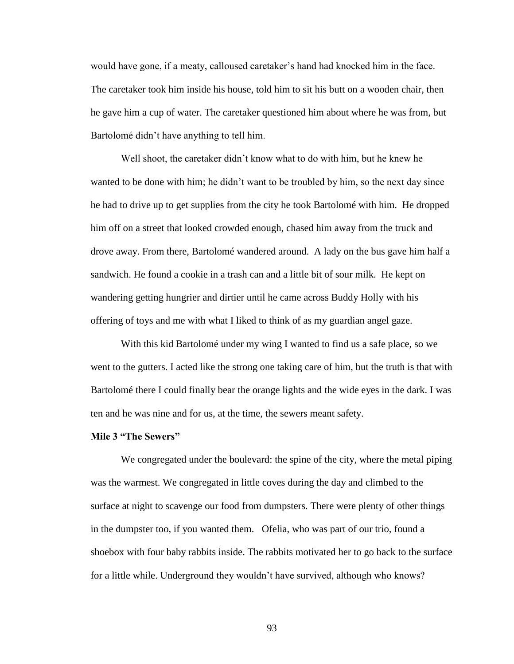would have gone, if a meaty, calloused caretaker"s hand had knocked him in the face. The caretaker took him inside his house, told him to sit his butt on a wooden chair, then he gave him a cup of water. The caretaker questioned him about where he was from, but Bartolomé didn"t have anything to tell him.

Well shoot, the caretaker didn't know what to do with him, but he knew he wanted to be done with him; he didn"t want to be troubled by him, so the next day since he had to drive up to get supplies from the city he took Bartolomé with him. He dropped him off on a street that looked crowded enough, chased him away from the truck and drove away. From there, Bartolomé wandered around. A lady on the bus gave him half a sandwich. He found a cookie in a trash can and a little bit of sour milk. He kept on wandering getting hungrier and dirtier until he came across Buddy Holly with his offering of toys and me with what I liked to think of as my guardian angel gaze.

With this kid Bartolomé under my wing I wanted to find us a safe place, so we went to the gutters. I acted like the strong one taking care of him, but the truth is that with Bartolomé there I could finally bear the orange lights and the wide eyes in the dark. I was ten and he was nine and for us, at the time, the sewers meant safety.

#### **Mile 3 "The Sewers"**

We congregated under the boulevard: the spine of the city, where the metal piping was the warmest. We congregated in little coves during the day and climbed to the surface at night to scavenge our food from dumpsters. There were plenty of other things in the dumpster too, if you wanted them. Ofelia, who was part of our trio, found a shoebox with four baby rabbits inside. The rabbits motivated her to go back to the surface for a little while. Underground they wouldn"t have survived, although who knows?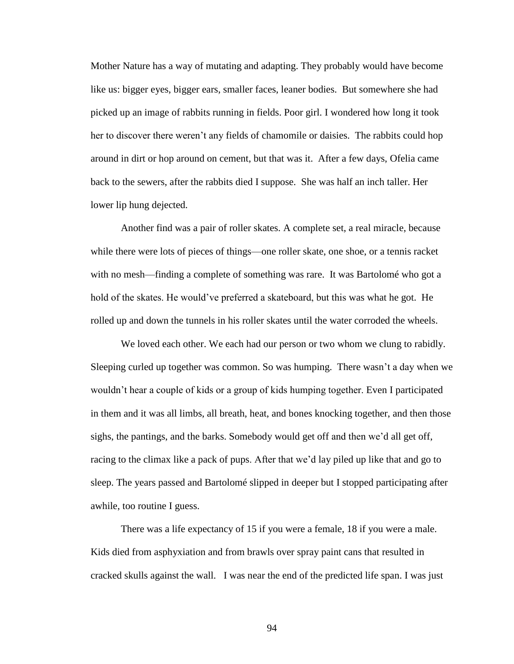Mother Nature has a way of mutating and adapting. They probably would have become like us: bigger eyes, bigger ears, smaller faces, leaner bodies. But somewhere she had picked up an image of rabbits running in fields. Poor girl. I wondered how long it took her to discover there weren"t any fields of chamomile or daisies. The rabbits could hop around in dirt or hop around on cement, but that was it. After a few days, Ofelia came back to the sewers, after the rabbits died I suppose. She was half an inch taller. Her lower lip hung dejected.

Another find was a pair of roller skates. A complete set, a real miracle, because while there were lots of pieces of things—one roller skate, one shoe, or a tennis racket with no mesh—finding a complete of something was rare. It was Bartolomé who got a hold of the skates. He would've preferred a skateboard, but this was what he got. He rolled up and down the tunnels in his roller skates until the water corroded the wheels.

We loved each other. We each had our person or two whom we clung to rabidly. Sleeping curled up together was common. So was humping. There wasn"t a day when we wouldn"t hear a couple of kids or a group of kids humping together. Even I participated in them and it was all limbs, all breath, heat, and bones knocking together, and then those sighs, the pantings, and the barks. Somebody would get off and then we"d all get off, racing to the climax like a pack of pups. After that we"d lay piled up like that and go to sleep. The years passed and Bartolomé slipped in deeper but I stopped participating after awhile, too routine I guess.

There was a life expectancy of 15 if you were a female, 18 if you were a male. Kids died from asphyxiation and from brawls over spray paint cans that resulted in cracked skulls against the wall. I was near the end of the predicted life span. I was just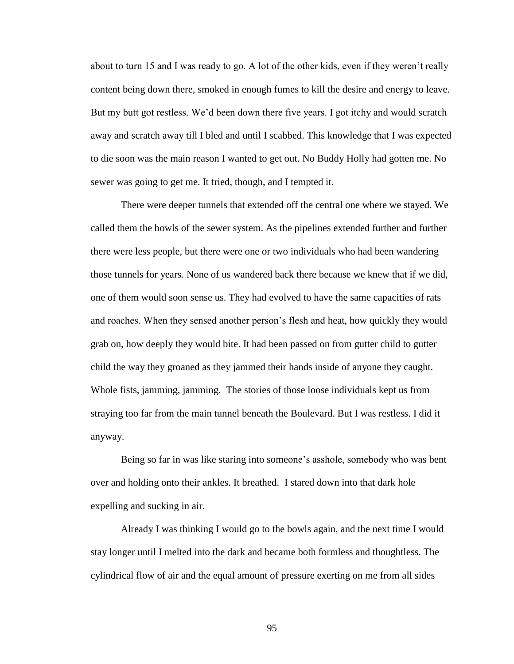about to turn 15 and I was ready to go. A lot of the other kids, even if they weren"t really content being down there, smoked in enough fumes to kill the desire and energy to leave. But my butt got restless. We'd been down there five years. I got itchy and would scratch away and scratch away till I bled and until I scabbed. This knowledge that I was expected to die soon was the main reason I wanted to get out. No Buddy Holly had gotten me. No sewer was going to get me. It tried, though, and I tempted it.

There were deeper tunnels that extended off the central one where we stayed. We called them the bowls of the sewer system. As the pipelines extended further and further there were less people, but there were one or two individuals who had been wandering those tunnels for years. None of us wandered back there because we knew that if we did, one of them would soon sense us. They had evolved to have the same capacities of rats and roaches. When they sensed another person"s flesh and heat, how quickly they would grab on, how deeply they would bite. It had been passed on from gutter child to gutter child the way they groaned as they jammed their hands inside of anyone they caught. Whole fists, jamming, jamming. The stories of those loose individuals kept us from straying too far from the main tunnel beneath the Boulevard. But I was restless. I did it anyway.

Being so far in was like staring into someone"s asshole, somebody who was bent over and holding onto their ankles. It breathed. I stared down into that dark hole expelling and sucking in air.

Already I was thinking I would go to the bowls again, and the next time I would stay longer until I melted into the dark and became both formless and thoughtless. The cylindrical flow of air and the equal amount of pressure exerting on me from all sides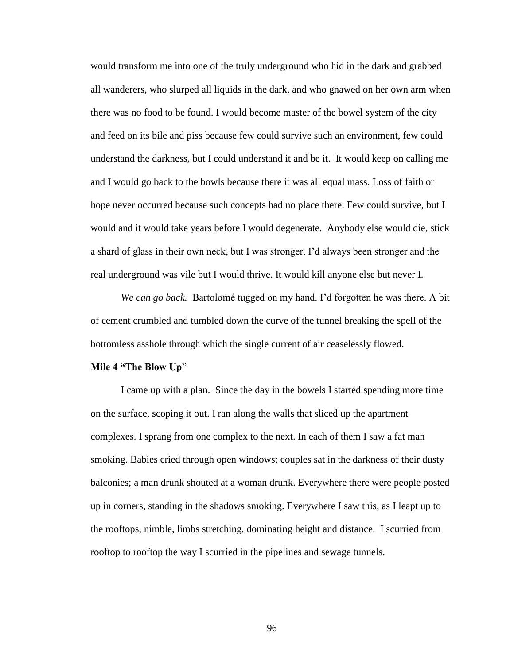would transform me into one of the truly underground who hid in the dark and grabbed all wanderers, who slurped all liquids in the dark, and who gnawed on her own arm when there was no food to be found. I would become master of the bowel system of the city and feed on its bile and piss because few could survive such an environment, few could understand the darkness, but I could understand it and be it. It would keep on calling me and I would go back to the bowls because there it was all equal mass. Loss of faith or hope never occurred because such concepts had no place there. Few could survive, but I would and it would take years before I would degenerate. Anybody else would die, stick a shard of glass in their own neck, but I was stronger. I"d always been stronger and the real underground was vile but I would thrive. It would kill anyone else but never I.

*We can go back.* Bartolomé tugged on my hand. I"d forgotten he was there. A bit of cement crumbled and tumbled down the curve of the tunnel breaking the spell of the bottomless asshole through which the single current of air ceaselessly flowed.

# **Mile 4 "The Blow Up**"

I came up with a plan. Since the day in the bowels I started spending more time on the surface, scoping it out. I ran along the walls that sliced up the apartment complexes. I sprang from one complex to the next. In each of them I saw a fat man smoking. Babies cried through open windows; couples sat in the darkness of their dusty balconies; a man drunk shouted at a woman drunk. Everywhere there were people posted up in corners, standing in the shadows smoking. Everywhere I saw this, as I leapt up to the rooftops, nimble, limbs stretching, dominating height and distance. I scurried from rooftop to rooftop the way I scurried in the pipelines and sewage tunnels.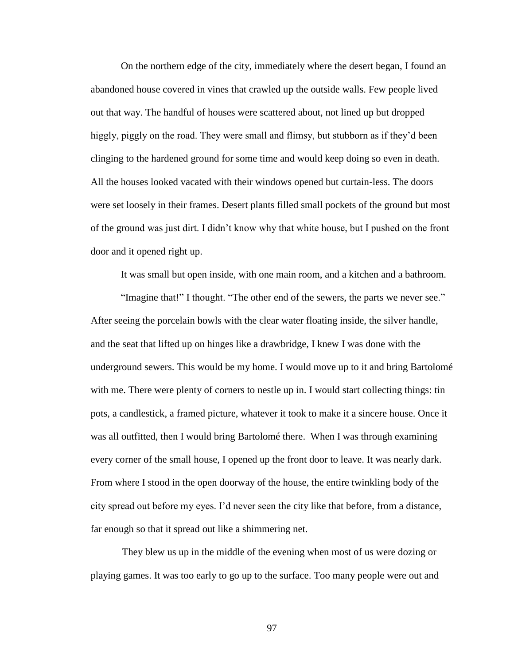On the northern edge of the city, immediately where the desert began, I found an abandoned house covered in vines that crawled up the outside walls. Few people lived out that way. The handful of houses were scattered about, not lined up but dropped higgly, piggly on the road. They were small and flimsy, but stubborn as if they'd been clinging to the hardened ground for some time and would keep doing so even in death. All the houses looked vacated with their windows opened but curtain-less. The doors were set loosely in their frames. Desert plants filled small pockets of the ground but most of the ground was just dirt. I didn"t know why that white house, but I pushed on the front door and it opened right up.

It was small but open inside, with one main room, and a kitchen and a bathroom.

"Imagine that!" I thought. "The other end of the sewers, the parts we never see." After seeing the porcelain bowls with the clear water floating inside, the silver handle, and the seat that lifted up on hinges like a drawbridge, I knew I was done with the underground sewers. This would be my home. I would move up to it and bring Bartolomé with me. There were plenty of corners to nestle up in. I would start collecting things: tin pots, a candlestick, a framed picture, whatever it took to make it a sincere house. Once it was all outfitted, then I would bring Bartolomé there. When I was through examining every corner of the small house, I opened up the front door to leave. It was nearly dark. From where I stood in the open doorway of the house, the entire twinkling body of the city spread out before my eyes. I"d never seen the city like that before, from a distance, far enough so that it spread out like a shimmering net.

They blew us up in the middle of the evening when most of us were dozing or playing games. It was too early to go up to the surface. Too many people were out and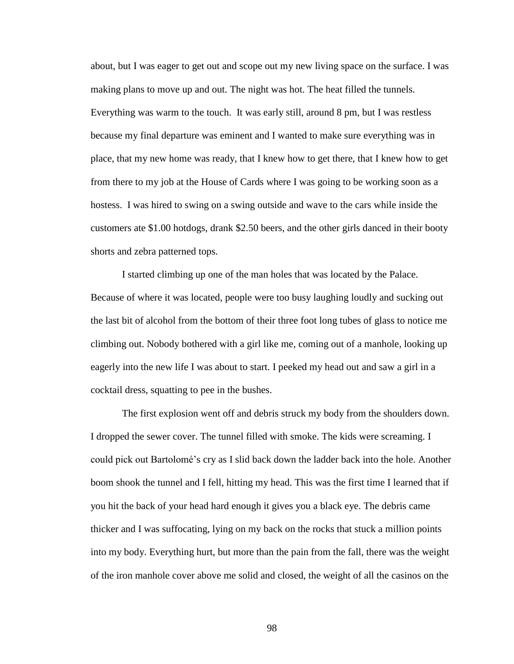about, but I was eager to get out and scope out my new living space on the surface. I was making plans to move up and out. The night was hot. The heat filled the tunnels. Everything was warm to the touch. It was early still, around 8 pm, but I was restless because my final departure was eminent and I wanted to make sure everything was in place, that my new home was ready, that I knew how to get there, that I knew how to get from there to my job at the House of Cards where I was going to be working soon as a hostess. I was hired to swing on a swing outside and wave to the cars while inside the customers ate \$1.00 hotdogs, drank \$2.50 beers, and the other girls danced in their booty shorts and zebra patterned tops.

I started climbing up one of the man holes that was located by the Palace. Because of where it was located, people were too busy laughing loudly and sucking out the last bit of alcohol from the bottom of their three foot long tubes of glass to notice me climbing out. Nobody bothered with a girl like me, coming out of a manhole, looking up eagerly into the new life I was about to start. I peeked my head out and saw a girl in a cocktail dress, squatting to pee in the bushes.

The first explosion went off and debris struck my body from the shoulders down. I dropped the sewer cover. The tunnel filled with smoke. The kids were screaming. I could pick out Bartolomé"s cry as I slid back down the ladder back into the hole. Another boom shook the tunnel and I fell, hitting my head. This was the first time I learned that if you hit the back of your head hard enough it gives you a black eye. The debris came thicker and I was suffocating, lying on my back on the rocks that stuck a million points into my body. Everything hurt, but more than the pain from the fall, there was the weight of the iron manhole cover above me solid and closed, the weight of all the casinos on the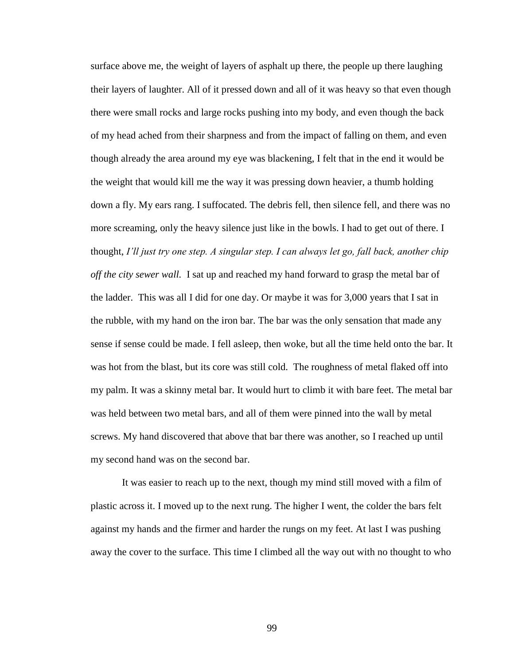surface above me, the weight of layers of asphalt up there, the people up there laughing their layers of laughter. All of it pressed down and all of it was heavy so that even though there were small rocks and large rocks pushing into my body, and even though the back of my head ached from their sharpness and from the impact of falling on them, and even though already the area around my eye was blackening, I felt that in the end it would be the weight that would kill me the way it was pressing down heavier, a thumb holding down a fly. My ears rang. I suffocated. The debris fell, then silence fell, and there was no more screaming, only the heavy silence just like in the bowls. I had to get out of there. I thought, *I'll just try one step. A singular step. I can always let go, fall back, another chip off the city sewer wall.* I sat up and reached my hand forward to grasp the metal bar of the ladder. This was all I did for one day. Or maybe it was for 3,000 years that I sat in the rubble, with my hand on the iron bar. The bar was the only sensation that made any sense if sense could be made. I fell asleep, then woke, but all the time held onto the bar. It was hot from the blast, but its core was still cold. The roughness of metal flaked off into my palm. It was a skinny metal bar. It would hurt to climb it with bare feet. The metal bar was held between two metal bars, and all of them were pinned into the wall by metal screws. My hand discovered that above that bar there was another, so I reached up until my second hand was on the second bar.

It was easier to reach up to the next, though my mind still moved with a film of plastic across it. I moved up to the next rung. The higher I went, the colder the bars felt against my hands and the firmer and harder the rungs on my feet. At last I was pushing away the cover to the surface. This time I climbed all the way out with no thought to who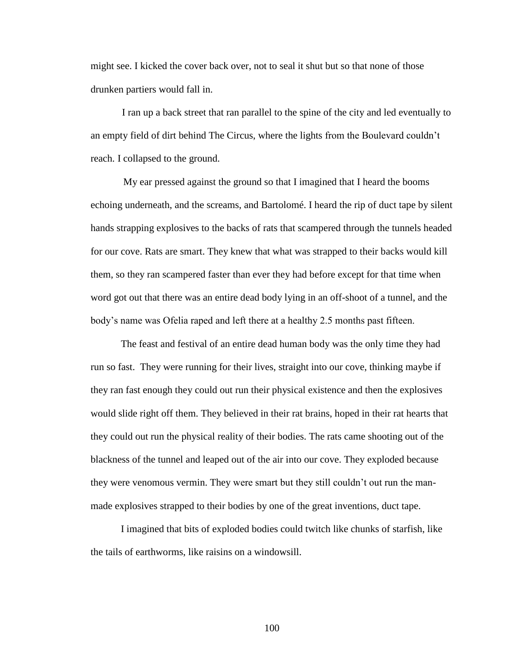might see. I kicked the cover back over, not to seal it shut but so that none of those drunken partiers would fall in.

I ran up a back street that ran parallel to the spine of the city and led eventually to an empty field of dirt behind The Circus, where the lights from the Boulevard couldn"t reach. I collapsed to the ground.

My ear pressed against the ground so that I imagined that I heard the booms echoing underneath, and the screams, and Bartolomé. I heard the rip of duct tape by silent hands strapping explosives to the backs of rats that scampered through the tunnels headed for our cove. Rats are smart. They knew that what was strapped to their backs would kill them, so they ran scampered faster than ever they had before except for that time when word got out that there was an entire dead body lying in an off-shoot of a tunnel, and the body"s name was Ofelia raped and left there at a healthy 2.5 months past fifteen.

The feast and festival of an entire dead human body was the only time they had run so fast. They were running for their lives, straight into our cove, thinking maybe if they ran fast enough they could out run their physical existence and then the explosives would slide right off them. They believed in their rat brains, hoped in their rat hearts that they could out run the physical reality of their bodies. The rats came shooting out of the blackness of the tunnel and leaped out of the air into our cove. They exploded because they were venomous vermin. They were smart but they still couldn"t out run the manmade explosives strapped to their bodies by one of the great inventions, duct tape.

I imagined that bits of exploded bodies could twitch like chunks of starfish, like the tails of earthworms, like raisins on a windowsill.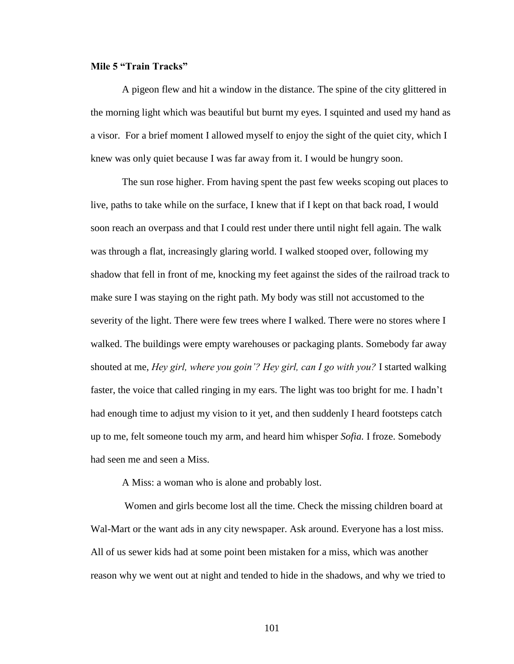### **Mile 5 "Train Tracks"**

A pigeon flew and hit a window in the distance. The spine of the city glittered in the morning light which was beautiful but burnt my eyes. I squinted and used my hand as a visor. For a brief moment I allowed myself to enjoy the sight of the quiet city, which I knew was only quiet because I was far away from it. I would be hungry soon.

The sun rose higher. From having spent the past few weeks scoping out places to live, paths to take while on the surface, I knew that if I kept on that back road, I would soon reach an overpass and that I could rest under there until night fell again. The walk was through a flat, increasingly glaring world. I walked stooped over, following my shadow that fell in front of me, knocking my feet against the sides of the railroad track to make sure I was staying on the right path. My body was still not accustomed to the severity of the light. There were few trees where I walked. There were no stores where I walked. The buildings were empty warehouses or packaging plants. Somebody far away shouted at me, *Hey girl, where you goin'? Hey girl, can I go with you?* I started walking faster, the voice that called ringing in my ears. The light was too bright for me. I hadn't had enough time to adjust my vision to it yet, and then suddenly I heard footsteps catch up to me, felt someone touch my arm, and heard him whisper *Sofia.* I froze. Somebody had seen me and seen a Miss.

A Miss: a woman who is alone and probably lost.

Women and girls become lost all the time. Check the missing children board at Wal-Mart or the want ads in any city newspaper. Ask around. Everyone has a lost miss. All of us sewer kids had at some point been mistaken for a miss, which was another reason why we went out at night and tended to hide in the shadows, and why we tried to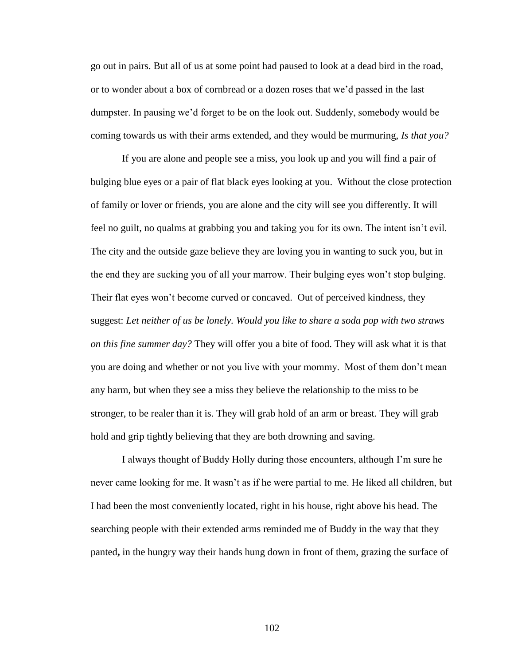go out in pairs. But all of us at some point had paused to look at a dead bird in the road, or to wonder about a box of cornbread or a dozen roses that we"d passed in the last dumpster. In pausing we"d forget to be on the look out. Suddenly, somebody would be coming towards us with their arms extended, and they would be murmuring, *Is that you?*

If you are alone and people see a miss, you look up and you will find a pair of bulging blue eyes or a pair of flat black eyes looking at you. Without the close protection of family or lover or friends, you are alone and the city will see you differently. It will feel no guilt, no qualms at grabbing you and taking you for its own. The intent isn"t evil. The city and the outside gaze believe they are loving you in wanting to suck you, but in the end they are sucking you of all your marrow. Their bulging eyes won"t stop bulging. Their flat eyes won"t become curved or concaved. Out of perceived kindness, they suggest: *Let neither of us be lonely. Would you like to share a soda pop with two straws on this fine summer day?* They will offer you a bite of food. They will ask what it is that you are doing and whether or not you live with your mommy. Most of them don"t mean any harm, but when they see a miss they believe the relationship to the miss to be stronger, to be realer than it is. They will grab hold of an arm or breast. They will grab hold and grip tightly believing that they are both drowning and saving.

I always thought of Buddy Holly during those encounters, although I"m sure he never came looking for me. It wasn't as if he were partial to me. He liked all children, but I had been the most conveniently located, right in his house, right above his head. The searching people with their extended arms reminded me of Buddy in the way that they panted**,** in the hungry way their hands hung down in front of them, grazing the surface of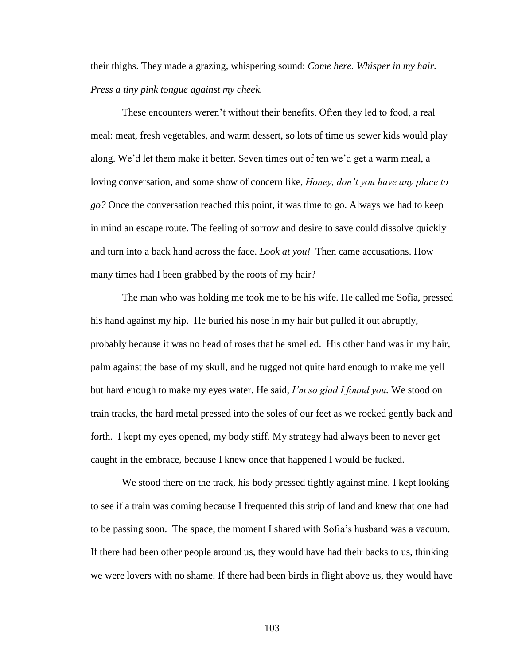their thighs. They made a grazing, whispering sound: *Come here. Whisper in my hair. Press a tiny pink tongue against my cheek.* 

These encounters weren"t without their benefits. Often they led to food, a real meal: meat, fresh vegetables, and warm dessert, so lots of time us sewer kids would play along. We"d let them make it better. Seven times out of ten we"d get a warm meal, a loving conversation, and some show of concern like, *Honey, don't you have any place to go?* Once the conversation reached this point, it was time to go. Always we had to keep in mind an escape route. The feeling of sorrow and desire to save could dissolve quickly and turn into a back hand across the face. *Look at you!* Then came accusations. How many times had I been grabbed by the roots of my hair?

The man who was holding me took me to be his wife. He called me Sofia, pressed his hand against my hip. He buried his nose in my hair but pulled it out abruptly, probably because it was no head of roses that he smelled. His other hand was in my hair, palm against the base of my skull, and he tugged not quite hard enough to make me yell but hard enough to make my eyes water. He said, *I'm so glad I found you.* We stood on train tracks, the hard metal pressed into the soles of our feet as we rocked gently back and forth. I kept my eyes opened, my body stiff. My strategy had always been to never get caught in the embrace, because I knew once that happened I would be fucked.

We stood there on the track, his body pressed tightly against mine. I kept looking to see if a train was coming because I frequented this strip of land and knew that one had to be passing soon. The space, the moment I shared with Sofia"s husband was a vacuum. If there had been other people around us, they would have had their backs to us, thinking we were lovers with no shame. If there had been birds in flight above us, they would have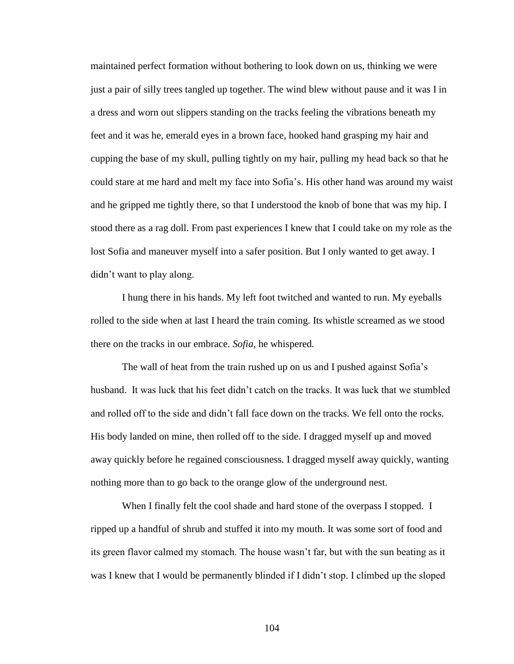maintained perfect formation without bothering to look down on us, thinking we were just a pair of silly trees tangled up together. The wind blew without pause and it was I in a dress and worn out slippers standing on the tracks feeling the vibrations beneath my feet and it was he, emerald eyes in a brown face, hooked hand grasping my hair and cupping the base of my skull, pulling tightly on my hair, pulling my head back so that he could stare at me hard and melt my face into Sofia"s. His other hand was around my waist and he gripped me tightly there, so that I understood the knob of bone that was my hip. I stood there as a rag doll. From past experiences I knew that I could take on my role as the lost Sofia and maneuver myself into a safer position. But I only wanted to get away. I didn"t want to play along.

I hung there in his hands. My left foot twitched and wanted to run. My eyeballs rolled to the side when at last I heard the train coming. Its whistle screamed as we stood there on the tracks in our embrace. *Sofia,* he whispered*.* 

The wall of heat from the train rushed up on us and I pushed against Sofia"s husband. It was luck that his feet didn"t catch on the tracks. It was luck that we stumbled and rolled off to the side and didn"t fall face down on the tracks. We fell onto the rocks. His body landed on mine, then rolled off to the side. I dragged myself up and moved away quickly before he regained consciousness. I dragged myself away quickly, wanting nothing more than to go back to the orange glow of the underground nest.

When I finally felt the cool shade and hard stone of the overpass I stopped. I ripped up a handful of shrub and stuffed it into my mouth. It was some sort of food and its green flavor calmed my stomach. The house wasn"t far, but with the sun beating as it was I knew that I would be permanently blinded if I didn"t stop. I climbed up the sloped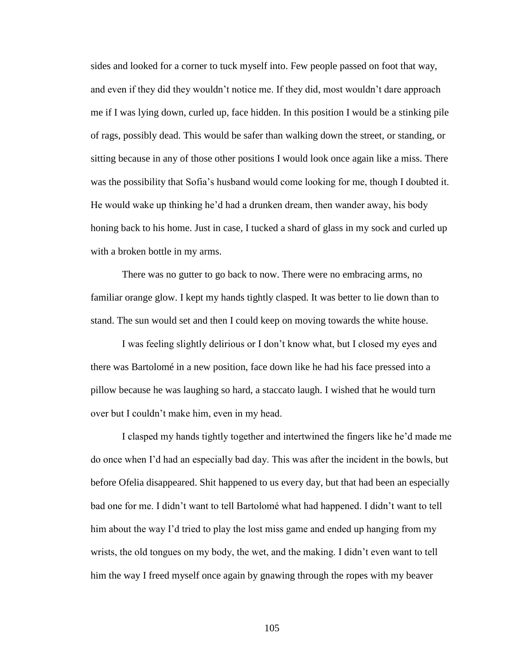sides and looked for a corner to tuck myself into. Few people passed on foot that way, and even if they did they wouldn"t notice me. If they did, most wouldn"t dare approach me if I was lying down, curled up, face hidden. In this position I would be a stinking pile of rags, possibly dead. This would be safer than walking down the street, or standing, or sitting because in any of those other positions I would look once again like a miss. There was the possibility that Sofia"s husband would come looking for me, though I doubted it. He would wake up thinking he"d had a drunken dream, then wander away, his body honing back to his home. Just in case, I tucked a shard of glass in my sock and curled up with a broken bottle in my arms.

There was no gutter to go back to now. There were no embracing arms, no familiar orange glow. I kept my hands tightly clasped. It was better to lie down than to stand. The sun would set and then I could keep on moving towards the white house.

I was feeling slightly delirious or I don"t know what, but I closed my eyes and there was Bartolomé in a new position, face down like he had his face pressed into a pillow because he was laughing so hard, a staccato laugh. I wished that he would turn over but I couldn"t make him, even in my head.

I clasped my hands tightly together and intertwined the fingers like he"d made me do once when I"d had an especially bad day. This was after the incident in the bowls, but before Ofelia disappeared. Shit happened to us every day, but that had been an especially bad one for me. I didn"t want to tell Bartolomé what had happened. I didn"t want to tell him about the way I'd tried to play the lost miss game and ended up hanging from my wrists, the old tongues on my body, the wet, and the making. I didn"t even want to tell him the way I freed myself once again by gnawing through the ropes with my beaver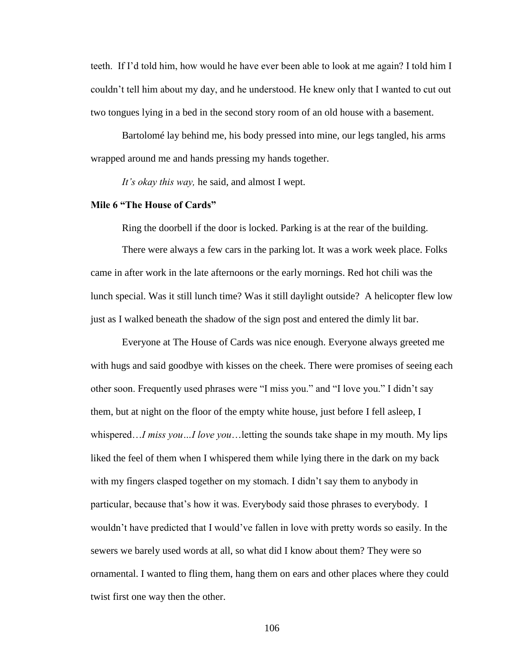teeth. If I"d told him, how would he have ever been able to look at me again? I told him I couldn"t tell him about my day, and he understood. He knew only that I wanted to cut out two tongues lying in a bed in the second story room of an old house with a basement.

Bartolomé lay behind me, his body pressed into mine, our legs tangled, his arms wrapped around me and hands pressing my hands together.

*It's okay this way,* he said, and almost I wept.

## **Mile 6 "The House of Cards"**

Ring the doorbell if the door is locked. Parking is at the rear of the building.

There were always a few cars in the parking lot. It was a work week place. Folks came in after work in the late afternoons or the early mornings. Red hot chili was the lunch special. Was it still lunch time? Was it still daylight outside? A helicopter flew low just as I walked beneath the shadow of the sign post and entered the dimly lit bar.

Everyone at The House of Cards was nice enough. Everyone always greeted me with hugs and said goodbye with kisses on the cheek. There were promises of seeing each other soon. Frequently used phrases were "I miss you." and "I love you." I didn"t say them, but at night on the floor of the empty white house, just before I fell asleep, I whispered…*I miss you…I love you*…letting the sounds take shape in my mouth. My lips liked the feel of them when I whispered them while lying there in the dark on my back with my fingers clasped together on my stomach. I didn't say them to anybody in particular, because that's how it was. Everybody said those phrases to everybody. I wouldn"t have predicted that I would"ve fallen in love with pretty words so easily. In the sewers we barely used words at all, so what did I know about them? They were so ornamental. I wanted to fling them, hang them on ears and other places where they could twist first one way then the other.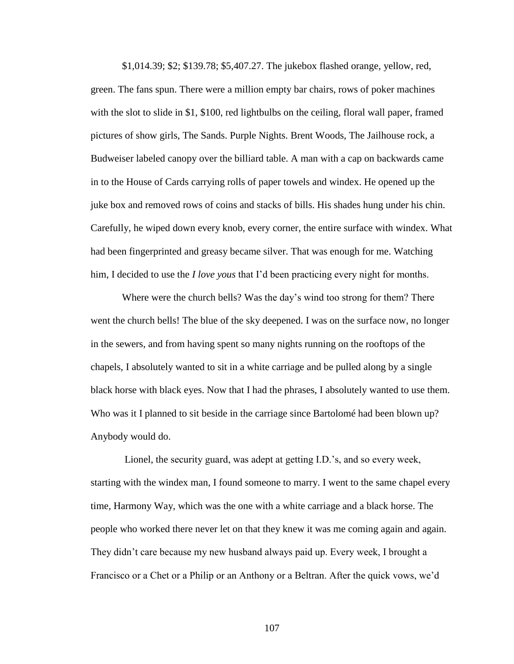\$1,014.39; \$2; \$139.78; \$5,407.27. The jukebox flashed orange, yellow, red, green. The fans spun. There were a million empty bar chairs, rows of poker machines with the slot to slide in \$1, \$100, red lightbulbs on the ceiling, floral wall paper, framed pictures of show girls, The Sands. Purple Nights. Brent Woods, The Jailhouse rock, a Budweiser labeled canopy over the billiard table. A man with a cap on backwards came in to the House of Cards carrying rolls of paper towels and windex. He opened up the juke box and removed rows of coins and stacks of bills. His shades hung under his chin. Carefully, he wiped down every knob, every corner, the entire surface with windex. What had been fingerprinted and greasy became silver. That was enough for me. Watching him, I decided to use the *I love yous* that I'd been practicing every night for months.

Where were the church bells? Was the day's wind too strong for them? There went the church bells! The blue of the sky deepened. I was on the surface now, no longer in the sewers, and from having spent so many nights running on the rooftops of the chapels, I absolutely wanted to sit in a white carriage and be pulled along by a single black horse with black eyes. Now that I had the phrases, I absolutely wanted to use them. Who was it I planned to sit beside in the carriage since Bartolomé had been blown up? Anybody would do.

Lionel, the security guard, was adept at getting I.D.'s, and so every week, starting with the windex man, I found someone to marry. I went to the same chapel every time, Harmony Way, which was the one with a white carriage and a black horse. The people who worked there never let on that they knew it was me coming again and again. They didn"t care because my new husband always paid up. Every week, I brought a Francisco or a Chet or a Philip or an Anthony or a Beltran. After the quick vows, we"d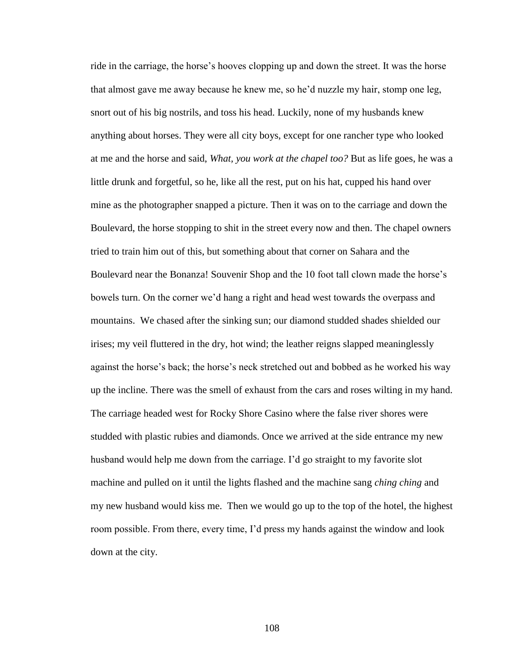ride in the carriage, the horse"s hooves clopping up and down the street. It was the horse that almost gave me away because he knew me, so he"d nuzzle my hair, stomp one leg, snort out of his big nostrils, and toss his head. Luckily, none of my husbands knew anything about horses. They were all city boys, except for one rancher type who looked at me and the horse and said, *What, you work at the chapel too?* But as life goes, he was a little drunk and forgetful, so he, like all the rest, put on his hat, cupped his hand over mine as the photographer snapped a picture. Then it was on to the carriage and down the Boulevard, the horse stopping to shit in the street every now and then. The chapel owners tried to train him out of this, but something about that corner on Sahara and the Boulevard near the Bonanza! Souvenir Shop and the 10 foot tall clown made the horse"s bowels turn. On the corner we"d hang a right and head west towards the overpass and mountains. We chased after the sinking sun; our diamond studded shades shielded our irises; my veil fluttered in the dry, hot wind; the leather reigns slapped meaninglessly against the horse"s back; the horse"s neck stretched out and bobbed as he worked his way up the incline. There was the smell of exhaust from the cars and roses wilting in my hand. The carriage headed west for Rocky Shore Casino where the false river shores were studded with plastic rubies and diamonds. Once we arrived at the side entrance my new husband would help me down from the carriage. I"d go straight to my favorite slot machine and pulled on it until the lights flashed and the machine sang *ching ching* and my new husband would kiss me. Then we would go up to the top of the hotel, the highest room possible. From there, every time, I"d press my hands against the window and look down at the city.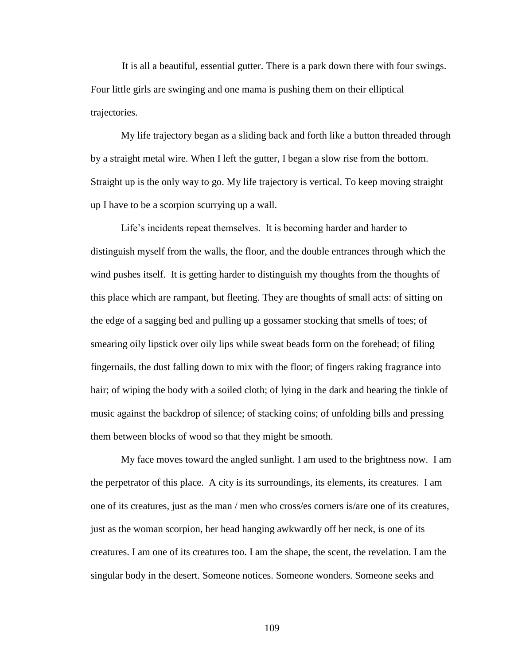It is all a beautiful, essential gutter. There is a park down there with four swings. Four little girls are swinging and one mama is pushing them on their elliptical trajectories.

My life trajectory began as a sliding back and forth like a button threaded through by a straight metal wire. When I left the gutter, I began a slow rise from the bottom. Straight up is the only way to go. My life trajectory is vertical. To keep moving straight up I have to be a scorpion scurrying up a wall.

Life's incidents repeat themselves. It is becoming harder and harder to distinguish myself from the walls, the floor, and the double entrances through which the wind pushes itself. It is getting harder to distinguish my thoughts from the thoughts of this place which are rampant, but fleeting. They are thoughts of small acts: of sitting on the edge of a sagging bed and pulling up a gossamer stocking that smells of toes; of smearing oily lipstick over oily lips while sweat beads form on the forehead; of filing fingernails, the dust falling down to mix with the floor; of fingers raking fragrance into hair; of wiping the body with a soiled cloth; of lying in the dark and hearing the tinkle of music against the backdrop of silence; of stacking coins; of unfolding bills and pressing them between blocks of wood so that they might be smooth.

My face moves toward the angled sunlight. I am used to the brightness now. I am the perpetrator of this place. A city is its surroundings, its elements, its creatures. I am one of its creatures, just as the man / men who cross/es corners is/are one of its creatures, just as the woman scorpion, her head hanging awkwardly off her neck, is one of its creatures. I am one of its creatures too. I am the shape, the scent, the revelation. I am the singular body in the desert. Someone notices. Someone wonders. Someone seeks and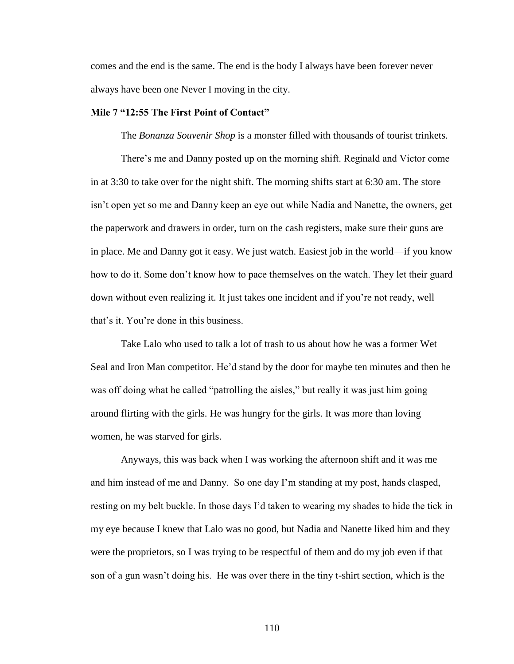comes and the end is the same. The end is the body I always have been forever never always have been one Never I moving in the city.

## **Mile 7 "12:55 The First Point of Contact"**

The *Bonanza Souvenir Shop* is a monster filled with thousands of tourist trinkets.

There"s me and Danny posted up on the morning shift. Reginald and Victor come in at 3:30 to take over for the night shift. The morning shifts start at 6:30 am. The store isn"t open yet so me and Danny keep an eye out while Nadia and Nanette, the owners, get the paperwork and drawers in order, turn on the cash registers, make sure their guns are in place. Me and Danny got it easy. We just watch. Easiest job in the world—if you know how to do it. Some don"t know how to pace themselves on the watch. They let their guard down without even realizing it. It just takes one incident and if you"re not ready, well that"s it. You"re done in this business.

Take Lalo who used to talk a lot of trash to us about how he was a former Wet Seal and Iron Man competitor. He"d stand by the door for maybe ten minutes and then he was off doing what he called "patrolling the aisles," but really it was just him going around flirting with the girls. He was hungry for the girls. It was more than loving women, he was starved for girls.

Anyways, this was back when I was working the afternoon shift and it was me and him instead of me and Danny. So one day I"m standing at my post, hands clasped, resting on my belt buckle. In those days I"d taken to wearing my shades to hide the tick in my eye because I knew that Lalo was no good, but Nadia and Nanette liked him and they were the proprietors, so I was trying to be respectful of them and do my job even if that son of a gun wasn"t doing his. He was over there in the tiny t-shirt section, which is the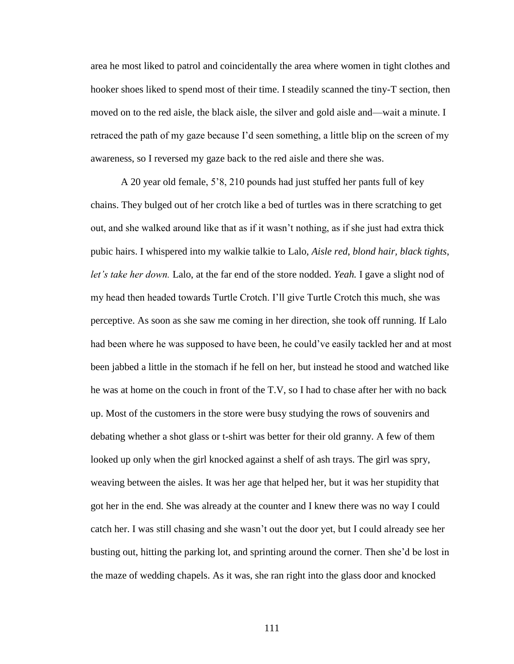area he most liked to patrol and coincidentally the area where women in tight clothes and hooker shoes liked to spend most of their time. I steadily scanned the tiny-T section, then moved on to the red aisle, the black aisle, the silver and gold aisle and—wait a minute. I retraced the path of my gaze because I"d seen something, a little blip on the screen of my awareness, so I reversed my gaze back to the red aisle and there she was.

A 20 year old female, 5"8, 210 pounds had just stuffed her pants full of key chains. They bulged out of her crotch like a bed of turtles was in there scratching to get out, and she walked around like that as if it wasn"t nothing, as if she just had extra thick pubic hairs. I whispered into my walkie talkie to Lalo, *Aisle red*, *blond hair, black tights*, *let's take her down.* Lalo, at the far end of the store nodded. *Yeah.* I gave a slight nod of my head then headed towards Turtle Crotch. I"ll give Turtle Crotch this much, she was perceptive. As soon as she saw me coming in her direction, she took off running. If Lalo had been where he was supposed to have been, he could've easily tackled her and at most been jabbed a little in the stomach if he fell on her, but instead he stood and watched like he was at home on the couch in front of the T.V, so I had to chase after her with no back up. Most of the customers in the store were busy studying the rows of souvenirs and debating whether a shot glass or t-shirt was better for their old granny. A few of them looked up only when the girl knocked against a shelf of ash trays. The girl was spry, weaving between the aisles. It was her age that helped her, but it was her stupidity that got her in the end. She was already at the counter and I knew there was no way I could catch her. I was still chasing and she wasn"t out the door yet, but I could already see her busting out, hitting the parking lot, and sprinting around the corner. Then she"d be lost in the maze of wedding chapels. As it was, she ran right into the glass door and knocked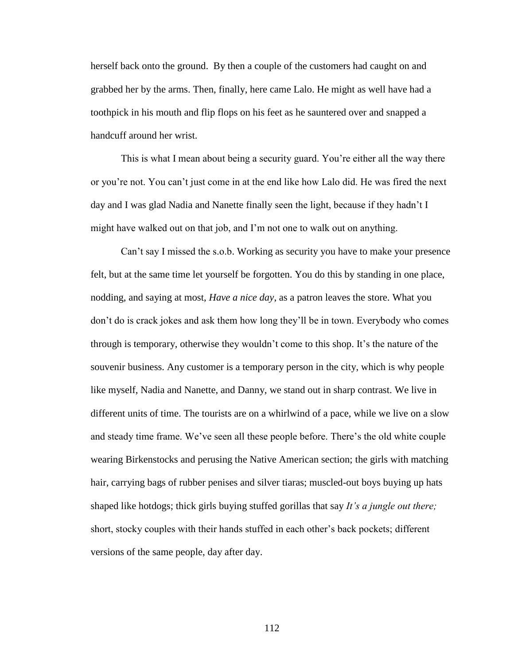herself back onto the ground. By then a couple of the customers had caught on and grabbed her by the arms. Then, finally, here came Lalo. He might as well have had a toothpick in his mouth and flip flops on his feet as he sauntered over and snapped a handcuff around her wrist.

This is what I mean about being a security guard. You"re either all the way there or you"re not. You can"t just come in at the end like how Lalo did. He was fired the next day and I was glad Nadia and Nanette finally seen the light, because if they hadn"t I might have walked out on that job, and I"m not one to walk out on anything.

Can"t say I missed the s.o.b. Working as security you have to make your presence felt, but at the same time let yourself be forgotten. You do this by standing in one place, nodding, and saying at most, *Have a nice day*, as a patron leaves the store. What you don"t do is crack jokes and ask them how long they"ll be in town. Everybody who comes through is temporary, otherwise they wouldn"t come to this shop. It"s the nature of the souvenir business. Any customer is a temporary person in the city, which is why people like myself, Nadia and Nanette, and Danny, we stand out in sharp contrast. We live in different units of time. The tourists are on a whirlwind of a pace, while we live on a slow and steady time frame. We"ve seen all these people before. There"s the old white couple wearing Birkenstocks and perusing the Native American section; the girls with matching hair, carrying bags of rubber penises and silver tiaras; muscled-out boys buying up hats shaped like hotdogs; thick girls buying stuffed gorillas that say *It's a jungle out there;*  short, stocky couples with their hands stuffed in each other"s back pockets; different versions of the same people, day after day.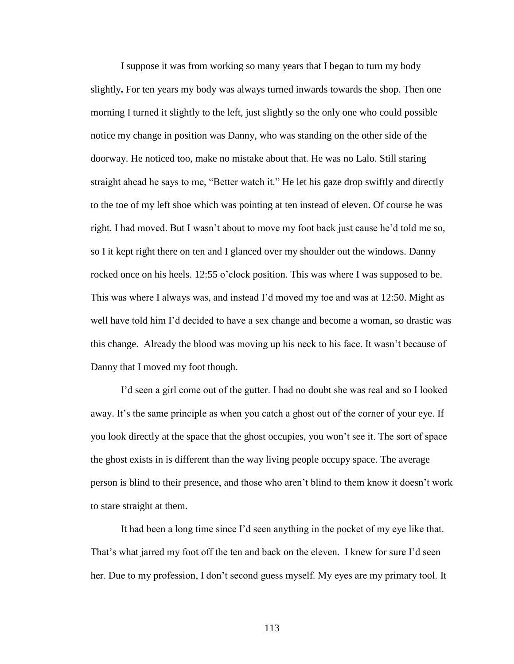I suppose it was from working so many years that I began to turn my body slightly**.** For ten years my body was always turned inwards towards the shop. Then one morning I turned it slightly to the left, just slightly so the only one who could possible notice my change in position was Danny, who was standing on the other side of the doorway. He noticed too, make no mistake about that. He was no Lalo. Still staring straight ahead he says to me, "Better watch it." He let his gaze drop swiftly and directly to the toe of my left shoe which was pointing at ten instead of eleven. Of course he was right. I had moved. But I wasn"t about to move my foot back just cause he"d told me so, so I it kept right there on ten and I glanced over my shoulder out the windows. Danny rocked once on his heels. 12:55 o"clock position. This was where I was supposed to be. This was where I always was, and instead I"d moved my toe and was at 12:50. Might as well have told him I"d decided to have a sex change and become a woman, so drastic was this change. Already the blood was moving up his neck to his face. It wasn"t because of Danny that I moved my foot though.

I"d seen a girl come out of the gutter. I had no doubt she was real and so I looked away. It's the same principle as when you catch a ghost out of the corner of your eye. If you look directly at the space that the ghost occupies, you won"t see it. The sort of space the ghost exists in is different than the way living people occupy space. The average person is blind to their presence, and those who aren"t blind to them know it doesn"t work to stare straight at them.

It had been a long time since I"d seen anything in the pocket of my eye like that. That's what jarred my foot off the ten and back on the eleven. I knew for sure I'd seen her. Due to my profession, I don"t second guess myself. My eyes are my primary tool. It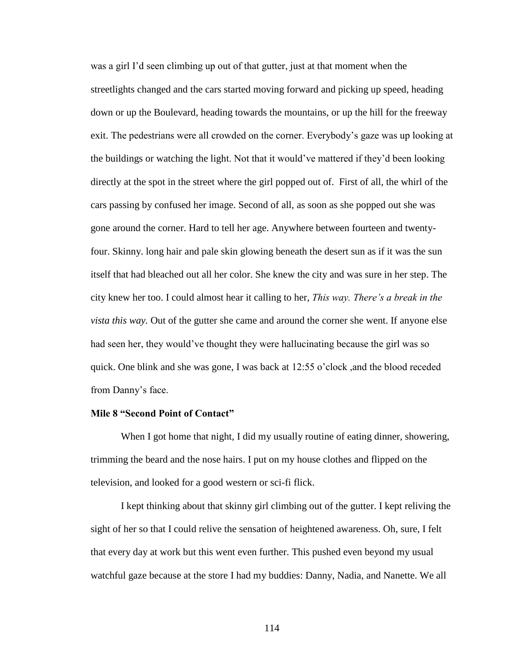was a girl I'd seen climbing up out of that gutter, just at that moment when the streetlights changed and the cars started moving forward and picking up speed, heading down or up the Boulevard, heading towards the mountains, or up the hill for the freeway exit. The pedestrians were all crowded on the corner. Everybody"s gaze was up looking at the buildings or watching the light. Not that it would"ve mattered if they"d been looking directly at the spot in the street where the girl popped out of. First of all, the whirl of the cars passing by confused her image. Second of all, as soon as she popped out she was gone around the corner. Hard to tell her age. Anywhere between fourteen and twentyfour. Skinny. long hair and pale skin glowing beneath the desert sun as if it was the sun itself that had bleached out all her color. She knew the city and was sure in her step. The city knew her too. I could almost hear it calling to her, *This way. There's a break in the vista this way.* Out of the gutter she came and around the corner she went. If anyone else had seen her, they would"ve thought they were hallucinating because the girl was so quick. One blink and she was gone, I was back at 12:55 o"clock ,and the blood receded from Danny's face.

# **Mile 8 "Second Point of Contact"**

When I got home that night, I did my usually routine of eating dinner, showering, trimming the beard and the nose hairs. I put on my house clothes and flipped on the television, and looked for a good western or sci-fi flick.

I kept thinking about that skinny girl climbing out of the gutter. I kept reliving the sight of her so that I could relive the sensation of heightened awareness. Oh, sure, I felt that every day at work but this went even further. This pushed even beyond my usual watchful gaze because at the store I had my buddies: Danny, Nadia, and Nanette. We all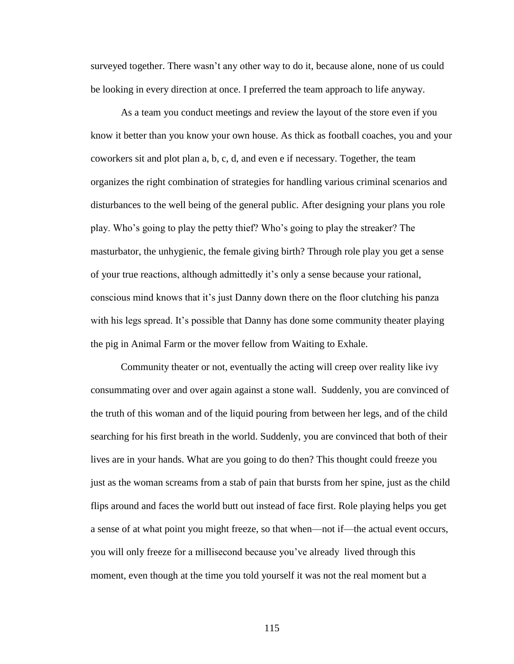surveyed together. There wasn't any other way to do it, because alone, none of us could be looking in every direction at once. I preferred the team approach to life anyway.

As a team you conduct meetings and review the layout of the store even if you know it better than you know your own house. As thick as football coaches, you and your coworkers sit and plot plan a, b, c, d, and even e if necessary. Together, the team organizes the right combination of strategies for handling various criminal scenarios and disturbances to the well being of the general public*.* After designing your plans you role play. Who"s going to play the petty thief? Who"s going to play the streaker? The masturbator, the unhygienic, the female giving birth? Through role play you get a sense of your true reactions, although admittedly it"s only a sense because your rational, conscious mind knows that it"s just Danny down there on the floor clutching his panza with his legs spread. It's possible that Danny has done some community theater playing the pig in Animal Farm or the mover fellow from Waiting to Exhale.

Community theater or not, eventually the acting will creep over reality like ivy consummating over and over again against a stone wall. Suddenly, you are convinced of the truth of this woman and of the liquid pouring from between her legs, and of the child searching for his first breath in the world. Suddenly, you are convinced that both of their lives are in your hands. What are you going to do then? This thought could freeze you just as the woman screams from a stab of pain that bursts from her spine, just as the child flips around and faces the world butt out instead of face first. Role playing helps you get a sense of at what point you might freeze, so that when—not if—the actual event occurs, you will only freeze for a millisecond because you"ve already lived through this moment, even though at the time you told yourself it was not the real moment but a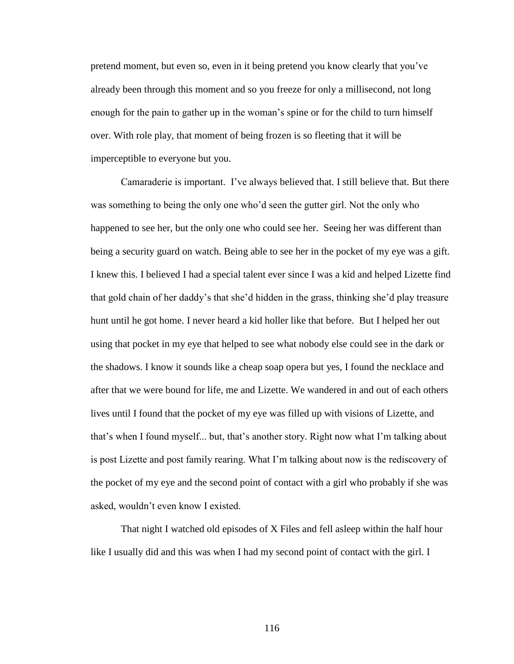pretend moment, but even so, even in it being pretend you know clearly that you"ve already been through this moment and so you freeze for only a millisecond, not long enough for the pain to gather up in the woman's spine or for the child to turn himself over. With role play, that moment of being frozen is so fleeting that it will be imperceptible to everyone but you.

Camaraderie is important. I"ve always believed that. I still believe that. But there was something to being the only one who'd seen the gutter girl. Not the only who happened to see her, but the only one who could see her. Seeing her was different than being a security guard on watch. Being able to see her in the pocket of my eye was a gift. I knew this. I believed I had a special talent ever since I was a kid and helped Lizette find that gold chain of her daddy"s that she"d hidden in the grass, thinking she"d play treasure hunt until he got home. I never heard a kid holler like that before. But I helped her out using that pocket in my eye that helped to see what nobody else could see in the dark or the shadows. I know it sounds like a cheap soap opera but yes, I found the necklace and after that we were bound for life, me and Lizette. We wandered in and out of each others lives until I found that the pocket of my eye was filled up with visions of Lizette, and that's when I found myself... but, that's another story. Right now what I'm talking about is post Lizette and post family rearing. What I"m talking about now is the rediscovery of the pocket of my eye and the second point of contact with a girl who probably if she was asked, wouldn"t even know I existed.

That night I watched old episodes of X Files and fell asleep within the half hour like I usually did and this was when I had my second point of contact with the girl. I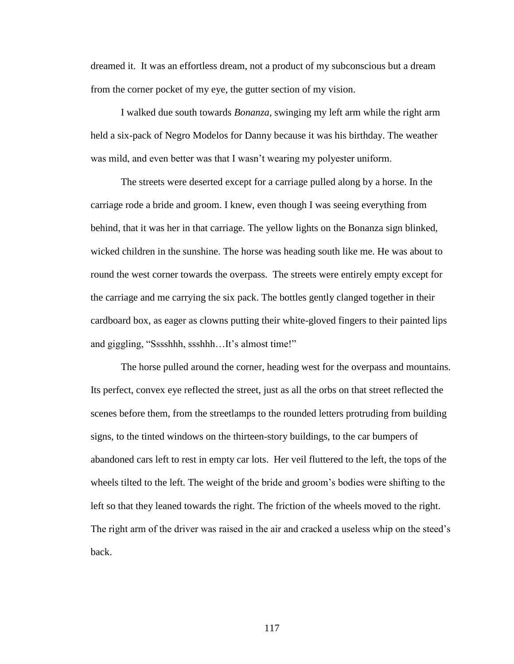dreamed it. It was an effortless dream, not a product of my subconscious but a dream from the corner pocket of my eye, the gutter section of my vision.

I walked due south towards *Bonanza,* swinging my left arm while the right arm held a six-pack of Negro Modelos for Danny because it was his birthday. The weather was mild, and even better was that I wasn"t wearing my polyester uniform.

The streets were deserted except for a carriage pulled along by a horse. In the carriage rode a bride and groom. I knew, even though I was seeing everything from behind, that it was her in that carriage. The yellow lights on the Bonanza sign blinked, wicked children in the sunshine. The horse was heading south like me. He was about to round the west corner towards the overpass. The streets were entirely empty except for the carriage and me carrying the six pack. The bottles gently clanged together in their cardboard box, as eager as clowns putting their white-gloved fingers to their painted lips and giggling, "Sssshhh, ssshhh...It's almost time!"

The horse pulled around the corner, heading west for the overpass and mountains. Its perfect, convex eye reflected the street, just as all the orbs on that street reflected the scenes before them, from the streetlamps to the rounded letters protruding from building signs, to the tinted windows on the thirteen-story buildings, to the car bumpers of abandoned cars left to rest in empty car lots. Her veil fluttered to the left, the tops of the wheels tilted to the left. The weight of the bride and groom"s bodies were shifting to the left so that they leaned towards the right. The friction of the wheels moved to the right. The right arm of the driver was raised in the air and cracked a useless whip on the steed"s back.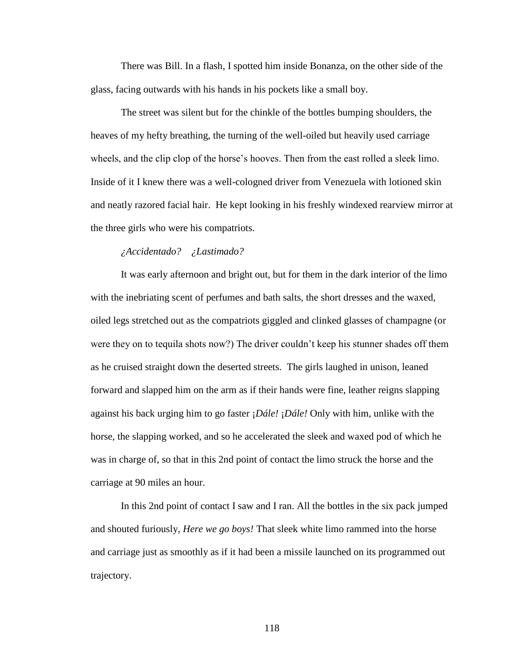There was Bill. In a flash, I spotted him inside Bonanza, on the other side of the glass, facing outwards with his hands in his pockets like a small boy.

The street was silent but for the chinkle of the bottles bumping shoulders, the heaves of my hefty breathing, the turning of the well-oiled but heavily used carriage wheels, and the clip clop of the horse's hooves. Then from the east rolled a sleek limo. Inside of it I knew there was a well-cologned driver from Venezuela with lotioned skin and neatly razored facial hair. He kept looking in his freshly windexed rearview mirror at the three girls who were his compatriots.

# *¿Accidentado? ¿Lastimado?*

It was early afternoon and bright out, but for them in the dark interior of the limo with the inebriating scent of perfumes and bath salts, the short dresses and the waxed, oiled legs stretched out as the compatriots giggled and clinked glasses of champagne (or were they on to tequila shots now?) The driver couldn't keep his stunner shades off them as he cruised straight down the deserted streets. The girls laughed in unison, leaned forward and slapped him on the arm as if their hands were fine, leather reigns slapping against his back urging him to go faster ¡*Dále!* ¡*Dále!* Only with him, unlike with the horse, the slapping worked, and so he accelerated the sleek and waxed pod of which he was in charge of, so that in this 2nd point of contact the limo struck the horse and the carriage at 90 miles an hour.

In this 2nd point of contact I saw and I ran. All the bottles in the six pack jumped and shouted furiously, *Here we go boys!* That sleek white limo rammed into the horse and carriage just as smoothly as if it had been a missile launched on its programmed out trajectory.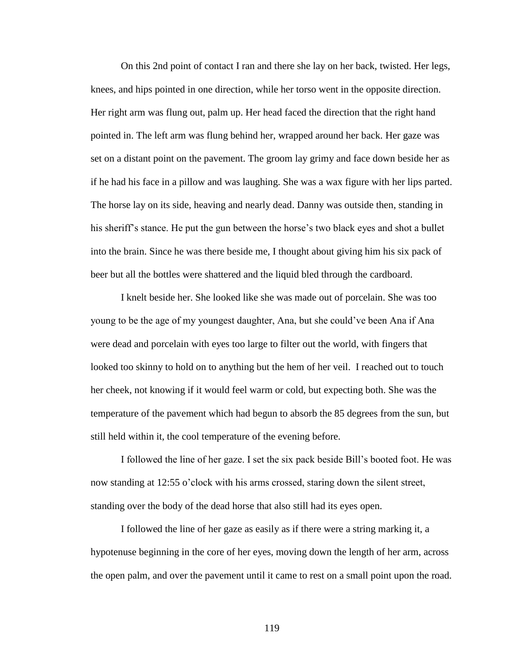On this 2nd point of contact I ran and there she lay on her back, twisted. Her legs, knees, and hips pointed in one direction, while her torso went in the opposite direction. Her right arm was flung out, palm up. Her head faced the direction that the right hand pointed in. The left arm was flung behind her, wrapped around her back. Her gaze was set on a distant point on the pavement. The groom lay grimy and face down beside her as if he had his face in a pillow and was laughing. She was a wax figure with her lips parted. The horse lay on its side, heaving and nearly dead. Danny was outside then, standing in his sheriff's stance. He put the gun between the horse's two black eyes and shot a bullet into the brain. Since he was there beside me, I thought about giving him his six pack of beer but all the bottles were shattered and the liquid bled through the cardboard.

I knelt beside her. She looked like she was made out of porcelain. She was too young to be the age of my youngest daughter, Ana, but she could"ve been Ana if Ana were dead and porcelain with eyes too large to filter out the world, with fingers that looked too skinny to hold on to anything but the hem of her veil. I reached out to touch her cheek, not knowing if it would feel warm or cold, but expecting both. She was the temperature of the pavement which had begun to absorb the 85 degrees from the sun, but still held within it, the cool temperature of the evening before.

I followed the line of her gaze. I set the six pack beside Bill"s booted foot. He was now standing at 12:55 o'clock with his arms crossed, staring down the silent street, standing over the body of the dead horse that also still had its eyes open.

I followed the line of her gaze as easily as if there were a string marking it, a hypotenuse beginning in the core of her eyes, moving down the length of her arm, across the open palm, and over the pavement until it came to rest on a small point upon the road.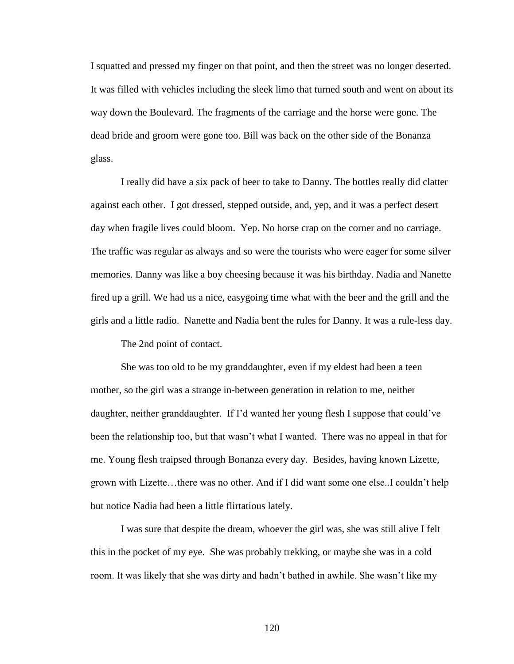I squatted and pressed my finger on that point, and then the street was no longer deserted. It was filled with vehicles including the sleek limo that turned south and went on about its way down the Boulevard. The fragments of the carriage and the horse were gone. The dead bride and groom were gone too. Bill was back on the other side of the Bonanza glass.

I really did have a six pack of beer to take to Danny. The bottles really did clatter against each other. I got dressed, stepped outside, and, yep, and it was a perfect desert day when fragile lives could bloom. Yep. No horse crap on the corner and no carriage. The traffic was regular as always and so were the tourists who were eager for some silver memories. Danny was like a boy cheesing because it was his birthday. Nadia and Nanette fired up a grill. We had us a nice, easygoing time what with the beer and the grill and the girls and a little radio. Nanette and Nadia bent the rules for Danny. It was a rule-less day.

The 2nd point of contact.

She was too old to be my granddaughter, even if my eldest had been a teen mother, so the girl was a strange in-between generation in relation to me, neither daughter, neither granddaughter. If I"d wanted her young flesh I suppose that could"ve been the relationship too, but that wasn"t what I wanted. There was no appeal in that for me. Young flesh traipsed through Bonanza every day. Besides, having known Lizette, grown with Lizette…there was no other. And if I did want some one else..I couldn"t help but notice Nadia had been a little flirtatious lately.

I was sure that despite the dream, whoever the girl was, she was still alive I felt this in the pocket of my eye. She was probably trekking, or maybe she was in a cold room. It was likely that she was dirty and hadn"t bathed in awhile. She wasn"t like my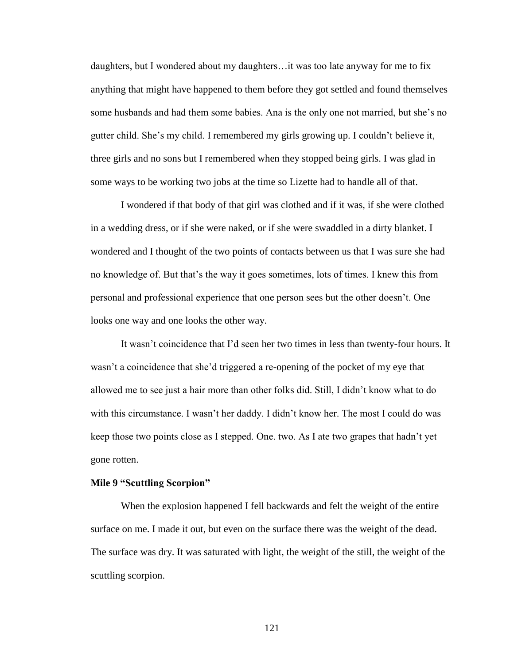daughters, but I wondered about my daughters…it was too late anyway for me to fix anything that might have happened to them before they got settled and found themselves some husbands and had them some babies. Ana is the only one not married, but she"s no gutter child. She"s my child. I remembered my girls growing up. I couldn"t believe it, three girls and no sons but I remembered when they stopped being girls. I was glad in some ways to be working two jobs at the time so Lizette had to handle all of that.

I wondered if that body of that girl was clothed and if it was, if she were clothed in a wedding dress, or if she were naked, or if she were swaddled in a dirty blanket. I wondered and I thought of the two points of contacts between us that I was sure she had no knowledge of. But that"s the way it goes sometimes, lots of times. I knew this from personal and professional experience that one person sees but the other doesn"t. One looks one way and one looks the other way.

It wasn"t coincidence that I"d seen her two times in less than twenty-four hours. It wasn't a coincidence that she'd triggered a re-opening of the pocket of my eye that allowed me to see just a hair more than other folks did. Still, I didn"t know what to do with this circumstance. I wasn't her daddy. I didn't know her. The most I could do was keep those two points close as I stepped. One. two. As I ate two grapes that hadn"t yet gone rotten.

#### **Mile 9 "Scuttling Scorpion"**

When the explosion happened I fell backwards and felt the weight of the entire surface on me. I made it out, but even on the surface there was the weight of the dead. The surface was dry. It was saturated with light, the weight of the still, the weight of the scuttling scorpion.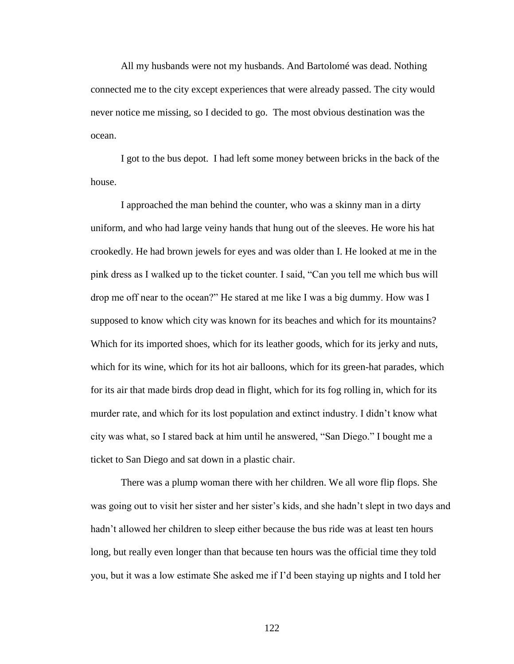All my husbands were not my husbands. And Bartolomé was dead. Nothing connected me to the city except experiences that were already passed. The city would never notice me missing, so I decided to go. The most obvious destination was the ocean.

I got to the bus depot. I had left some money between bricks in the back of the house.

I approached the man behind the counter, who was a skinny man in a dirty uniform, and who had large veiny hands that hung out of the sleeves. He wore his hat crookedly. He had brown jewels for eyes and was older than I. He looked at me in the pink dress as I walked up to the ticket counter. I said, "Can you tell me which bus will drop me off near to the ocean?" He stared at me like I was a big dummy. How was I supposed to know which city was known for its beaches and which for its mountains? Which for its imported shoes, which for its leather goods, which for its jerky and nuts, which for its wine, which for its hot air balloons, which for its green-hat parades, which for its air that made birds drop dead in flight, which for its fog rolling in, which for its murder rate, and which for its lost population and extinct industry. I didn"t know what city was what, so I stared back at him until he answered, "San Diego." I bought me a ticket to San Diego and sat down in a plastic chair.

There was a plump woman there with her children. We all wore flip flops. She was going out to visit her sister and her sister's kids, and she hadn't slept in two days and hadn't allowed her children to sleep either because the bus ride was at least ten hours long, but really even longer than that because ten hours was the official time they told you, but it was a low estimate She asked me if I"d been staying up nights and I told her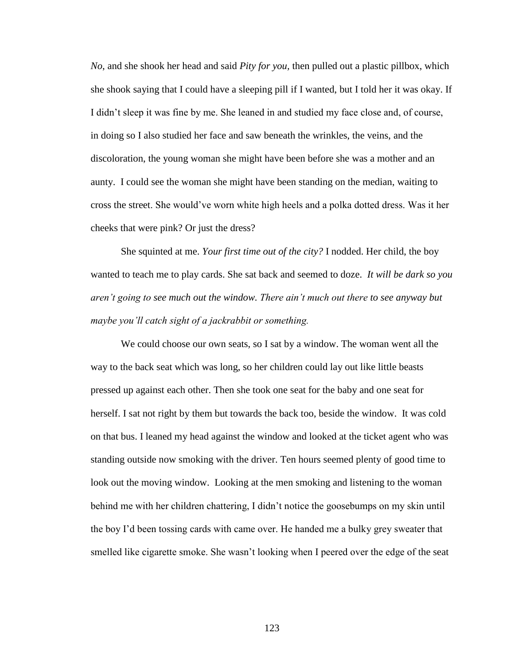*No*, and she shook her head and said *Pity for you,* then pulled out a plastic pillbox, which she shook saying that I could have a sleeping pill if I wanted, but I told her it was okay. If I didn"t sleep it was fine by me. She leaned in and studied my face close and, of course, in doing so I also studied her face and saw beneath the wrinkles, the veins, and the discoloration, the young woman she might have been before she was a mother and an aunty. I could see the woman she might have been standing on the median, waiting to cross the street. She would"ve worn white high heels and a polka dotted dress. Was it her cheeks that were pink? Or just the dress?

She squinted at me. *Your first time out of the city?* I nodded. Her child, the boy wanted to teach me to play cards. She sat back and seemed to doze. *It will be dark so you aren't going to see much out the window. There ain't much out there to see anyway but maybe you'll catch sight of a jackrabbit or something.* 

We could choose our own seats, so I sat by a window. The woman went all the way to the back seat which was long, so her children could lay out like little beasts pressed up against each other. Then she took one seat for the baby and one seat for herself. I sat not right by them but towards the back too, beside the window. It was cold on that bus. I leaned my head against the window and looked at the ticket agent who was standing outside now smoking with the driver. Ten hours seemed plenty of good time to look out the moving window. Looking at the men smoking and listening to the woman behind me with her children chattering, I didn't notice the goosebumps on my skin until the boy I"d been tossing cards with came over. He handed me a bulky grey sweater that smelled like cigarette smoke. She wasn"t looking when I peered over the edge of the seat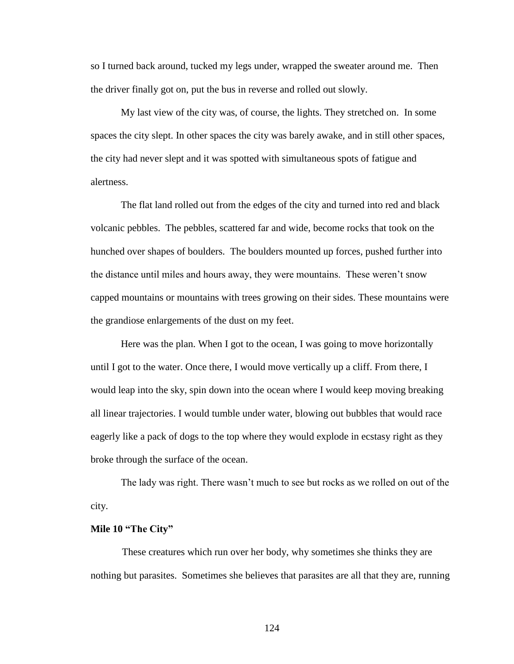so I turned back around, tucked my legs under, wrapped the sweater around me. Then the driver finally got on, put the bus in reverse and rolled out slowly.

My last view of the city was, of course, the lights. They stretched on. In some spaces the city slept. In other spaces the city was barely awake, and in still other spaces, the city had never slept and it was spotted with simultaneous spots of fatigue and alertness.

The flat land rolled out from the edges of the city and turned into red and black volcanic pebbles. The pebbles, scattered far and wide, become rocks that took on the hunched over shapes of boulders. The boulders mounted up forces, pushed further into the distance until miles and hours away, they were mountains. These weren"t snow capped mountains or mountains with trees growing on their sides. These mountains were the grandiose enlargements of the dust on my feet.

Here was the plan. When I got to the ocean, I was going to move horizontally until I got to the water. Once there, I would move vertically up a cliff. From there, I would leap into the sky, spin down into the ocean where I would keep moving breaking all linear trajectories. I would tumble under water, blowing out bubbles that would race eagerly like a pack of dogs to the top where they would explode in ecstasy right as they broke through the surface of the ocean.

The lady was right. There wasn"t much to see but rocks as we rolled on out of the city.

## **Mile 10 "The City"**

These creatures which run over her body, why sometimes she thinks they are nothing but parasites. Sometimes she believes that parasites are all that they are, running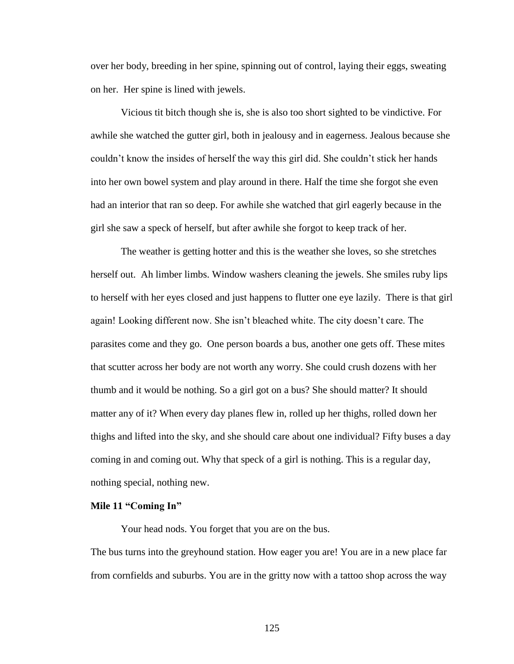over her body, breeding in her spine, spinning out of control, laying their eggs, sweating on her. Her spine is lined with jewels.

Vicious tit bitch though she is, she is also too short sighted to be vindictive. For awhile she watched the gutter girl, both in jealousy and in eagerness. Jealous because she couldn"t know the insides of herself the way this girl did. She couldn"t stick her hands into her own bowel system and play around in there. Half the time she forgot she even had an interior that ran so deep. For awhile she watched that girl eagerly because in the girl she saw a speck of herself, but after awhile she forgot to keep track of her.

The weather is getting hotter and this is the weather she loves, so she stretches herself out. Ah limber limbs. Window washers cleaning the jewels. She smiles ruby lips to herself with her eyes closed and just happens to flutter one eye lazily. There is that girl again! Looking different now. She isn"t bleached white. The city doesn"t care. The parasites come and they go. One person boards a bus, another one gets off. These mites that scutter across her body are not worth any worry. She could crush dozens with her thumb and it would be nothing. So a girl got on a bus? She should matter? It should matter any of it? When every day planes flew in, rolled up her thighs, rolled down her thighs and lifted into the sky, and she should care about one individual? Fifty buses a day coming in and coming out. Why that speck of a girl is nothing. This is a regular day, nothing special, nothing new.

### **Mile 11 "Coming In"**

Your head nods. You forget that you are on the bus.

The bus turns into the greyhound station. How eager you are! You are in a new place far from cornfields and suburbs. You are in the gritty now with a tattoo shop across the way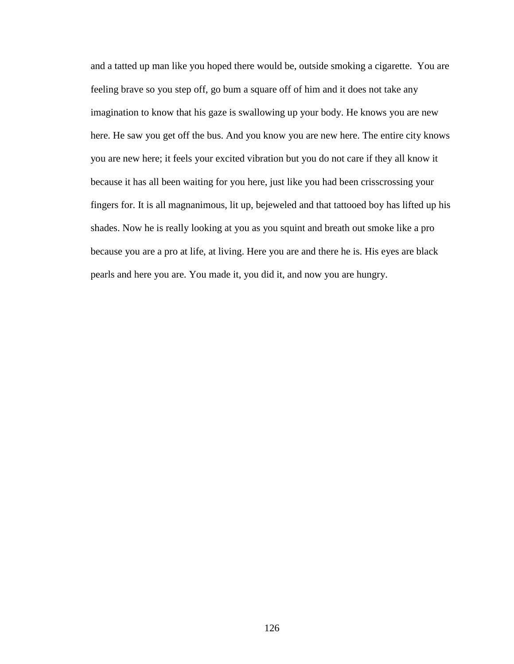and a tatted up man like you hoped there would be, outside smoking a cigarette. You are feeling brave so you step off, go bum a square off of him and it does not take any imagination to know that his gaze is swallowing up your body. He knows you are new here. He saw you get off the bus. And you know you are new here. The entire city knows you are new here; it feels your excited vibration but you do not care if they all know it because it has all been waiting for you here, just like you had been crisscrossing your fingers for. It is all magnanimous, lit up, bejeweled and that tattooed boy has lifted up his shades. Now he is really looking at you as you squint and breath out smoke like a pro because you are a pro at life, at living. Here you are and there he is. His eyes are black pearls and here you are. You made it, you did it, and now you are hungry.